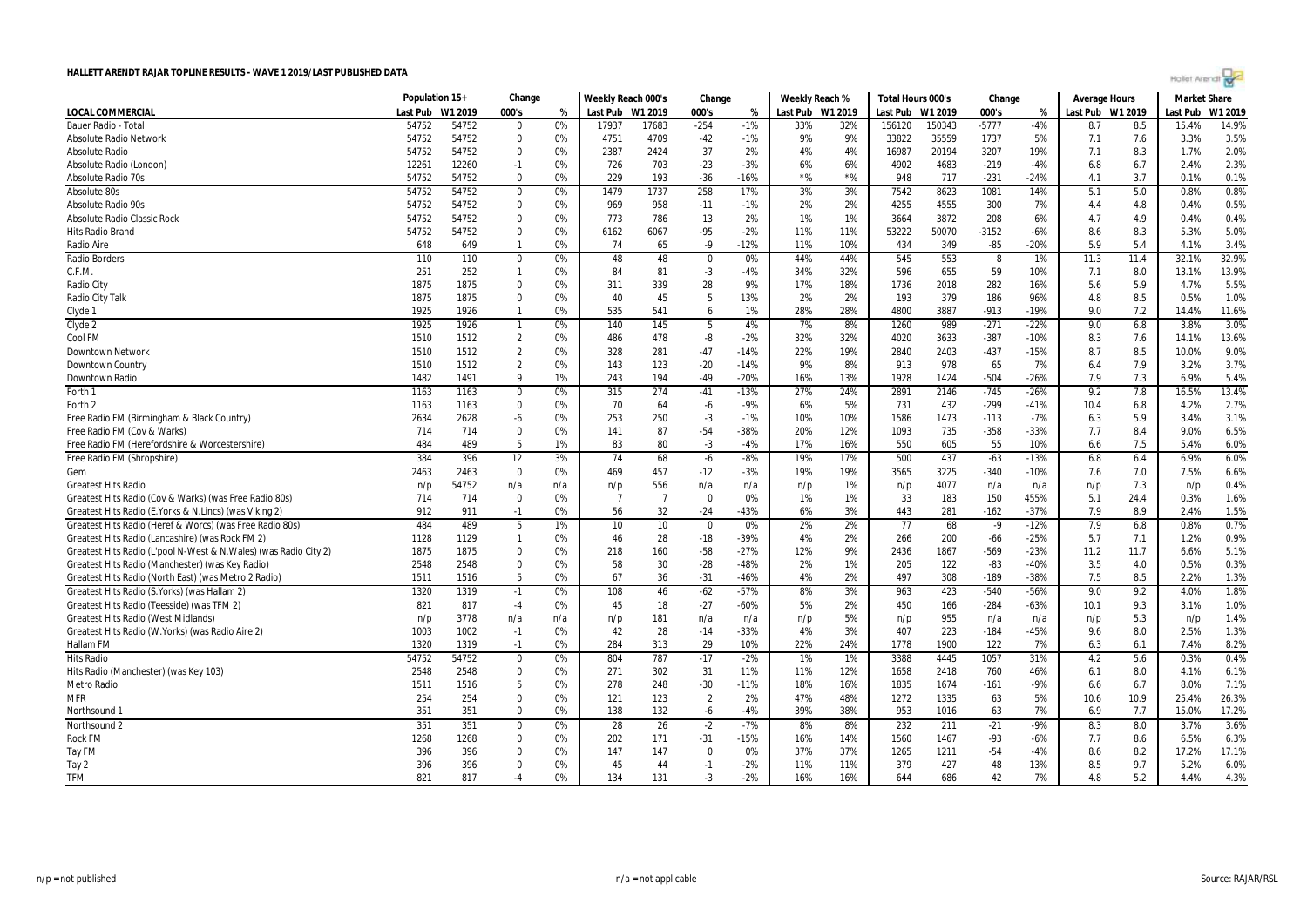

|                                                                   | Population 15+ |         | Change          |     | Weekly Reach 000's |                | Change         |        | Weekly Reach % |                  | Total Hours 000's |        | Change  |        | <b>Average Hours</b> |      | <b>Market Share</b> |         |
|-------------------------------------------------------------------|----------------|---------|-----------------|-----|--------------------|----------------|----------------|--------|----------------|------------------|-------------------|--------|---------|--------|----------------------|------|---------------------|---------|
| <b>LOCAL COMMERCIAL</b>                                           | Last Pub       | W1 2019 | 000's           | %   | Last Pub W1 2019   |                | 000's          | %      |                | Last Pub W1 2019 | Last Pub W1 2019  |        | 000's   | $\%$   | Last Pub W1 2019     |      | Last Pub            | W1 2019 |
| <b>Bauer Radio - Total</b>                                        | 54752          | 54752   | $\Omega$        | 0%  | 17937              | 17683          | $-254$         | $-1%$  | 33%            | 32%              | 156120            | 150343 | $-5777$ | $-4%$  | 8.7                  | 8.5  | 15.4%               | 14.9%   |
| <b>Absolute Radio Network</b>                                     | 54752          | 54752   | $\Omega$        | 0%  | 4751               | 4709           | $-42$          | $-1%$  | 9%             | 9%               | 33822             | 35559  | 1737    | 5%     | 7.1                  | 7.6  | 3.3%                | 3.5%    |
| <b>Absolute Radio</b>                                             | 54752          | 54752   | $\mathbf 0$     | 0%  | 2387               | 2424           | 37             | 2%     | 4%             | 4%               | 16987             | 20194  | 3207    | 19%    | 7.1                  | 8.3  | 1.7%                | 2.0%    |
| Absolute Radio (London)                                           | 12261          | 12260   | $-1$            | 0%  | 726                | 703            | $-23$          | $-3%$  | 6%             | 6%               | 4902              | 4683   | $-219$  | $-4%$  | 6.8                  | 6.7  | 2.4%                | 2.3%    |
| <b>Absolute Radio 70s</b>                                         | 54752          | 54752   | $\Omega$        | 0%  | 229                | 193            | $-36$          | $-16%$ | $*$ %          | $*$ %            | 948               | 717    | $-231$  | $-24%$ | 4.1                  | 3.7  | 0.1%                | 0.1%    |
| Absolute 80s                                                      | 54752          | 54752   | $\bf{0}$        | 0%  | 1479               | 1737           | 258            | 17%    | 3%             | 3%               | 7542              | 8623   | 1081    | 14%    | 5.1                  | 5.0  | 0.8%                | 0.8%    |
| Absolute Radio 90s                                                | 54752          | 54752   | $\mathbf 0$     | 0%  | 969                | 958            | $-11$          | $-1%$  | 2%             | 2%               | 4255              | 4555   | 300     | 7%     | 4.4                  | 4.8  | 0.4%                | 0.5%    |
| Absolute Radio Classic Rock                                       | 54752          | 54752   | $\Omega$        | 0%  | 773                | 786            | 13             | 2%     | 1%             | 1%               | 3664              | 3872   | 208     | 6%     | 4.7                  | 4.9  | 0.4%                | 0.4%    |
| Hits Radio Brand                                                  | 54752          | 54752   | $\mathbf 0$     | 0%  | 6162               | 6067           | $-95$          | $-2%$  | 11%            | 11%              | 53222             | 50070  | $-3152$ | $-6%$  | 8.6                  | 8.3  | 5.3%                | 5.0%    |
| Radio Aire                                                        | 648            | 649     | $\mathbf{1}$    | 0%  | 74                 | 65             | $-9$           | $-12%$ | 11%            | 10%              | 434               | 349    | $-85$   | $-20%$ | 5.9                  | 5.4  | 4.1%                | 3.4%    |
| <b>Radio Borders</b>                                              | 110            | 110     | $\Omega$        | 0%  | 48                 | 48             | $\Omega$       | 0%     | 44%            | 44%              | 545               | 553    | 8       | 1%     | 11.3                 | 11.4 | 32.1%               | 32.9%   |
| C.F.M.                                                            | 251            | 252     | $\mathbf{1}$    | 0%  | 84                 | 81             | $-3$           | $-4%$  | 34%            | 32%              | 596               | 655    | 59      | 10%    | 7.1                  | 8.0  | 13.1%               | 13.9%   |
| Radio City                                                        | 1875           | 1875    | $\mathbf 0$     | 0%  | 311                | 339            | 28             | 9%     | 17%            | 18%              | 1736              | 2018   | 282     | 16%    | 5.6                  | 5.9  | 4.7%                | 5.5%    |
| Radio City Talk                                                   | 1875           | 1875    | $\mathbf 0$     | 0%  | 40                 | 45             | 5              | 13%    | 2%             | 2%               | 193               | 379    | 186     | 96%    | 4.8                  | 8.5  | 0.5%                | 1.0%    |
| Clyde 1                                                           | 1925           | 1926    | $\mathbf{1}$    | 0%  | 535                | 541            | 6              | 1%     | 28%            | 28%              | 4800              | 3887   | $-913$  | $-19%$ | 9.0                  | 7.2  | 14.4%               | 11.6%   |
| Clyde 2                                                           | 1925           | 1926    | $\mathbf{1}$    | 0%  | 140                | 145            | -5             | 4%     | 7%             | 8%               | 1260              | 989    | $-271$  | $-22%$ | 9.0                  | 6.8  | 3.8%                | 3.0%    |
| Cool FM                                                           | 1510           | 1512    | $\overline{2}$  | 0%  | 486                | 478            | -8             | $-2%$  | 32%            | 32%              | 4020              | 3633   | $-387$  | $-10%$ | 8.3                  | 7.6  | 14.1%               | 13.6%   |
| <b>Downtown Network</b>                                           | 1510           | 1512    | $\overline{2}$  | 0%  | 328                | 281            | $-47$          | $-14%$ | 22%            | 19%              | 2840              | 2403   | $-437$  | $-15%$ | 8.7                  | 8.5  | 10.0%               | 9.0%    |
| Downtown Country                                                  | 1510           | 1512    | $\overline{2}$  | 0%  | 143                | 123            | $-20$          | $-14%$ | 9%             | 8%               | 913               | 978    | 65      | 7%     | 6.4                  | 7.9  | 3.2%                | 3.7%    |
| Downtown Radio                                                    | 1482           | 1491    | 9               | 1%  | 243                | 194            | $-49$          | $-20%$ | 16%            | 13%              | 1928              | 1424   | $-504$  | $-26%$ | 7.9                  | 7.3  | 6.9%                | 5.4%    |
| Forth 1                                                           | 1163           | 1163    | $\mathbf 0$     | 0%  | 315                | 274            | $-41$          | $-13%$ | 27%            | 24%              | 2891              | 2146   | $-745$  | $-26%$ | 9.2                  | 7.8  | 16.5%               | 13.4%   |
| Forth 2                                                           | 1163           | 1163    | $\mathbf 0$     | 0%  | 70                 | 64             | $-6$           | $-9%$  | 6%             | 5%               | 731               | 432    | $-299$  | $-41%$ | 10.4                 | 6.8  | 4.2%                | 2.7%    |
| Free Radio FM (Birmingham & Black Country)                        | 2634           | 2628    | -6              | 0%  | 253                | 250            | $-3$           | $-1%$  | 10%            | 10%              | 1586              | 1473   | $-113$  | $-7%$  | 6.3                  | 5.9  | 3.4%                | 3.1%    |
| Free Radio FM (Cov & Warks)                                       | 714            | 714     | $\Omega$        | 0%  | 141                | 87             | $-54$          | $-38%$ | 20%            | 12%              | 1093              | 735    | $-358$  | $-33%$ | 7.7                  | 8.4  | 9.0%                | 6.5%    |
| Free Radio FM (Herefordshire & Worcestershire)                    | 484            | 489     | 5               | 1%  | 83                 | 80             | $-3$           | $-4%$  | 17%            | 16%              | 550               | 605    | 55      | 10%    | 6.6                  | 7.5  | 5.4%                | 6.0%    |
| Free Radio FM (Shropshire)                                        | 384            | 396     | 12              | 3%  | 74                 | 68             | $-6$           | $-8%$  | 19%            | 17%              | 500               | 437    | $-63$   | $-13%$ | 6.8                  | 6.4  | 6.9%                | 6.0%    |
| Gem                                                               | 2463           | 2463    | $\Omega$        | 0%  | 469                | 457            | $-12$          | $-3%$  | 19%            | 19%              | 3565              | 3225   | $-340$  | $-10%$ | 7.6                  | 7.0  | 7.5%                | 6.6%    |
| <b>Greatest Hits Radio</b>                                        | n/p            | 54752   | n/a             | n/a | n/p                | 556            | n/a            | n/a    | n/p            | 1%               | n/p               | 4077   | n/a     | n/a    | n/p                  | 7.3  | n/p                 | 0.4%    |
| Greatest Hits Radio (Cov & Warks) (was Free Radio 80s)            | 714            | 714     | $\Omega$        | 0%  | $\overline{7}$     | $\overline{7}$ | $\Omega$       | 0%     | 1%             | 1%               | 33                | 183    | 150     | 455%   | 5.1                  | 24.4 | 0.3%                | 1.6%    |
| Greatest Hits Radio (E. Yorks & N. Lincs) (was Viking 2)          | 912            | 911     | $-1$            | 0%  | 56                 | 32             | $-24$          | $-43%$ | 6%             | 3%               | 443               | 281    | $-162$  | $-37%$ | 7.9                  | 8.9  | 2.4%                | 1.5%    |
| Greatest Hits Radio (Heref & Worcs) (was Free Radio 80s)          | 484            | 489     | $5\overline{)}$ | 1%  | 10                 | 10             | $\mathbf 0$    | 0%     | 2%             | 2%               | 77                | 68     | $-9$    | $-12%$ | 7.9                  | 6.8  | 0.8%                | 0.7%    |
| Greatest Hits Radio (Lancashire) (was Rock FM 2)                  | 1128           | 1129    | $\mathbf{1}$    | 0%  | 46                 | 28             | $-18$          | $-39%$ | 4%             | 2%               | 266               | 200    | $-66$   | $-25%$ | 5.7                  | 7.1  | 1.2%                | 0.9%    |
| Greatest Hits Radio (L'pool N-West & N. Wales) (was Radio City 2) | 1875           | 1875    | $\Omega$        | 0%  | 218                | 160            | $-58$          | $-27%$ | 12%            | 9%               | 2436              | 1867   | $-569$  | $-23%$ | 11.2                 | 11.7 | 6.6%                | 5.1%    |
| Greatest Hits Radio (Manchester) (was Key Radio)                  | 2548           | 2548    | $\Omega$        | 0%  | 58                 | 30             | $-28$          | $-48%$ | 2%             | 1%               | 205               | 122    | $-83$   | $-40%$ | 3.5                  | 4.0  | 0.5%                | 0.3%    |
| Greatest Hits Radio (North East) (was Metro 2 Radio)              | 1511           | 1516    | 5               | 0%  | 67                 | 36             | $-31$          | $-46%$ | 4%             | 2%               | 497               | 308    | $-189$  | -38%   | 7.5                  | 8.5  | 2.2%                | 1.3%    |
| Greatest Hits Radio (S.Yorks) (was Hallam 2)                      | 1320           | 1319    | $-1$            | 0%  | 108                | 46             | $-62$          | $-57%$ | 8%             | 3%               | 963               | 423    | $-540$  | $-56%$ | 9.0                  | 9.2  | 4.0%                | 1.8%    |
| Greatest Hits Radio (Teesside) (was TFM 2)                        | 821            | 817     | $-4$            | 0%  | 45                 | 18             | $-27$          | $-60%$ | 5%             | 2%               | 450               | 166    | $-284$  | $-63%$ | 10.1                 | 9.3  | 3.1%                | 1.0%    |
| <b>Greatest Hits Radio (West Midlands)</b>                        | n/p            | 3778    | n/a             | n/a | n/p                | 181            | n/a            | n/a    | n/p            | 5%               | n/p               | 955    | n/a     | n/a    | n/p                  | 5.3  | n/p                 | 1.4%    |
| Greatest Hits Radio (W.Yorks) (was Radio Aire 2)                  | 1003           | 1002    | $-1$            | 0%  | 42                 | 28             | $-14$          | $-33%$ | 4%             | 3%               | 407               | 223    | $-184$  | $-45%$ | 9.6                  | 8.0  | 2.5%                | 1.3%    |
| <b>Hallam FM</b>                                                  | 1320           | 1319    | $-1$            | 0%  | 284                | 313            | 29             | 10%    | 22%            | 24%              | 1778              | 1900   | 122     | 7%     | 6.3                  | 6.1  | 7.4%                | 8.2%    |
| <b>Hits Radio</b>                                                 | 54752          | 54752   | $\mathbf 0$     | 0%  | 804                | 787            | $-17$          | $-2%$  | 1%             | 1%               | 3388              | 4445   | 1057    | 31%    | 4.2                  | 5.6  | 0.3%                | 0.4%    |
| Hits Radio (Manchester) (was Key 103)                             | 2548           | 2548    | $\mathbf 0$     | 0%  | 271                | 302            | 31             | 11%    | 11%            | 12%              | 1658              | 2418   | 760     | 46%    | 6.1                  | 8.0  | 4.1%                | 6.1%    |
| Metro Radio                                                       | 1511           | 1516    | 5               | 0%  | 278                | 248            | $-30$          | $-11%$ | 18%            | 16%              | 1835              | 1674   | $-161$  | $-9%$  | 6.6                  | 6.7  | 8.0%                | 7.1%    |
| <b>MFR</b>                                                        | 254            | 254     | $\Omega$        | 0%  | 121                | 123            | $\overline{2}$ | 2%     | 47%            | 48%              | 1272              | 1335   | 63      | 5%     | 10.6                 | 10.9 | 25.4%               | 26.3%   |
| Northsound 1                                                      | 351            | 351     | $\Omega$        | 0%  | 138                | 132            | $-6$           | $-4%$  | 39%            | 38%              | 953               | 1016   | 63      | 7%     | 6.9                  | 7.7  | 15.0%               | 17.2%   |
| Northsound 2                                                      | 351            | 351     | $\mathbf 0$     | 0%  | 28                 | 26             | $-2$           | $-7%$  | 8%             | 8%               | 232               | 211    | $-21$   | $-9%$  | 8.3                  | 8.0  | 3.7%                | 3.6%    |
| Rock FM                                                           | 1268           | 1268    | $\Omega$        | 0%  | 202                | 171            | $-31$          | $-15%$ | 16%            | 14%              | 1560              | 1467   | $-93$   | $-6%$  | 7.7                  | 8.6  | 6.5%                | 6.3%    |
| Tay FM                                                            | 396            | 396     | $\mathbf 0$     | 0%  | 147                | 147            | $\Omega$       | 0%     | 37%            | 37%              | 1265              | 1211   | $-54$   | $-4%$  | 8.6                  | 8.2  | 17.2%               | 17.1%   |
| Tay 2                                                             | 396            | 396     | $\mathbf 0$     | 0%  | 45                 | 44             | $-1$           | $-2%$  | 11%            | 11%              | 379               | 427    | 48      | 13%    | 8.5                  | 9.7  | 5.2%                | 6.0%    |
| <b>TFM</b>                                                        | 821            | 817     | $-4$            | 0%  | 134                | 131            | $-3$           | $-2%$  | 16%            | 16%              | 644               | 686    | 42      | 7%     | 4.8                  | 5.2  | 4.4%                | 4.3%    |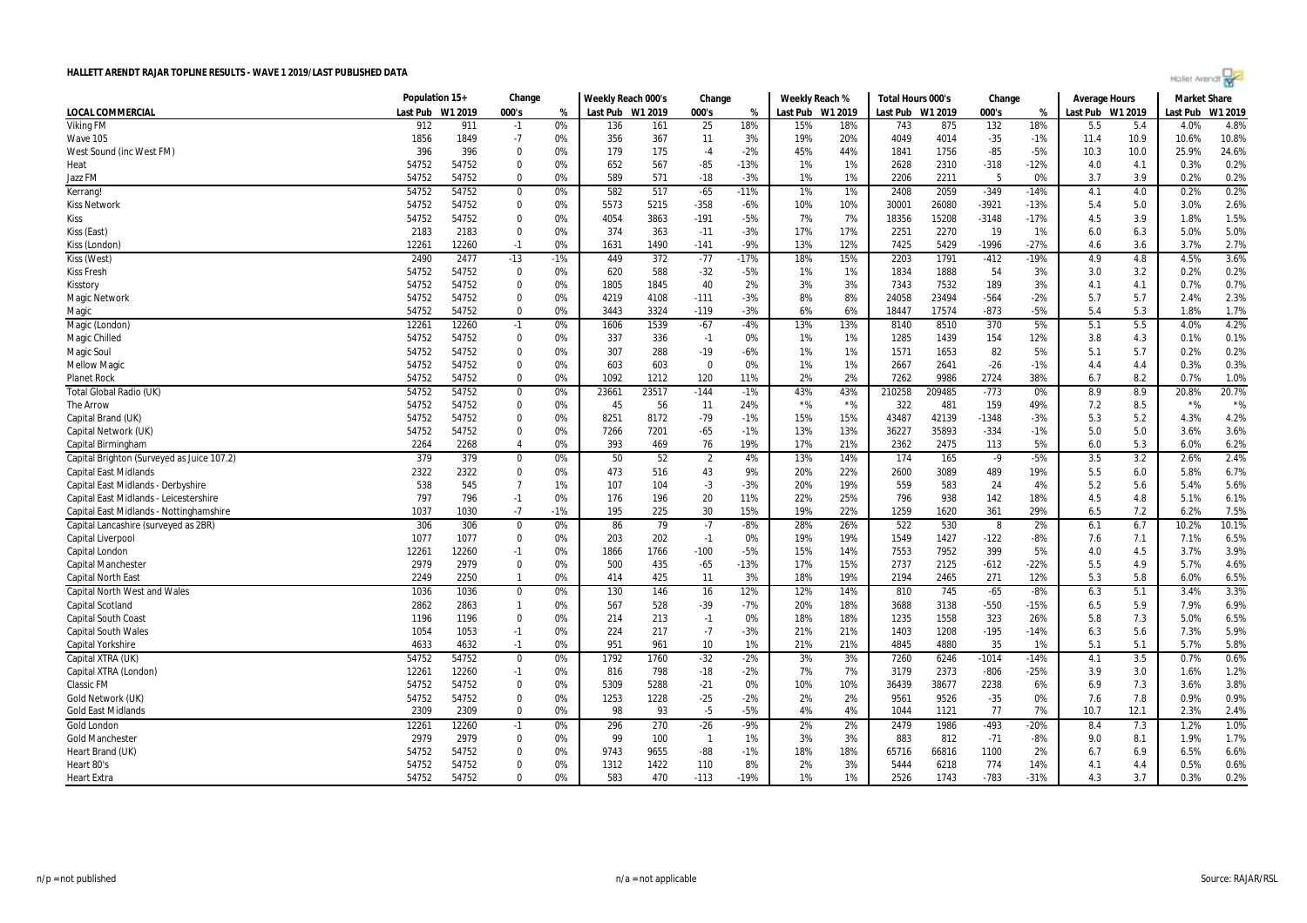

|                                            | Population 15+ |         | Change         |       | Weekly Reach 000's |       | Change         |        | Weekly Reach %   |       | Total Hours 000's |        | Change  |        | Average Hours    |      | <b>Market Share</b> |         |
|--------------------------------------------|----------------|---------|----------------|-------|--------------------|-------|----------------|--------|------------------|-------|-------------------|--------|---------|--------|------------------|------|---------------------|---------|
| LOCAL COMMERCIAL                           | Last Pub       | W1 2019 | 000's          | %     | Last Pub W1 2019   |       | 000's          | %      | Last Pub W1 2019 |       | Last Pub W1 2019  |        | 000's   | %      | Last Pub W1 2019 |      | Last Pub            | W1 2019 |
| <b>Viking FM</b>                           | 912            | 911     | $-1$           | 0%    | 136                | 161   | 25             | 18%    | 15%              | 18%   | 743               | 875    | 132     | 18%    | 5.5              | 5.4  | 4.0%                | 4.8%    |
| Wave 105                                   | 1856           | 1849    | $-7$           | 0%    | 356                | 367   | 11             | 3%     | 19%              | 20%   | 4049              | 4014   | $-35$   | $-1%$  | 11.4             | 10.9 | 10.6%               | 10.8%   |
| West Sound (inc West FM)                   | 396            | 396     | $\mathbf 0$    | 0%    | 179                | 175   | $-4$           | $-2%$  | 45%              | 44%   | 1841              | 1756   | $-85$   | $-5%$  | 10.3             | 10.0 | 25.9%               | 24.6%   |
| Heat                                       | 54752          | 54752   | $\mathbf 0$    | 0%    | 652                | 567   | $-85$          | $-13%$ | 1%               | 1%    | 2628              | 2310   | $-318$  | $-12%$ | 4.0              | 4.1  | 0.3%                | 0.2%    |
| Jazz FM                                    | 54752          | 54752   | $\Omega$       | 0%    | 589                | 571   | $-18$          | $-3%$  | 1%               | 1%    | 2206              | 2211   | -5      | 0%     | 3.7              | 3.9  | 0.2%                | 0.2%    |
| Kerrang!                                   | 54752          | 54752   | 0              | 0%    | 582                | 517   | $-65$          | $-11%$ | 1%               | 1%    | 2408              | 2059   | $-349$  | $-14%$ | 4.1              | 4.0  | 0.2%                | 0.2%    |
| <b>Kiss Network</b>                        | 54752          | 54752   | 0              | 0%    | 5573               | 5215  | $-358$         | -6%    | 10%              | 10%   | 30001             | 26080  | $-3921$ | $-13%$ | 5.4              | 5.0  | 3.0%                | 2.6%    |
| <b>Kiss</b>                                | 54752          | 54752   | 0              | 0%    | 4054               | 3863  | $-191$         | $-5%$  | 7%               | 7%    | 18356             | 15208  | $-3148$ | $-17%$ | 4.5              | 3.9  | 1.8%                | 1.5%    |
| Kiss (East)                                | 2183           | 2183    | 0              | 0%    | 374                | 363   | $-11$          | -3%    | 17%              | 17%   | 2251              | 2270   | 19      | 1%     | 6.0              | 6.3  | 5.0%                | 5.0%    |
| Kiss (London)                              | 12261          | 12260   | $-1$           | 0%    | 1631               | 1490  | $-141$         | -9%    | 13%              | 12%   | 7425              | 5429   | $-1996$ | $-27%$ | 4.6              | 3.6  | 3.7%                | 2.7%    |
| Kiss (West)                                | 2490           | 2477    | $-13$          | $-1%$ | 449                | 372   | $-77$          | $-17%$ | 18%              | 15%   | 2203              | 1791   | $-412$  | $-19%$ | 4.9              | 4.8  | 4.5%                | 3.6%    |
| <b>Kiss Fresh</b>                          | 54752          | 54752   | $\Omega$       | 0%    | 620                | 588   | $-32$          | $-5%$  | 1%               | 1%    | 1834              | 1888   | 54      | 3%     | 3.0              | 3.2  | 0.2%                | 0.2%    |
| Kisstory                                   | 54752          | 54752   | $\mathbf 0$    | 0%    | 1805               | 1845  | 40             | 2%     | 3%               | 3%    | 7343              | 7532   | 189     | 3%     | 4.1              | 4.1  | 0.7%                | 0.7%    |
| <b>Magic Network</b>                       | 54752          | 54752   | $\Omega$       | 0%    | 4219               | 4108  | $-111$         | $-3%$  | 8%               | 8%    | 24058             | 23494  | $-564$  | $-2%$  | 5.7              | 5.7  | 2.4%                | 2.3%    |
| Magic                                      | 54752          | 54752   | $\mathbf 0$    | 0%    | 3443               | 3324  | $-119$         | $-3%$  | 6%               | 6%    | 18447             | 17574  | $-873$  | $-5%$  | 5.4              | 5.3  | 1.8%                | 1.7%    |
| Magic (London)                             | 12261          | 12260   | $-1$           | 0%    | 1606               | 1539  | $-67$          | $-4%$  | 13%              | 13%   | 8140              | 8510   | 370     | 5%     | 5.1              | 5.5  | 4.0%                | 4.2%    |
| Magic Chilled                              | 54752          | 54752   | 0              | 0%    | 337                | 336   | $-1$           | 0%     | 1%               | 1%    | 1285              | 1439   | 154     | 12%    | 3.8              | 4.3  | 0.1%                | 0.1%    |
| Magic Soul                                 | 54752          | 54752   | $\Omega$       | 0%    | 307                | 288   | $-19$          | $-6%$  | 1%               | 1%    | 1571              | 1653   | 82      | 5%     | 5.1              | 5.7  | 0.2%                | 0.2%    |
| <b>Mellow Magic</b>                        | 54752          | 54752   | $\mathbf 0$    | 0%    | 603                | 603   | $\overline{0}$ | 0%     | 1%               | 1%    | 2667              | 2641   | $-26$   | $-1%$  | 4.4              | 4.4  | 0.3%                | 0.3%    |
| <b>Planet Rock</b>                         | 54752          | 54752   | $\mathbf 0$    | 0%    | 1092               | 1212  | 120            | 11%    | 2%               | 2%    | 7262              | 9986   | 2724    | 38%    | 6.7              | 8.2  | 0.7%                | 1.0%    |
| Total Global Radio (UK)                    | 54752          | 54752   | 0              | 0%    | 23661              | 23517 | $-144$         | $-1%$  | 43%              | 43%   | 210258            | 209485 | $-773$  | 0%     | 8.9              | 8.9  | 20.8%               | 20.7%   |
| <b>The Arrow</b>                           | 54752          | 54752   | $\mathbf 0$    | 0%    | 45                 | 56    | 11             | 24%    | $\star$ %        | $*$ % | 322               | 481    | 159     | 49%    | 7.2              | 8.5  | $*$ %               | $*$ %   |
| Capital Brand (UK)                         | 54752          | 54752   | $\mathbf 0$    | 0%    | 8251               | 8172  | $-79$          | $-1%$  | 15%              | 15%   | 43487             | 42139  | $-1348$ | $-3%$  | 5.3              | 5.2  | 4.3%                | 4.2%    |
| Capital Network (UK)                       | 54752          | 54752   | 0              | 0%    | 7266               | 7201  | $-65$          | $-1%$  | 13%              | 13%   | 36227             | 35893  | $-334$  | $-1%$  | 5.0              | 5.0  | 3.6%                | 3.6%    |
| Capital Birmingham                         | 2264           | 2268    | $\overline{4}$ | 0%    | 393                | 469   | 76             | 19%    | 17%              | 21%   | 2362              | 2475   | 113     | 5%     | 6.0              | 5.3  | 6.0%                | 6.2%    |
| Capital Brighton (Surveyed as Juice 107.2) | 379            | 379     | $\mathbf 0$    | 0%    | 50                 | 52    | $\overline{2}$ | 4%     | 13%              | 14%   | 174               | 165    | $-9$    | $-5%$  | 3.5              | 3.2  | 2.6%                | 2.4%    |
| <b>Capital East Midlands</b>               | 2322           | 2322    | $\mathbf 0$    | 0%    | 473                | 516   | 43             | 9%     | 20%              | 22%   | 2600              | 3089   | 489     | 19%    | 5.5              | 6.0  | 5.8%                | 6.7%    |
| Capital East Midlands - Derbyshire         | 538            | 545     | $\overline{7}$ | 1%    | 107                | 104   | $-3$           | $-3%$  | 20%              | 19%   | 559               | 583    | 24      | 4%     | 5.2              | 5.6  | 5.4%                | 5.6%    |
| Capital East Midlands - Leicestershire     | 797            | 796     | $-1$           | 0%    | 176                | 196   | 20             | 11%    | 22%              | 25%   | 796               | 938    | 142     | 18%    | 4.5              | 4.8  | 5.1%                | 6.1%    |
| Capital East Midlands - Nottinghamshire    | 1037           | 1030    | $-7$           | $-1%$ | 195                | 225   | 30             | 15%    | 19%              | 22%   | 1259              | 1620   | 361     | 29%    | 6.5              | 7.2  | 6.2%                | 7.5%    |
| Capital Lancashire (surveyed as 2BR)       | 306            | 306     | $\mathbf 0$    | 0%    | 86                 | 79    | $-7$           | $-8%$  | 28%              | 26%   | 522               | 530    | 8       | 2%     | 6.1              | 6.7  | 10.2%               | 10.1%   |
| Capital Liverpool                          | 1077           | 1077    | $\mathbf 0$    | 0%    | 203                | 202   | $-1$           | 0%     | 19%              | 19%   | 1549              | 1427   | $-122$  | $-8%$  | 7.6              | 7.1  | 7.1%                | 6.5%    |
| Capital London                             | 12261          | 12260   | $-1$           | 0%    | 1866               | 1766  | $-100$         | $-5%$  | 15%              | 14%   | 7553              | 7952   | 399     | 5%     | 4.0              | 4.5  | 3.7%                | 3.9%    |
| <b>Capital Manchester</b>                  | 2979           | 2979    | $\mathbf 0$    | 0%    | 500                | 435   | $-65$          | $-13%$ | 17%              | 15%   | 2737              | 2125   | $-612$  | $-22%$ | 5.5              | 4.9  | 5.7%                | 4.6%    |
| <b>Capital North East</b>                  | 2249           | 2250    | $\mathbf{1}$   | 0%    | 414                | 425   | 11             | 3%     | 18%              | 19%   | 2194              | 2465   | 271     | 12%    | 5.3              | 5.8  | 6.0%                | 6.5%    |
| <b>Capital North West and Wales</b>        | 1036           | 1036    | $\mathbf 0$    | 0%    | 130                | 146   | 16             | 12%    | 12%              | 14%   | 810               | 745    | $-65$   | $-8%$  | 6.3              | 5.1  | 3.4%                | 3.3%    |
| Capital Scotland                           | 2862           | 2863    | $\mathbf{1}$   | 0%    | 567                | 528   | $-39$          | -7%    | 20%              | 18%   | 3688              | 3138   | $-550$  | $-15%$ | 6.5              | 5.9  | 7.9%                | 6.9%    |
| <b>Capital South Coast</b>                 | 1196           | 1196    | $\Omega$       | 0%    | 214                | 213   | $-1$           | 0%     | 18%              | 18%   | 1235              | 1558   | 323     | 26%    | 5.8              | 7.3  | 5.0%                | 6.5%    |
| <b>Capital South Wales</b>                 | 1054           | 1053    | $-1$           | 0%    | 224                | 217   | $-7$           | $-3%$  | 21%              | 21%   | 1403              | 1208   | $-195$  | $-14%$ | 6.3              | 5.6  | 7.3%                | 5.9%    |
| Capital Yorkshire                          | 4633           | 4632    | $-1$           | 0%    | 951                | 961   | 10             | 1%     | 21%              | 21%   | 4845              | 4880   | 35      | 1%     | 5.1              | 5.1  | 5.7%                | 5.8%    |
| Capital XTRA (UK)                          | 54752          | 54752   | $\mathbf 0$    | 0%    | 1792               | 1760  | $-32$          | $-2%$  | 3%               | 3%    | 7260              | 6246   | $-1014$ | $-14%$ | 4.1              | 3.5  | 0.7%                | 0.6%    |
| Capital XTRA (London)                      | 12261          | 12260   | $-1$           | 0%    | 816                | 798   | $-18$          | $-2%$  | 7%               | 7%    | 3179              | 2373   | $-806$  | $-25%$ | 3.9              | 3.0  | 1.6%                | 1.2%    |
| <b>Classic FM</b>                          | 54752          | 54752   | $\mathbf 0$    | 0%    | 5309               | 5288  | $-21$          | 0%     | 10%              | 10%   | 36439             | 38677  | 2238    | 6%     | 6.9              | 7.3  | 3.6%                | 3.8%    |
| Gold Network (UK)                          | 54752          | 54752   | $\mathbf 0$    | 0%    | 1253               | 1228  | $-25$          | $-2%$  | 2%               | 2%    | 9561              | 9526   | $-35$   | 0%     | 7.6              | 7.8  | 0.9%                | 0.9%    |
| <b>Gold East Midlands</b>                  | 2309           | 2309    | $\Omega$       | 0%    | 98                 | 93    | $-5$           | $-5%$  | 4%               | 4%    | 1044              | 1121   | 77      | 7%     | 10.7             | 12.1 | 2.3%                | 2.4%    |
| <b>Gold London</b>                         | 12261          | 12260   | $-1$           | 0%    | 296                | 270   | $-26$          | -9%    | 2%               | 2%    | 2479              | 1986   | $-493$  | $-20%$ | 8.4              | 7.3  | 1.2%                | 1.0%    |
| <b>Gold Manchester</b>                     | 2979           | 2979    | 0              | 0%    | 99                 | 100   | $\overline{1}$ | 1%     | 3%               | 3%    | 883               | 812    | $-71$   | $-8%$  | 9.0              | 8.1  | 1.9%                | 1.7%    |
| Heart Brand (UK)                           | 54752          | 54752   | $\mathbf 0$    | 0%    | 9743               | 9655  | -88            | $-1%$  | 18%              | 18%   | 65716             | 66816  | 1100    | 2%     | 6.7              | 6.9  | 6.5%                | 6.6%    |
| Heart 80's                                 | 54752          | 54752   | 0              | 0%    | 1312               | 1422  | 110            | 8%     | 2%               | 3%    | 5444              | 6218   | 774     | 14%    | 4.1              | 4.4  | 0.5%                | 0.6%    |
| <b>Heart Extra</b>                         | 54752          | 54752   | $\Omega$       | 0%    | 583                | 470   | $-113$         | $-19%$ | 1%               | 1%    | 2526              | 1743   | $-783$  | $-31%$ | 4.3              | 3.7  | 0.3%                | 0.2%    |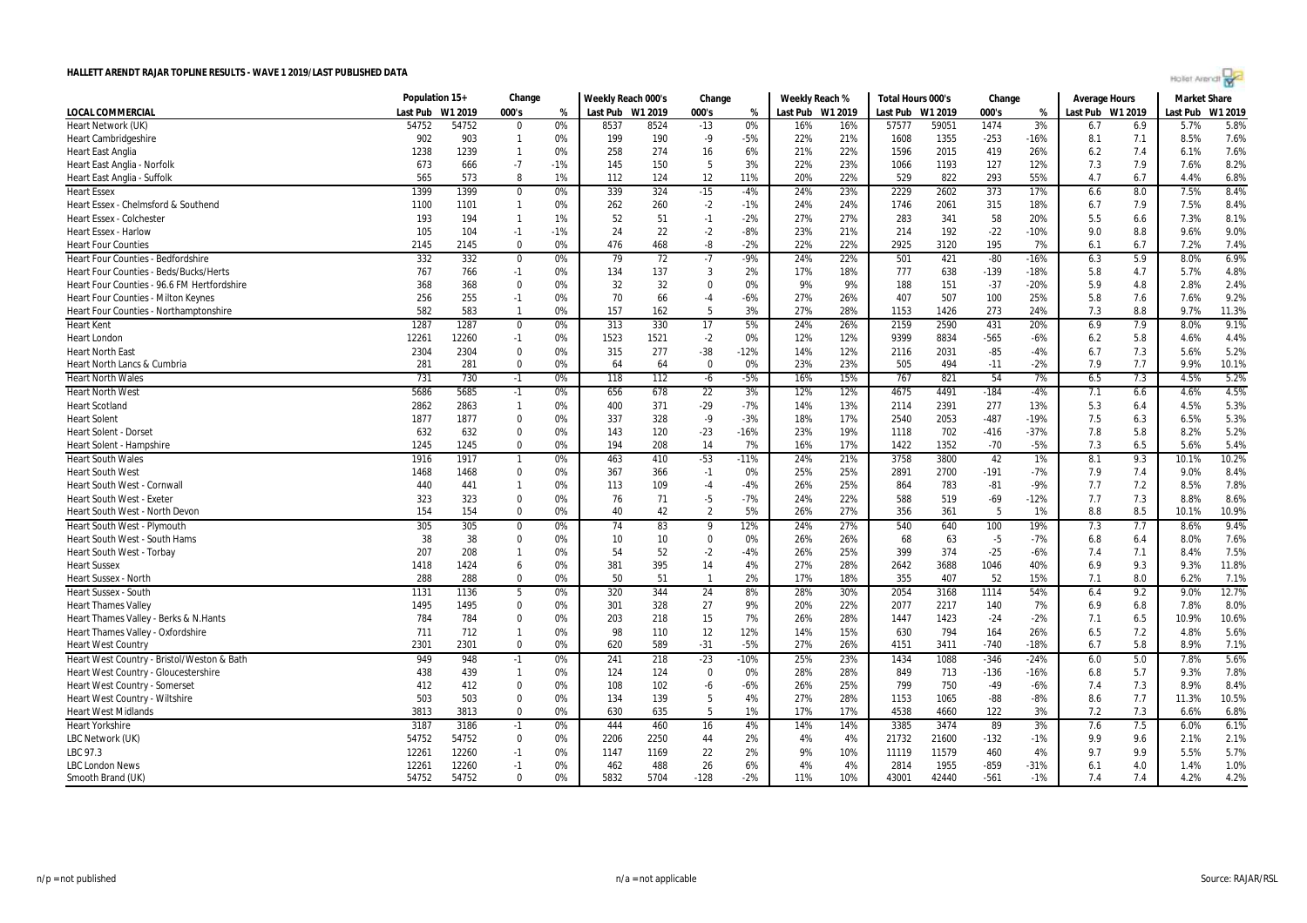| Hollet Arendt |  |  |  |
|---------------|--|--|--|
|               |  |  |  |

|                                               | Population 15+   |       | Change       |       | Weekly Reach 000's |                 | Change         |        |     | Weekly Reach %   | Total Hours 000's |       | Change |        | <b>Average Hours</b> |     | <b>Market Share</b> |         |
|-----------------------------------------------|------------------|-------|--------------|-------|--------------------|-----------------|----------------|--------|-----|------------------|-------------------|-------|--------|--------|----------------------|-----|---------------------|---------|
| <b>LOCAL COMMERCIAL</b>                       | Last Pub W1 2019 |       | 000's        | %     | Last Pub W1 2019   |                 | 000's          | %      |     | Last Pub W1 2019 | Last Pub W1 2019  |       | 000's  | %      | Last Pub W1 2019     |     | Last Pub            | W1 2019 |
| Heart Network (UK)                            | 54752            | 54752 | $\Omega$     | 0%    | 8537               | 8524            | $-13$          | 0%     | 16% | 16%              | 57577             | 59051 | 1474   | 3%     | 6.7                  | 6.9 | 5.7%                | 5.8%    |
| <b>Heart Cambridgeshire</b>                   | 902              | 903   | $\mathbf{1}$ | 0%    | 199                | 190             | $-9$           | $-5%$  | 22% | 21%              | 1608              | 1355  | $-253$ | $-16%$ | 8.1                  | 7.1 | 8.5%                | 7.6%    |
| <b>Heart East Anglia</b>                      | 1238             | 1239  | $\mathbf{1}$ | 0%    | 258                | 274             | 16             | 6%     | 21% | 22%              | 1596              | 2015  | 419    | 26%    | 6.2                  | 7.4 | 6.1%                | 7.6%    |
| Heart East Anglia - Norfolk                   | 673              | 666   | $-7$         | $-1%$ | 145                | 150             | 5              | 3%     | 22% | 23%              | 1066              | 1193  | 127    | 12%    | 7.3                  | 7.9 | 7.6%                | 8.2%    |
| Heart East Anglia - Suffolk                   | 565              | 573   | 8            | 1%    | 112                | 124             | 12             | 11%    | 20% | 22%              | 529               | 822   | 293    | 55%    | 4.7                  | 6.7 | 4.4%                | 6.8%    |
| <b>Heart Essex</b>                            | 1399             | 1399  | $\mathbf 0$  | 0%    | 339                | 324             | $-15$          | $-4%$  | 24% | 23%              | 2229              | 2602  | 373    | 17%    | 6.6                  | 8.0 | 7.5%                | 8.4%    |
| Heart Essex - Chelmsford & Southend           | 1100             | 1101  | $\mathbf{1}$ | 0%    | 262                | 260             | $-2$           | $-1%$  | 24% | 24%              | 1746              | 2061  | 315    | 18%    | 6.7                  | 7.9 | 7.5%                | 8.4%    |
| <b>Heart Essex - Colchester</b>               | 193              | 194   | $\mathbf{1}$ | 1%    | 52                 | 51              | $-1$           | $-2%$  | 27% | 27%              | 283               | 341   | 58     | 20%    | 5.5                  | 6.6 | 7.3%                | 8.1%    |
| <b>Heart Essex - Harlow</b>                   | 105              | 104   | $-1$         | $-1%$ | 24                 | 22              | $-2$           | $-8%$  | 23% | 21%              | 214               | 192   | $-22$  | $-10%$ | 9.0                  | 8.8 | 9.6%                | 9.0%    |
| <b>Heart Four Counties</b>                    | 2145             | 2145  | $\mathbf 0$  | 0%    | 476                | 468             | -8             | $-2%$  | 22% | 22%              | 2925              | 3120  | 195    | 7%     | 6.1                  | 6.7 | 7.2%                | 7.4%    |
| Heart Four Counties - Bedfordshire            | 332              | 332   | $\mathbf 0$  | 0%    | 79                 | $\overline{72}$ | $-7$           | $-9%$  | 24% | 22%              | 501               | 421   | $-80$  | $-16%$ | 6.3                  | 5.9 | 8.0%                | 6.9%    |
| <b>Heart Four Counties - Beds/Bucks/Herts</b> | 767              | 766   | $-1$         | 0%    | 134                | 137             | $\overline{3}$ | 2%     | 17% | 18%              | 777               | 638   | $-139$ | $-18%$ | 5.8                  | 4.7 | 5.7%                | 4.8%    |
| Heart Four Counties - 96.6 FM Hertfordshire   | 368              | 368   | $\Omega$     | 0%    | 32                 | 32              | $\Omega$       | 0%     | 9%  | 9%               | 188               | 151   | $-37$  | $-20%$ | 5.9                  | 4.8 | 2.8%                | 2.4%    |
| <b>Heart Four Counties - Milton Keynes</b>    | 256              | 255   | $-1$         | 0%    | 70                 | 66              | $-4$           | $-6%$  | 27% | 26%              | 407               | 507   | 100    | 25%    | 5.8                  | 7.6 | 7.6%                | 9.2%    |
| Heart Four Counties - Northamptonshire        | 582              | 583   | $\mathbf{1}$ | 0%    | 157                | 162             | 5              | 3%     | 27% | 28%              | 1153              | 1426  | 273    | 24%    | 7.3                  | 8.8 | 9.7%                | 11.3%   |
| <b>Heart Kent</b>                             | 1287             | 1287  | $\mathbf 0$  | 0%    | 313                | 330             | 17             | 5%     | 24% | 26%              | 2159              | 2590  | 431    | 20%    | 6.9                  | 7.9 | 8.0%                | 9.1%    |
| <b>Heart London</b>                           | 12261            | 12260 | $-1$         | 0%    | 1523               | 1521            | $-2$           | 0%     | 12% | 12%              | 9399              | 8834  | $-565$ | $-6%$  | 6.2                  | 5.8 | 4.6%                | 4.4%    |
| <b>Heart North East</b>                       | 2304             | 2304  | $\Omega$     | 0%    | 315                | 277             | $-38$          | $-12%$ | 14% | 12%              | 2116              | 2031  | $-85$  | $-4%$  | 6.7                  | 7.3 | 5.6%                | 5.2%    |
| Heart North Lancs & Cumbria                   | 281              | 281   | $\Omega$     | 0%    | 64                 | 64              | $\Omega$       | 0%     | 23% | 23%              | 505               | 494   | $-11$  | $-2%$  | 7.9                  | 7.7 | 9.9%                | 10.1%   |
| <b>Heart North Wales</b>                      | 731              | 730   | $-1$         | 0%    | 118                | 112             | $-6$           | $-5%$  | 16% | 15%              | 767               | 821   | 54     | 7%     | 6.5                  | 7.3 | 4.5%                | 5.2%    |
| <b>Heart North West</b>                       | 5686             | 5685  | $-1$         | 0%    | 656                | 678             | 22             | 3%     | 12% | 12%              | 4675              | 4491  | $-184$ | $-4%$  | 7.1                  | 6.6 | 4.6%                | 4.5%    |
| <b>Heart Scotland</b>                         | 2862             | 2863  | $\mathbf{1}$ | 0%    | 400                | 371             | $-29$          | $-7%$  | 14% | 13%              | 2114              | 2391  | 277    | 13%    | 5.3                  | 6.4 | 4.5%                | 5.3%    |
| <b>Heart Solent</b>                           | 1877             | 1877  | $\mathbf 0$  | 0%    | 337                | 328             | $-9$           | $-3%$  | 18% | 17%              | 2540              | 2053  | $-487$ | $-19%$ | 7.5                  | 6.3 | 6.5%                | 5.3%    |
| Heart Solent - Dorse                          | 632              | 632   | $\mathbf 0$  | 0%    | 143                | 120             | $-23$          | $-16%$ | 23% | 19%              | 1118              | 702   | $-416$ | $-37%$ | 7.8                  | 5.8 | 8.2%                | 5.2%    |
| <b>Heart Solent - Hampshire</b>               | 1245             | 1245  | $\Omega$     | 0%    | 194                | 208             | 14             | 7%     | 16% | 17%              | 1422              | 1352  | $-70$  | $-5%$  | 7.3                  | 6.5 | 5.6%                | 5.4%    |
| <b>Heart South Wales</b>                      | 1916             | 1917  | $\mathbf{1}$ | 0%    | 463                | 410             | $-53$          | $-11%$ | 24% | 21%              | 3758              | 3800  | 42     | 1%     | 8.1                  | 9.3 | 10.1%               | 10.2%   |
| <b>Heart South West</b>                       | 1468             | 1468  | $\Omega$     | 0%    | 367                | 366             | $-1$           | 0%     | 25% | 25%              | 2891              | 2700  | $-191$ | $-7%$  | 7.9                  | 7.4 | 9.0%                | 8.4%    |
| Heart South West - Cornwall                   | 440              | 441   | $\mathbf{1}$ | 0%    | 113                | 109             | $-4$           | -4%    | 26% | 25%              | 864               | 783   | $-81$  | $-9%$  | 7.7                  | 7.2 | 8.5%                | 7.8%    |
| <b>Heart South West - Exeter</b>              | 323              | 323   | $\Omega$     | 0%    | 76                 | 71              | $-5$           | $-7%$  | 24% | 22%              | 588               | 519   | $-69$  | $-12%$ | 7.7                  | 7.3 | 8.8%                | 8.6%    |
| Heart South West - North Devon                | 154              | 154   | $\Omega$     | 0%    | 40                 | 42              | $\overline{2}$ | 5%     | 26% | 27%              | 356               | 361   | 5      | 1%     | 8.8                  | 8.5 | 10.1%               | 10.9%   |
| Heart South West - Plymouth                   | 305              | 305   | $\Omega$     | 0%    | 74                 | 83              | 9              | 12%    | 24% | 27%              | 540               | 640   | 100    | 19%    | 7.3                  | 7.7 | 8.6%                | 9.4%    |
| Heart South West - South Hams                 | 38               | 38    | $\Omega$     | 0%    | 10                 | 10              | $\Omega$       | 0%     | 26% | 26%              | 68                | 63    | $-5$   | $-7%$  | 6.8                  | 6.4 | 8.0%                | 7.6%    |
| Heart South West - Torbay                     | 207              | 208   | $\mathbf{1}$ | 0%    | 54                 | 52              | $-2$           | $-4%$  | 26% | 25%              | 399               | 374   | $-25$  | $-6%$  | 7.4                  | 7.1 | 8.4%                | 7.5%    |
| <b>Heart Sussex</b>                           | 1418             | 1424  | 6            | 0%    | 381                | 395             | 14             | 4%     | 27% | 28%              | 2642              | 3688  | 1046   | 40%    | 6.9                  | 9.3 | 9.3%                | 11.8%   |
| <b>Heart Sussex - North</b>                   | 288              | 288   | $\mathbf 0$  | 0%    | 50                 | 51              | $\overline{1}$ | 2%     | 17% | 18%              | 355               | 407   | 52     | 15%    | 7.1                  | 8.0 | 6.2%                | 7.1%    |
| <b>Heart Sussex - South</b>                   | 1131             | 1136  | 5            | 0%    | 320                | 344             | 24             | 8%     | 28% | 30%              | 2054              | 3168  | 1114   | 54%    | 6.4                  | 9.2 | 9.0%                | 12.7%   |
| <b>Heart Thames Valley</b>                    | 1495             | 1495  | $\mathbf 0$  | 0%    | 301                | 328             | 27             | 9%     | 20% | 22%              | 2077              | 2217  | 140    | 7%     | 6.9                  | 6.8 | 7.8%                | 8.0%    |
| Heart Thames Valley - Berks & N.Hants         | 784              | 784   | $\Omega$     | 0%    | 203                | 218             | 15             | 7%     | 26% | 28%              | 1447              | 1423  | $-24$  | $-2%$  | 7.1                  | 6.5 | 10.9%               | 10.6%   |
| Heart Thames Valley - Oxfordshire             | 711              | 712   | $\mathbf{1}$ | 0%    | 98                 | 110             | 12             | 12%    | 14% | 15%              | 630               | 794   | 164    | 26%    | 6.5                  | 7.2 | 4.8%                | 5.6%    |
| <b>Heart West Country</b>                     | 2301             | 2301  | $\Omega$     | 0%    | 620                | 589             | $-31$          | $-5%$  | 27% | 26%              | 4151              | 3411  | $-740$ | $-18%$ | 6.7                  | 5.8 | 8.9%                | 7.1%    |
| Heart West Country - Bristol/Weston & Bath    | 949              | 948   | $-1$         | 0%    | 241                | 218             | $-23$          | $-10%$ | 25% | 23%              | 1434              | 1088  | $-346$ | $-24%$ | 6.0                  | 5.0 | 7.8%                | 5.6%    |
| Heart West Country - Gloucestershire          | 438              | 439   | $\mathbf{1}$ | 0%    | 124                | 124             | $\mathbf 0$    | 0%     | 28% | 28%              | 849               | 713   | $-136$ | $-16%$ | 6.8                  | 5.7 | 9.3%                | 7.8%    |
| <b>Heart West Country - Somerset</b>          | 412              | 412   | $\mathbf 0$  | 0%    | 108                | 102             | -6             | $-6%$  | 26% | 25%              | 799               | 750   | $-49$  | $-6%$  | 7.4                  | 7.3 | 8.9%                | 8.4%    |
| <b>Heart West Country - Wiltshire</b>         | 503              | 503   | $\Omega$     | 0%    | 134                | 139             | -5             | 4%     | 27% | 28%              | 1153              | 1065  | $-88$  | $-8%$  | 8.6                  | 7.7 | 11.3%               | 10.5%   |
| <b>Heart West Midlands</b>                    | 3813             | 3813  | $\Omega$     | 0%    | 630                | 635             | 5              | 1%     | 17% | 17%              | 4538              | 4660  | 122    | 3%     | 7.2                  | 7.3 | 6.6%                | 6.8%    |
| <b>Heart Yorkshire</b>                        | 3187             | 3186  | $-1$         | 0%    | 444                | 460             | 16             | 4%     | 14% | 14%              | 3385              | 3474  | 89     | 3%     | 7.6                  | 7.5 | 6.0%                | 6.1%    |
| LBC Network (UK)                              | 54752            | 54752 | $\mathbf 0$  | 0%    | 2206               | 2250            | 44             | 2%     | 4%  | 4%               | 21732             | 21600 | $-132$ | $-1%$  | 9.9                  | 9.6 | 2.1%                | 2.1%    |
| LBC 97.3                                      | 12261            | 12260 | $-1$         | 0%    | 1147               | 1169            | 22             | 2%     | 9%  | 10%              | 11119             | 11579 | 460    | 4%     | 9.7                  | 9.9 | 5.5%                | 5.7%    |
| <b>LBC London News</b>                        | 12261            | 12260 | $-1$         | 0%    | 462                | 488             | 26             | 6%     | 4%  | 4%               | 2814              | 1955  | $-859$ | $-31%$ | 6.1                  | 4.0 | 1.4%                | 1.0%    |
| Smooth Brand (UK)                             | 54752            | 54752 | $\Omega$     | 0%    | 5832               | 5704            | $-128$         | $-2%$  | 11% | 10%              | 43001             | 42440 | $-561$ | $-1%$  | 7.4                  | 7.4 | 4.2%                | 4.2%    |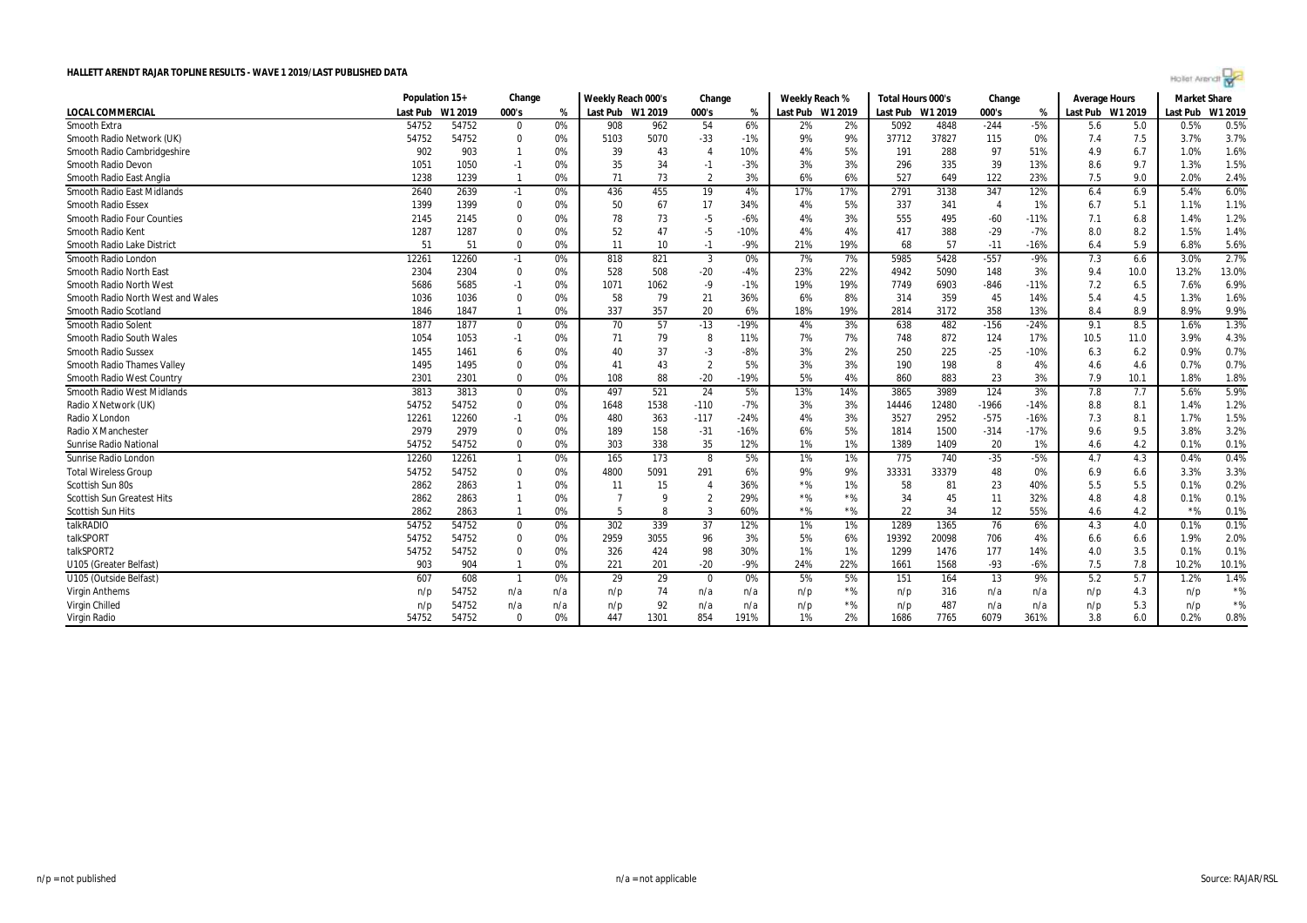

|                                   | Population 15+ |         | Change                  |       | Weekly Reach 000's   |      | Change                 |        | Weekly Reach %   |       | Total Hours 000's |       | Change     |        | <b>Average Hours</b> |      | <b>Market Share</b> |           |
|-----------------------------------|----------------|---------|-------------------------|-------|----------------------|------|------------------------|--------|------------------|-------|-------------------|-------|------------|--------|----------------------|------|---------------------|-----------|
| <b>LOCAL COMMERCIAL</b>           | Last Pub       | W1 2019 | 000's                   | %     | Last Pub W1 2019     |      | 000's                  | %      | Last Pub W1 2019 |       | Last Pub W1 2019  |       | 000's      | %      | Last Pub W1 2019     |      | Last Pub            | W1 2019   |
| Smooth Extra                      | 54752          | 54752   | $\mathbf 0$             | 0%    | 908                  | 962  | 54                     | 6%     | 2%               | 2%    | 5092              | 4848  | $-244$     | $-5%$  | 5.6                  | 5.0  | 0.5%                | 0.5%      |
| Smooth Radio Network (UK)         | 54752          | 54752   | $\mathbf{0}$            | 0%    | 5103                 | 5070 | $-33$                  | $-1%$  | 9%               | 9%    | 37712             | 37827 | 115        | 0%     | 7.4                  | 7.5  | 3.7%                | 3.7%      |
| Smooth Radio Cambridgeshire       | 902            | 903     |                         | 0%    | 39                   | 43   | $\overline{4}$         | 10%    | 4%               | 5%    | 191               | 288   | 97         | 51%    | 4.9                  | 6.7  | 1.0%                | 1.6%      |
| <b>Smooth Radio Devon</b>         | 1051           | 1050    | $-1$                    | 0%    | 35                   | 34   | $-1$                   | $-3%$  | 3%               | 3%    | 296               | 335   | 39         | 13%    | 8.6                  | 9.7  | 1.3%                | 1.5%      |
| Smooth Radio East Anglia          | 1238           | 1239    | $\overline{\mathbf{1}}$ | 0%    | 71                   | 73   | $\overline{2}$         | 3%     | 6%               | 6%    | 527               | 649   | 122        | 23%    | 7.5                  | 9.0  | 2.0%                | 2.4%      |
| <b>Smooth Radio East Midlands</b> | 2640           | 2639    | $-1$                    | 0%    | 436                  | 455  | 19                     | 4%     | 17%              | 17%   | 2791              | 3138  | 347        | 12%    | 6.4                  | 6.9  | 5.4%                | 6.0%      |
| <b>Smooth Radio Essex</b>         | 1399           | 1399    | $\mathbf 0$             | 0%    | 50                   | 67   | 17                     | 34%    | 4%               | 5%    | 337               | 341   | $\sqrt{2}$ | 1%     | 6.7                  | 5.1  | 1.1%                | 1.1%      |
| <b>Smooth Radio Four Counties</b> | 2145           | 2145    | $\mathbf 0$             | 0%    | 78                   | 73   | $-5$                   | $-6%$  | 4%               | 3%    | 555               | 495   | $-60$      | $-11%$ | 7.1                  | 6.8  | 1.4%                | 1.2%      |
| Smooth Radio Kent                 | 1287           | 1287    | $\mathbf 0$             | 0%    | 52                   | 47   | $-5$                   | $-10%$ | 4%               | 4%    | 417               | 388   | $-29$      | $-7%$  | 8.0                  | 8.2  | 1.5%                | 1.4%      |
| Smooth Radio Lake District        | 51             | 51      | $\Omega$                | 0%    | 11                   | 10   | $-1$                   | $-9%$  | 21%              | 19%   | 68                | 57    | $-11$      | $-16%$ | 6.4                  | 5.9  | 6.8%                | 5.6%      |
| Smooth Radio London               | 12261          | 12260   | $-1$                    | 0%    | 818                  | 821  | 3                      | 0%     | 7%               | 7%    | 5985              | 5428  | $-557$     | $-9%$  | 7.3                  | 6.6  | 3.0%                | 2.7%      |
| Smooth Radio North East           | 2304           | 2304    | $\mathbf 0$             | 0%    | 528                  | 508  | $-20$                  | $-4%$  | 23%              | 22%   | 4942              | 5090  | 148        | 3%     | 9.4                  | 10.0 | 13.2%               | 13.0%     |
| Smooth Radio North West           | 5686           | 5685    | $-1$                    | 0%    | 1071                 | 1062 | $-9$                   | $-1%$  | 19%              | 19%   | 7749              | 6903  | $-846$     | $-11%$ | 7.2                  | 6.5  | 7.6%                | 6.9%      |
| Smooth Radio North West and Wales | 1036           | 1036    | $\mathbf 0$             | 0%    | 58                   | 79   | 21                     | 36%    | 6%               | 8%    | 314               | 359   | 45         | 14%    | 5.4                  | 4.5  | 1.3%                | 1.6%      |
| Smooth Radio Scotland             | 1846           | 1847    | $\overline{1}$          | 0%    | 337                  | 357  | 20                     | 6%     | 18%              | 19%   | 2814              | 3172  | 358        | 13%    | 8.4                  | 8.9  | 8.9%                | 9.9%      |
| <b>Smooth Radio Solent</b>        | 1877           | 1877    | $\mathbf 0$             | 0%    | 70                   | 57   | $-13$                  | $-19%$ | 4%               | 3%    | 638               | 482   | $-156$     | $-24%$ | 9.1                  | 8.5  | 1.6%                | 1.3%      |
| Smooth Radio South Wales          | 1054           | 1053    | $-1$                    | 0%    | 71                   | 79   | -8                     | 11%    | 7%               | 7%    | 748               | 872   | 124        | 17%    | 10.5                 | 11.0 | 3.9%                | 4.3%      |
| <b>Smooth Radio Sussex</b>        | 1455           | 1461    | 6                       | 0%    | 40                   | 37   | $-3$                   | -8%    | 3%               | 2%    | 250               | 225   | $-25$      | $-10%$ | 6.3                  | 6.2  | 0.9%                | 0.7%      |
| <b>Smooth Radio Thames Valley</b> | 1495           | 1495    | $\mathbf 0$             | 0%    | $\mathbf{4}^{\cdot}$ | 43   | $\overline{2}$         | 5%     | 3%               | 3%    | 190               | 198   |            | 4%     | 4.6                  | 4.6  | 0.7%                | 0.7%      |
| Smooth Radio West Country         | 2301           | 2301    | $\mathbf 0$             | 0%    | 108                  | 88   | $-20$                  | $-19%$ | 5%               | 4%    | 860               | 883   | 23         | 3%     | 7.9                  | 10.1 | 1.8%                | 1.8%      |
| Smooth Radio West Midlands        | 3813           | 3813    | $\mathbf 0$             | $0\%$ | 497                  | 521  | 24                     | 5%     | 13%              | 14%   | 3865              | 3989  | 124        | 3%     | 7.8                  | 7.7  | 5.6%                | 5.9%      |
| Radio X Network (UK)              | 54752          | 54752   | $\mathbf 0$             | 0%    | 1648                 | 1538 | $-110$                 | $-7%$  | 3%               | 3%    | 14446             | 12480 | $-1966$    | $-14%$ | 8.8                  | 8.1  | 1.4%                | 1.2%      |
| Radio X London                    | 12261          | 12260   | $-1$                    | 0%    | 480                  | 363  | $-117$                 | $-24%$ | 4%               | 3%    | 3527              | 2952  | $-575$     | $-16%$ | 7.3                  | 8.1  | 1.7%                | 1.5%      |
| Radio X Manchester                | 2979           | 2979    | $\mathbf 0$             | 0%    | 189                  | 158  | $-31$                  | $-16%$ | 6%               | 5%    | 1814              | 1500  | $-314$     | $-17%$ | 9.6                  | 9.5  | 3.8%                | 3.2%      |
| Sunrise Radio National            | 54752          | 54752   | $\mathbf 0$             | 0%    | 303                  | 338  | 35                     | 12%    | 1%               | 1%    | 1389              | 1409  | 20         | 1%     | 4.6                  | 4.2  | 0.1%                | 0.1%      |
| Sunrise Radio London              | 12260          | 12261   | $\overline{1}$          | 0%    | 165                  | 173  | 8                      | 5%     | 1%               | 1%    | 775               | 740   | $-35$      | $-5%$  | 4.7                  | 4.3  | 0.4%                | 0.4%      |
| <b>Total Wireless Group</b>       | 54752          | 54752   | $\mathbf 0$             | 0%    | 4800                 | 5091 | 291                    | 6%     | 9%               | 9%    | 33331             | 33379 | 48         | 0%     | 6.9                  | 6.6  | 3.3%                | 3.3%      |
| Scottish Sun 80s                  | 2862           | 2863    | $\mathbf{1}$            | 0%    | 11                   | 15   | $\boldsymbol{\Lambda}$ | 36%    | $*$ %            | 1%    | 58                | 81    | 23         | 40%    | 5.5                  | 5.5  | 0.1%                | 0.2%      |
| <b>Scottish Sun Greatest Hits</b> | 2862           | 2863    | $\overline{1}$          | 0%    |                      | q    | $\overline{2}$         | 29%    | $*$ %            | $*$ % | 34                | 45    | 11         | 32%    | 4.8                  | 4.8  | 0.1%                | 0.1%      |
| <b>Scottish Sun Hits</b>          | 2862           | 2863    | $\overline{1}$          | 0%    | 5                    |      | 3                      | 60%    | $*$ %            | $*$ % | 22                | 34    | 12         | 55%    | 4.6                  | 4.2  | $*$ %               | 0.1%      |
| talkRADIO                         | 54752          | 54752   | $\mathbf 0$             | 0%    | 302                  | 339  | 37                     | 12%    | 1%               | 1%    | 1289              | 1365  | 76         | 6%     | 4.3                  | 4.0  | 0.1%                | 0.1%      |
| talkSPORT                         | 54752          | 54752   | $\mathbf 0$             | 0%    | 2959                 | 3055 | 96                     | 3%     | 5%               | 6%    | 19392             | 20098 | 706        | 4%     | 6.6                  | 6.6  | 1.9%                | 2.0%      |
| talkSPORT2                        | 54752          | 54752   | $\mathbf 0$             | 0%    | 326                  | 424  | 98                     | 30%    | 1%               | 1%    | 1299              | 1476  | 177        | 14%    | 4.0                  | 3.5  | 0.1%                | 0.1%      |
| U105 (Greater Belfast)            | 903            | 904     | $\mathbf{1}$            | 0%    | 221                  | 201  | $-20$                  | $-9%$  | 24%              | 22%   | 1661              | 1568  | $-93$      | $-6%$  | 7.5                  | 7.8  | 10.2%               | 10.1%     |
| U105 (Outside Belfast)            | 607            | 608     | $\overline{1}$          | 0%    | 29                   | 29   | 0                      | 0%     | 5%               | 5%    | 151               | 164   | 13         | 9%     | 5.2                  | 5.7  | 1.2%                | 1.4%      |
| <b>Virgin Anthems</b>             | n/p            | 54752   | n/a                     | n/a   | n/p                  | 74   | n/a                    | n/a    | n/p              | $*$ % | n/p               | 316   | n/a        | n/a    | n/p                  | 4.3  | n/p                 | $\star$ % |
| Virgin Chilled                    | n/p            | 54752   | n/a                     | n/a   | n/p                  | 92   | n/a                    | n/a    | n/p              | $*$ % | n/p               | 487   | n/a        | n/a    | n/p                  | 5.3  | n/p                 | $\star$ % |
| Virgin Radio                      | 54752          | 54752   | $\mathbf{0}$            | 0%    | 447                  | 1301 | 854                    | 191%   | 1%               | 2%    | 1686              | 7765  | 6079       | 361%   | 3.8                  | 6.0  | 0.2%                | 0.8%      |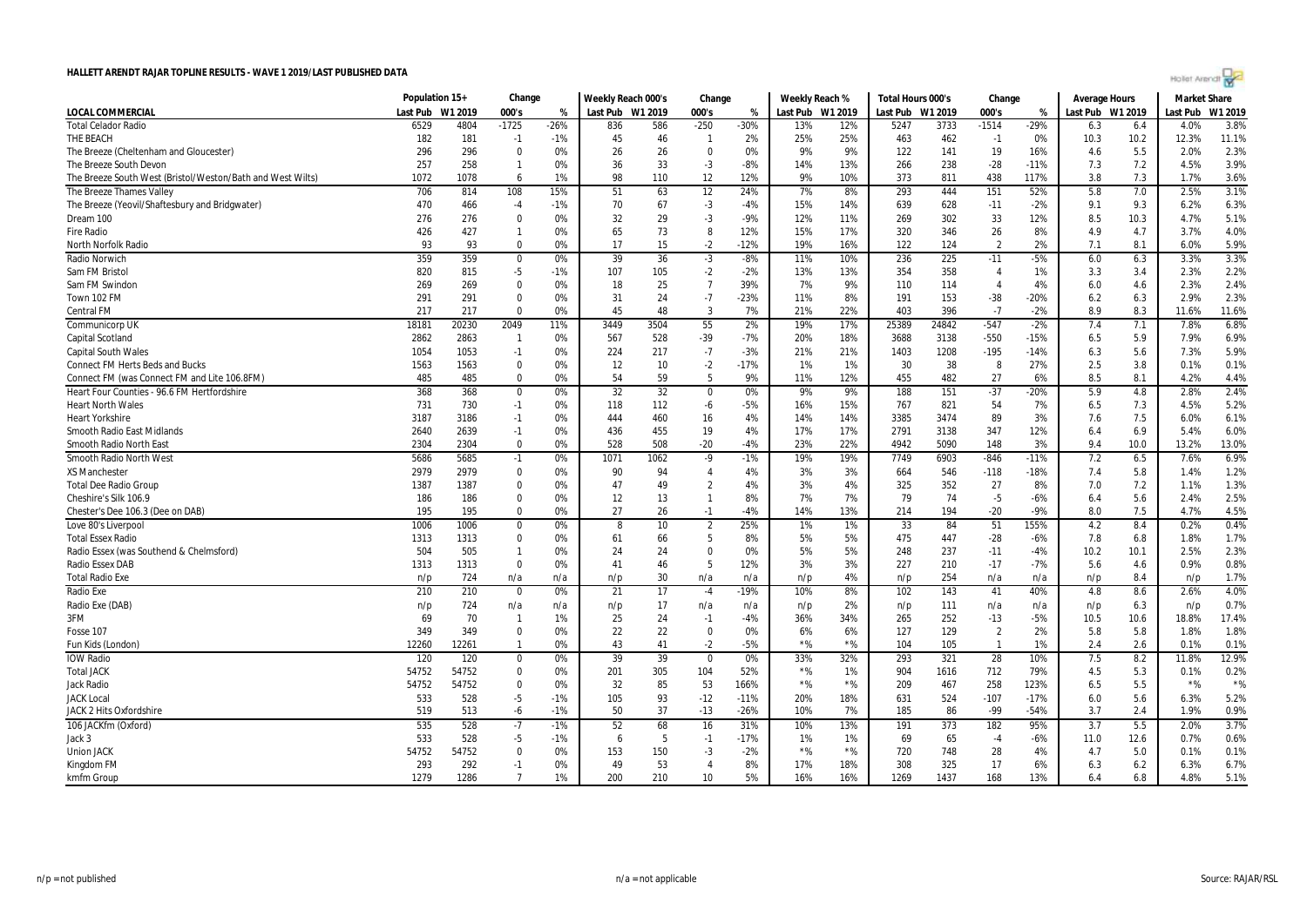| Hollet Arendt ro |  |  |  |
|------------------|--|--|--|
|                  |  |  |  |

| <b>LOCAL COMMERCIAL</b><br>Last Pub W1 2019<br>000's<br>Last Pub W1 2019<br>000's<br>Last Pub W1 2019<br>Last Pub W1 2019<br>000's<br>Last Pub W1 2019<br>Last Pub<br>W1 2019<br>%<br>%<br>%<br><b>Total Celador Radio</b><br>6529<br>$-1725$<br>$-1514$<br>3.8%<br>4804<br>$-26%$<br>836<br>586<br>$-250$<br>$-30%$<br>13%<br>12%<br>5247<br>3733<br>$-29%$<br>4.0%<br>6.3<br>6.4<br>11.1%<br>THE BEACH<br>182<br>181<br>45<br>46<br>25%<br>25%<br>462<br>12.3%<br>$-1$<br>$-1%$<br>2%<br>463<br>$-1$<br>0%<br>10.3<br>10.2<br>$\mathbf{1}$<br>296<br>296<br>$\mathbf 0$<br>0%<br>26<br>26<br>$\mathbf 0$<br>0%<br>9%<br>9%<br>122<br>141<br>19<br>16%<br>5.5<br>2.0%<br>2.3%<br>The Breeze (Cheltenham and Gloucester)<br>4.6<br>3.9%<br>257<br>258<br>0%<br>36<br>33<br>$-3$<br>$-8%$<br>13%<br>238<br>$-28$<br>7.3<br>7.2<br>4.5%<br>The Breeze South Devon<br>$\mathbf{1}$<br>14%<br>266<br>$-11%$<br>1072<br>98<br>12<br>12%<br>9%<br>373<br>811<br>438<br>117%<br>3.8<br>7.3<br>3.6%<br>The Breeze South West (Bristol/Weston/Bath and West Wilts)<br>6<br>1%<br>110<br>10%<br>1.7%<br>1078<br>15%<br>293<br>5.8<br>7.0<br>2.5%<br>3.1%<br>706<br>814<br>108<br>51<br>63<br>12<br>24%<br>7%<br>8%<br>444<br>151<br>52%<br>The Breeze Thames Valley<br>470<br>67<br>$-3$<br>14%<br>639<br>628<br>9.3<br>6.3%<br>The Breeze (Yeovil/Shaftesbury and Bridgwater)<br>466<br>$-4$<br>$-1%$<br>70<br>$-4%$<br>15%<br>$-11$<br>$-2%$<br>9.1<br>6.2%<br>$-3$<br>33<br>5.1%<br>Dream 100<br>276<br>276<br>$\Omega$<br>0%<br>32<br>29<br>$-9%$<br>12%<br>11%<br>269<br>302<br>12%<br>8.5<br>10.3<br>4.7%<br>4.0%<br><b>Fire Radio</b><br>426<br>427<br>65<br>73<br>8<br>12%<br>15%<br>17%<br>320<br>346<br>26<br>8%<br>4.9<br>4.7<br>3.7%<br>$\mathbf{1}$<br>0%<br>$-2$<br>5.9%<br>93<br>93<br>$\Omega$<br>0%<br>17<br>15<br>$-12%$<br>19%<br>16%<br>122<br>124<br>$\overline{2}$<br>2%<br>7.1<br>8.1<br>6.0%<br><b>North Norfolk Radio</b><br>3.3%<br>359<br>359<br>0%<br>39<br>36<br>$-3$<br>$-8%$<br>11%<br>10%<br>236<br>225<br>$-11$<br>$-5%$<br>6.3<br>3.3%<br>6.0<br>Radio Norwich<br>$\mathbf 0$<br>820<br>815<br>$-5$<br>$-1%$<br>107<br>105<br>$-2$<br>$-2%$<br>13%<br>13%<br>358<br>3.4<br>2.3%<br>2.2%<br>Sam FM Bristol<br>354<br>1%<br>3.3<br>4<br>25<br>$\overline{7}$<br>39%<br>7%<br>114<br>2.4%<br>Sam FM Swindon<br>269<br>269<br>$\mathbf 0$<br>0%<br>18<br>9%<br>110<br>4%<br>6.0<br>4.6<br>2.3%<br>4<br>2.3%<br>31<br>24<br>$-7$<br>$-23%$<br>11%<br>153<br>2.9%<br>291<br>291<br>$\Omega$<br>0%<br>8%<br>191<br>$-38$<br>$-20%$<br>6.2<br>6.3<br>Town 102 FM<br>8.3<br><b>Central FM</b><br>217<br>217<br>$\Omega$<br>0%<br>45<br>48<br>3<br>7%<br>21%<br>22%<br>403<br>396<br>$-7$<br>$-2%$<br>8.9<br>11.6%<br>11.6%<br>$-547$<br>6.8%<br>18181<br>20230<br>2049<br>11%<br>3449<br>3504<br>55<br>2%<br>19%<br>17%<br>25389<br>24842<br>$-2%$<br>7.4<br>7.1<br>7.8%<br>Communicorp UK<br>6.9%<br>Capital Scotland<br>2863<br>567<br>528<br>$-39$<br>$-7%$<br>20%<br>18%<br>3138<br>$-550$<br>$-15%$<br>5.9<br>7.9%<br>2862<br>0%<br>3688<br>6.5<br>$\mathbf{1}$<br>5.9%<br>217<br>21%<br>1208<br>$-195$<br>5.6<br><b>Capital South Wales</b><br>1054<br>1053<br>$-1$<br>0%<br>224<br>$-7$<br>$-3%$<br>21%<br>1403<br>$-14%$<br>6.3<br>7.3%<br>$-2$<br>27%<br>2.5<br>0.1%<br><b>Connect FM Herts Beds and Bucks</b><br>1563<br>1563<br>$\mathbf 0$<br>0%<br>12<br>10<br>$-17%$<br>1%<br>1%<br>30<br>38<br>8<br>3.8<br>0.1%<br>$\mathbf 0$<br>54<br>59<br>5<br>9%<br>12%<br>455<br>482<br>27<br>8.5<br>8.1<br>4.4%<br>Connect FM (was Connect FM and Lite 106.8FM)<br>485<br>485<br>0%<br>11%<br>6%<br>4.2%<br>2.4%<br>368<br>368<br>0%<br>32<br>32<br>0%<br>9%<br>9%<br>188<br>151<br>$-37$<br>$-20%$<br>5.9<br>4.8<br>2.8%<br>Heart Four Counties - 96.6 FM Hertfordshire<br>$\Omega$<br>$\mathbf{0}$<br>54<br>7.3<br>5.2%<br>731<br>730<br>$-1$<br>0%<br>118<br>112<br>$-6$<br>$-5%$<br>16%<br>15%<br>767<br>821<br>7%<br>6.5<br>4.5%<br><b>Heart North Wales</b><br>3385<br>89<br>7.5<br>6.1%<br>3187<br>3186<br>0%<br>444<br>460<br>16<br>4%<br>14%<br>14%<br>3474<br>3%<br>7.6<br>6.0%<br><b>Heart Yorkshire</b><br>$-1$<br>2640<br>2639<br>$-1$<br>0%<br>436<br>455<br>19<br>4%<br>17%<br>17%<br>2791<br>3138<br>347<br>12%<br>6.4<br>6.9<br>5.4%<br>6.0%<br>Smooth Radio East Midlands<br>528<br>508<br>$-20$<br>23%<br>22%<br>4942<br>5090<br>148<br>3%<br>9.4<br>10.0<br>13.2%<br>13.0%<br>Smooth Radio North Eas<br>2304<br>2304<br>$\mathbf 0$<br>0%<br>-4%<br>6.9%<br>5686<br>$-846$<br>7.6%<br>5685<br>0%<br>1071<br>1062<br>$-9$<br>$-1%$<br>19%<br>19%<br>7749<br>6903<br>$-11%$<br>7.2<br>6.5<br>Smooth Radio North West<br>$-1$<br>1.2%<br>2979<br>$\mathbf 0$<br>90<br>546<br>5.8<br><b>XS Manchester</b><br>2979<br>0%<br>94<br>$\overline{4}$<br>4%<br>3%<br>3%<br>664<br>$-118$<br>$-18%$<br>7.4<br>1.4%<br>1387<br>1387<br>$\mathbf 0$<br>0%<br>47<br>49<br>$\overline{2}$<br>4%<br>3%<br>4%<br>325<br>352<br>27<br>7.0<br>7.2<br>1.3%<br><b>Total Dee Radio Group</b><br>8%<br>1.1%<br>13<br>8%<br>7%<br>74<br>$-5$<br>5.6<br>2.5%<br>Cheshire's Silk 106.9<br>186<br>186<br>$\Omega$<br>0%<br>12<br>$\overline{1}$<br>7%<br>79<br>$-6%$<br>6.4<br>2.4%<br>27<br>7.5<br>4.5%<br>Chester's Dee 106.3 (Dee on DAB)<br>195<br>195<br>$\Omega$<br>0%<br>26<br>$-1$<br>$-4%$<br>14%<br>13%<br>214<br>194<br>$-20$<br>$-9%$<br>8.0<br>4.7%<br>51<br>8.4<br>0.4%<br>1006<br>1006<br>0%<br>10<br>$\overline{2}$<br>25%<br>1%<br>1%<br>33<br>84<br>155%<br>4.2<br>0.2%<br>Love 80's Liverpool<br>$\mathbf 0$<br>8<br>5<br>1.7%<br>1313<br>1313<br>$\mathbf 0$<br>0%<br>61<br>66<br>8%<br>5%<br>5%<br>475<br>447<br>$-28$<br>7.8<br>1.8%<br><b>Total Essex Radio</b><br>$-6%$<br>6.8<br>504<br>505<br>0%<br>24<br>24<br>$\mathbf 0$<br>0%<br>5%<br>5%<br>248<br>237<br>$-11$<br>$-4%$<br>10.2<br>10.1<br>2.5%<br>2.3%<br>Radio Essex (was Southend & Chelmsford)<br>$\mathbf{1}$<br>0.8%<br>Radio Essex DAB<br>1313<br>41<br>46<br>5<br>12%<br>3%<br>3%<br>227<br>210<br>$-17$<br>5.6<br>0.9%<br>1313<br>$\Omega$<br>0%<br>$-7%$<br>4.6<br>30<br>4%<br>254<br>1.7%<br><b>Total Radio Exe</b><br>724<br>n/p<br>n/a<br>8.4<br>n/p<br>n/a<br>n/a<br>n/a<br>n/p<br>n/p<br>n/a<br>n/a<br>n/p<br>n/p<br>17<br>8%<br>4.0%<br>210<br>210<br>0%<br>21<br>$-19%$<br>10%<br>143<br>40%<br>4.8<br>8.6<br>2.6%<br>Radio Exe<br>$-4$<br>102<br>41<br>$\Omega$<br>17<br>0.7%<br>Radio Exe (DAB)<br>724<br>n/a<br>n/a<br>n/a<br>2%<br>111<br>6.3<br>n/p<br>n/p<br>n/a<br>n/p<br>n/p<br>n/a<br>n/a<br>n/p<br>n/p<br>3FM<br>69<br>70<br>1%<br>25<br>24<br>$-4%$<br>34%<br>265<br>252<br>$-13$<br>$-5%$<br>10.5<br>10.6<br>17.4%<br>$\mathbf{1}$<br>$-1$<br>36%<br>18.8%<br>22<br>22<br>1.8%<br>349<br>349<br>$\Omega$<br>0%<br>$\Omega$<br>0%<br>6%<br>6%<br>127<br>129<br>2%<br>5.8<br>5.8<br>$\overline{2}$<br>1.8%<br>Fosse 107<br>$*$ %<br>12260<br>12261<br>0%<br>43<br>41<br>$-2$<br>$-5%$<br>$*$ %<br>104<br>105<br>1%<br>2.4<br>2.6<br>0.1%<br>Fun Kids (London)<br>$\mathbf{1}$<br>$\mathbf{1}$<br>0.1%<br>39<br>321<br>28<br>12.9%<br><b>IOW Radio</b><br>120<br>120<br>39<br>33%<br>32%<br>293<br>7.5<br>8.2<br>11.8%<br>0%<br>$\Omega$<br>0%<br>10%<br>0<br>54752<br>54752<br>$*$ %<br>712<br>5.3<br>0.2%<br><b>Total JACK</b><br>0<br>0%<br>201<br>305<br>104<br>52%<br>1%<br>904<br>1616<br>79%<br>4.5<br>0.1%<br>$*$ %<br>32<br>$*$ %<br>54752<br>$\Omega$<br>85<br>53<br>$*$ %<br>258<br>5.5<br>$*$ %<br>54752<br>0%<br>166%<br>209<br>467<br>123%<br>6.5<br>Jack Radio<br>$-5$<br>105<br>93<br>524<br>$-107$<br>$-17%$<br>5.6<br>5.2%<br><b>JACK Local</b><br>533<br>528<br>$-1%$<br>$-12$<br>$-11%$<br>20%<br>18%<br>631<br>6.0<br>6.3%<br>37<br>0.9%<br>JACK 2 Hits Oxfordshire<br>519<br>513<br>$-6$<br>$-1%$<br>50<br>$-13$<br>$-26%$<br>10%<br>7%<br>185<br>86<br>$-99$<br>$-54%$<br>3.7<br>2.4<br>1.9%<br>3.7%<br>535<br>$\overline{.7}$<br>$-1%$<br>52<br>68<br>373<br>182<br>95%<br>106 JACKfm (Oxford)<br>528<br>16<br>31%<br>10%<br>13%<br>191<br>3.7<br>5.5<br>2.0%<br>0.6%<br>533<br>528<br>$-5$<br>5<br>1%<br>69<br>12.6<br>0.7%<br>Jack 3<br>$-1%$<br>6<br>$-1$<br>$-17%$<br>1%<br>65<br>$-4$<br>$-6%$<br>11.0<br>$*$ %<br>54752<br>153<br>$*$ %<br>748<br>28<br>0.1%<br><b>Union JACK</b><br>54752<br>$\mathbf 0$<br>0%<br>150<br>-3<br>$-2%$<br>720<br>4%<br>4.7<br>5.0<br>0.1%<br>293<br>292<br>49<br>53<br>8%<br>17%<br>18%<br>308<br>325<br>17<br>6.7%<br>Kingdom FM<br>$-1$<br>0%<br>$\overline{4}$<br>6%<br>6.3<br>6.2<br>6.3%<br>1279<br>$\overline{7}$<br>5%<br>16%<br>1437<br>5.1%<br>kmfm Group<br>1286<br>1%<br>200<br>210<br>10<br>16%<br>1269<br>168<br>13%<br>6.8<br>4.8%<br>6.4 | Population 15+ | Change | Weekly Reach 000's | Change | Weekly Reach % | Total Hours 000's | Change | Average Hours | <b>Market Share</b> |  |
|----------------------------------------------------------------------------------------------------------------------------------------------------------------------------------------------------------------------------------------------------------------------------------------------------------------------------------------------------------------------------------------------------------------------------------------------------------------------------------------------------------------------------------------------------------------------------------------------------------------------------------------------------------------------------------------------------------------------------------------------------------------------------------------------------------------------------------------------------------------------------------------------------------------------------------------------------------------------------------------------------------------------------------------------------------------------------------------------------------------------------------------------------------------------------------------------------------------------------------------------------------------------------------------------------------------------------------------------------------------------------------------------------------------------------------------------------------------------------------------------------------------------------------------------------------------------------------------------------------------------------------------------------------------------------------------------------------------------------------------------------------------------------------------------------------------------------------------------------------------------------------------------------------------------------------------------------------------------------------------------------------------------------------------------------------------------------------------------------------------------------------------------------------------------------------------------------------------------------------------------------------------------------------------------------------------------------------------------------------------------------------------------------------------------------------------------------------------------------------------------------------------------------------------------------------------------------------------------------------------------------------------------------------------------------------------------------------------------------------------------------------------------------------------------------------------------------------------------------------------------------------------------------------------------------------------------------------------------------------------------------------------------------------------------------------------------------------------------------------------------------------------------------------------------------------------------------------------------------------------------------------------------------------------------------------------------------------------------------------------------------------------------------------------------------------------------------------------------------------------------------------------------------------------------------------------------------------------------------------------------------------------------------------------------------------------------------------------------------------------------------------------------------------------------------------------------------------------------------------------------------------------------------------------------------------------------------------------------------------------------------------------------------------------------------------------------------------------------------------------------------------------------------------------------------------------------------------------------------------------------------------------------------------------------------------------------------------------------------------------------------------------------------------------------------------------------------------------------------------------------------------------------------------------------------------------------------------------------------------------------------------------------------------------------------------------------------------------------------------------------------------------------------------------------------------------------------------------------------------------------------------------------------------------------------------------------------------------------------------------------------------------------------------------------------------------------------------------------------------------------------------------------------------------------------------------------------------------------------------------------------------------------------------------------------------------------------------------------------------------------------------------------------------------------------------------------------------------------------------------------------------------------------------------------------------------------------------------------------------------------------------------------------------------------------------------------------------------------------------------------------------------------------------------------------------------------------------------------------------------------------------------------------------------------------------------------------------------------------------------------------------------------------------------------------------------------------------------------------------------------------------------------------------------------------------------------------------------------------------------------------------------------------------------------------------------------------------------------------------------------------------------------------------------------------------------------------------------------------------------------------------------------------------------------------------------------------------------------------------------------------------------------------------------------------------------------------------------------------------------------------------------------------------------------------------------------------------------------------------------------------------------------------------------------------------------------------------------------------------------------------------------------------------------------------------------------------------------------------------------------------------------------------------------------------------------------------------------------------------------------------------------------------------------------------------------------------------------------------------------------------------------------------------------------------------------------------------------------------------------------------------------------------------------------------------------------------------------------------------------------------------------------------------------------------------------------------------------------------------------------------------------------------------------------------------------------------------------------------------------------------------------------------------------------------------------------------------------------------------------------------------------------------------------------------------------------------------------------------------------------------------------------------------------------------------------------------------------------------------------------------------------------------------------------------------------------------------------------------------------------------------------------------------------------------------------------------------------------------------------------------------------------------------------------------------------------------------------------------------------------------------------------|----------------|--------|--------------------|--------|----------------|-------------------|--------|---------------|---------------------|--|
|                                                                                                                                                                                                                                                                                                                                                                                                                                                                                                                                                                                                                                                                                                                                                                                                                                                                                                                                                                                                                                                                                                                                                                                                                                                                                                                                                                                                                                                                                                                                                                                                                                                                                                                                                                                                                                                                                                                                                                                                                                                                                                                                                                                                                                                                                                                                                                                                                                                                                                                                                                                                                                                                                                                                                                                                                                                                                                                                                                                                                                                                                                                                                                                                                                                                                                                                                                                                                                                                                                                                                                                                                                                                                                                                                                                                                                                                                                                                                                                                                                                                                                                                                                                                                                                                                                                                                                                                                                                                                                                                                                                                                                                                                                                                                                                                                                                                                                                                                                                                                                                                                                                                                                                                                                                                                                                                                                                                                                                                                                                                                                                                                                                                                                                                                                                                                                                                                                                                                                                                                                                                                                                                                                                                                                                                                                                                                                                                                                                                                                                                                                                                                                                                                                                                                                                                                                                                                                                                                                                                                                                                                                                                                                                                                                                                                                                                                                                                                                                                                                                                                                                                                                                                                                                                                                                                                                                                                                                                                                                                                                                                                                                                                                                                                                                                                                                                                                                                                                                                                                                                                                                                                                              |                |        |                    |        |                |                   |        |               |                     |  |
|                                                                                                                                                                                                                                                                                                                                                                                                                                                                                                                                                                                                                                                                                                                                                                                                                                                                                                                                                                                                                                                                                                                                                                                                                                                                                                                                                                                                                                                                                                                                                                                                                                                                                                                                                                                                                                                                                                                                                                                                                                                                                                                                                                                                                                                                                                                                                                                                                                                                                                                                                                                                                                                                                                                                                                                                                                                                                                                                                                                                                                                                                                                                                                                                                                                                                                                                                                                                                                                                                                                                                                                                                                                                                                                                                                                                                                                                                                                                                                                                                                                                                                                                                                                                                                                                                                                                                                                                                                                                                                                                                                                                                                                                                                                                                                                                                                                                                                                                                                                                                                                                                                                                                                                                                                                                                                                                                                                                                                                                                                                                                                                                                                                                                                                                                                                                                                                                                                                                                                                                                                                                                                                                                                                                                                                                                                                                                                                                                                                                                                                                                                                                                                                                                                                                                                                                                                                                                                                                                                                                                                                                                                                                                                                                                                                                                                                                                                                                                                                                                                                                                                                                                                                                                                                                                                                                                                                                                                                                                                                                                                                                                                                                                                                                                                                                                                                                                                                                                                                                                                                                                                                                                                              |                |        |                    |        |                |                   |        |               |                     |  |
|                                                                                                                                                                                                                                                                                                                                                                                                                                                                                                                                                                                                                                                                                                                                                                                                                                                                                                                                                                                                                                                                                                                                                                                                                                                                                                                                                                                                                                                                                                                                                                                                                                                                                                                                                                                                                                                                                                                                                                                                                                                                                                                                                                                                                                                                                                                                                                                                                                                                                                                                                                                                                                                                                                                                                                                                                                                                                                                                                                                                                                                                                                                                                                                                                                                                                                                                                                                                                                                                                                                                                                                                                                                                                                                                                                                                                                                                                                                                                                                                                                                                                                                                                                                                                                                                                                                                                                                                                                                                                                                                                                                                                                                                                                                                                                                                                                                                                                                                                                                                                                                                                                                                                                                                                                                                                                                                                                                                                                                                                                                                                                                                                                                                                                                                                                                                                                                                                                                                                                                                                                                                                                                                                                                                                                                                                                                                                                                                                                                                                                                                                                                                                                                                                                                                                                                                                                                                                                                                                                                                                                                                                                                                                                                                                                                                                                                                                                                                                                                                                                                                                                                                                                                                                                                                                                                                                                                                                                                                                                                                                                                                                                                                                                                                                                                                                                                                                                                                                                                                                                                                                                                                                                              |                |        |                    |        |                |                   |        |               |                     |  |
|                                                                                                                                                                                                                                                                                                                                                                                                                                                                                                                                                                                                                                                                                                                                                                                                                                                                                                                                                                                                                                                                                                                                                                                                                                                                                                                                                                                                                                                                                                                                                                                                                                                                                                                                                                                                                                                                                                                                                                                                                                                                                                                                                                                                                                                                                                                                                                                                                                                                                                                                                                                                                                                                                                                                                                                                                                                                                                                                                                                                                                                                                                                                                                                                                                                                                                                                                                                                                                                                                                                                                                                                                                                                                                                                                                                                                                                                                                                                                                                                                                                                                                                                                                                                                                                                                                                                                                                                                                                                                                                                                                                                                                                                                                                                                                                                                                                                                                                                                                                                                                                                                                                                                                                                                                                                                                                                                                                                                                                                                                                                                                                                                                                                                                                                                                                                                                                                                                                                                                                                                                                                                                                                                                                                                                                                                                                                                                                                                                                                                                                                                                                                                                                                                                                                                                                                                                                                                                                                                                                                                                                                                                                                                                                                                                                                                                                                                                                                                                                                                                                                                                                                                                                                                                                                                                                                                                                                                                                                                                                                                                                                                                                                                                                                                                                                                                                                                                                                                                                                                                                                                                                                                                              |                |        |                    |        |                |                   |        |               |                     |  |
|                                                                                                                                                                                                                                                                                                                                                                                                                                                                                                                                                                                                                                                                                                                                                                                                                                                                                                                                                                                                                                                                                                                                                                                                                                                                                                                                                                                                                                                                                                                                                                                                                                                                                                                                                                                                                                                                                                                                                                                                                                                                                                                                                                                                                                                                                                                                                                                                                                                                                                                                                                                                                                                                                                                                                                                                                                                                                                                                                                                                                                                                                                                                                                                                                                                                                                                                                                                                                                                                                                                                                                                                                                                                                                                                                                                                                                                                                                                                                                                                                                                                                                                                                                                                                                                                                                                                                                                                                                                                                                                                                                                                                                                                                                                                                                                                                                                                                                                                                                                                                                                                                                                                                                                                                                                                                                                                                                                                                                                                                                                                                                                                                                                                                                                                                                                                                                                                                                                                                                                                                                                                                                                                                                                                                                                                                                                                                                                                                                                                                                                                                                                                                                                                                                                                                                                                                                                                                                                                                                                                                                                                                                                                                                                                                                                                                                                                                                                                                                                                                                                                                                                                                                                                                                                                                                                                                                                                                                                                                                                                                                                                                                                                                                                                                                                                                                                                                                                                                                                                                                                                                                                                                                              |                |        |                    |        |                |                   |        |               |                     |  |
|                                                                                                                                                                                                                                                                                                                                                                                                                                                                                                                                                                                                                                                                                                                                                                                                                                                                                                                                                                                                                                                                                                                                                                                                                                                                                                                                                                                                                                                                                                                                                                                                                                                                                                                                                                                                                                                                                                                                                                                                                                                                                                                                                                                                                                                                                                                                                                                                                                                                                                                                                                                                                                                                                                                                                                                                                                                                                                                                                                                                                                                                                                                                                                                                                                                                                                                                                                                                                                                                                                                                                                                                                                                                                                                                                                                                                                                                                                                                                                                                                                                                                                                                                                                                                                                                                                                                                                                                                                                                                                                                                                                                                                                                                                                                                                                                                                                                                                                                                                                                                                                                                                                                                                                                                                                                                                                                                                                                                                                                                                                                                                                                                                                                                                                                                                                                                                                                                                                                                                                                                                                                                                                                                                                                                                                                                                                                                                                                                                                                                                                                                                                                                                                                                                                                                                                                                                                                                                                                                                                                                                                                                                                                                                                                                                                                                                                                                                                                                                                                                                                                                                                                                                                                                                                                                                                                                                                                                                                                                                                                                                                                                                                                                                                                                                                                                                                                                                                                                                                                                                                                                                                                                                              |                |        |                    |        |                |                   |        |               |                     |  |
|                                                                                                                                                                                                                                                                                                                                                                                                                                                                                                                                                                                                                                                                                                                                                                                                                                                                                                                                                                                                                                                                                                                                                                                                                                                                                                                                                                                                                                                                                                                                                                                                                                                                                                                                                                                                                                                                                                                                                                                                                                                                                                                                                                                                                                                                                                                                                                                                                                                                                                                                                                                                                                                                                                                                                                                                                                                                                                                                                                                                                                                                                                                                                                                                                                                                                                                                                                                                                                                                                                                                                                                                                                                                                                                                                                                                                                                                                                                                                                                                                                                                                                                                                                                                                                                                                                                                                                                                                                                                                                                                                                                                                                                                                                                                                                                                                                                                                                                                                                                                                                                                                                                                                                                                                                                                                                                                                                                                                                                                                                                                                                                                                                                                                                                                                                                                                                                                                                                                                                                                                                                                                                                                                                                                                                                                                                                                                                                                                                                                                                                                                                                                                                                                                                                                                                                                                                                                                                                                                                                                                                                                                                                                                                                                                                                                                                                                                                                                                                                                                                                                                                                                                                                                                                                                                                                                                                                                                                                                                                                                                                                                                                                                                                                                                                                                                                                                                                                                                                                                                                                                                                                                                                              |                |        |                    |        |                |                   |        |               |                     |  |
|                                                                                                                                                                                                                                                                                                                                                                                                                                                                                                                                                                                                                                                                                                                                                                                                                                                                                                                                                                                                                                                                                                                                                                                                                                                                                                                                                                                                                                                                                                                                                                                                                                                                                                                                                                                                                                                                                                                                                                                                                                                                                                                                                                                                                                                                                                                                                                                                                                                                                                                                                                                                                                                                                                                                                                                                                                                                                                                                                                                                                                                                                                                                                                                                                                                                                                                                                                                                                                                                                                                                                                                                                                                                                                                                                                                                                                                                                                                                                                                                                                                                                                                                                                                                                                                                                                                                                                                                                                                                                                                                                                                                                                                                                                                                                                                                                                                                                                                                                                                                                                                                                                                                                                                                                                                                                                                                                                                                                                                                                                                                                                                                                                                                                                                                                                                                                                                                                                                                                                                                                                                                                                                                                                                                                                                                                                                                                                                                                                                                                                                                                                                                                                                                                                                                                                                                                                                                                                                                                                                                                                                                                                                                                                                                                                                                                                                                                                                                                                                                                                                                                                                                                                                                                                                                                                                                                                                                                                                                                                                                                                                                                                                                                                                                                                                                                                                                                                                                                                                                                                                                                                                                                                              |                |        |                    |        |                |                   |        |               |                     |  |
|                                                                                                                                                                                                                                                                                                                                                                                                                                                                                                                                                                                                                                                                                                                                                                                                                                                                                                                                                                                                                                                                                                                                                                                                                                                                                                                                                                                                                                                                                                                                                                                                                                                                                                                                                                                                                                                                                                                                                                                                                                                                                                                                                                                                                                                                                                                                                                                                                                                                                                                                                                                                                                                                                                                                                                                                                                                                                                                                                                                                                                                                                                                                                                                                                                                                                                                                                                                                                                                                                                                                                                                                                                                                                                                                                                                                                                                                                                                                                                                                                                                                                                                                                                                                                                                                                                                                                                                                                                                                                                                                                                                                                                                                                                                                                                                                                                                                                                                                                                                                                                                                                                                                                                                                                                                                                                                                                                                                                                                                                                                                                                                                                                                                                                                                                                                                                                                                                                                                                                                                                                                                                                                                                                                                                                                                                                                                                                                                                                                                                                                                                                                                                                                                                                                                                                                                                                                                                                                                                                                                                                                                                                                                                                                                                                                                                                                                                                                                                                                                                                                                                                                                                                                                                                                                                                                                                                                                                                                                                                                                                                                                                                                                                                                                                                                                                                                                                                                                                                                                                                                                                                                                                                              |                |        |                    |        |                |                   |        |               |                     |  |
|                                                                                                                                                                                                                                                                                                                                                                                                                                                                                                                                                                                                                                                                                                                                                                                                                                                                                                                                                                                                                                                                                                                                                                                                                                                                                                                                                                                                                                                                                                                                                                                                                                                                                                                                                                                                                                                                                                                                                                                                                                                                                                                                                                                                                                                                                                                                                                                                                                                                                                                                                                                                                                                                                                                                                                                                                                                                                                                                                                                                                                                                                                                                                                                                                                                                                                                                                                                                                                                                                                                                                                                                                                                                                                                                                                                                                                                                                                                                                                                                                                                                                                                                                                                                                                                                                                                                                                                                                                                                                                                                                                                                                                                                                                                                                                                                                                                                                                                                                                                                                                                                                                                                                                                                                                                                                                                                                                                                                                                                                                                                                                                                                                                                                                                                                                                                                                                                                                                                                                                                                                                                                                                                                                                                                                                                                                                                                                                                                                                                                                                                                                                                                                                                                                                                                                                                                                                                                                                                                                                                                                                                                                                                                                                                                                                                                                                                                                                                                                                                                                                                                                                                                                                                                                                                                                                                                                                                                                                                                                                                                                                                                                                                                                                                                                                                                                                                                                                                                                                                                                                                                                                                                                              |                |        |                    |        |                |                   |        |               |                     |  |
|                                                                                                                                                                                                                                                                                                                                                                                                                                                                                                                                                                                                                                                                                                                                                                                                                                                                                                                                                                                                                                                                                                                                                                                                                                                                                                                                                                                                                                                                                                                                                                                                                                                                                                                                                                                                                                                                                                                                                                                                                                                                                                                                                                                                                                                                                                                                                                                                                                                                                                                                                                                                                                                                                                                                                                                                                                                                                                                                                                                                                                                                                                                                                                                                                                                                                                                                                                                                                                                                                                                                                                                                                                                                                                                                                                                                                                                                                                                                                                                                                                                                                                                                                                                                                                                                                                                                                                                                                                                                                                                                                                                                                                                                                                                                                                                                                                                                                                                                                                                                                                                                                                                                                                                                                                                                                                                                                                                                                                                                                                                                                                                                                                                                                                                                                                                                                                                                                                                                                                                                                                                                                                                                                                                                                                                                                                                                                                                                                                                                                                                                                                                                                                                                                                                                                                                                                                                                                                                                                                                                                                                                                                                                                                                                                                                                                                                                                                                                                                                                                                                                                                                                                                                                                                                                                                                                                                                                                                                                                                                                                                                                                                                                                                                                                                                                                                                                                                                                                                                                                                                                                                                                                                              |                |        |                    |        |                |                   |        |               |                     |  |
|                                                                                                                                                                                                                                                                                                                                                                                                                                                                                                                                                                                                                                                                                                                                                                                                                                                                                                                                                                                                                                                                                                                                                                                                                                                                                                                                                                                                                                                                                                                                                                                                                                                                                                                                                                                                                                                                                                                                                                                                                                                                                                                                                                                                                                                                                                                                                                                                                                                                                                                                                                                                                                                                                                                                                                                                                                                                                                                                                                                                                                                                                                                                                                                                                                                                                                                                                                                                                                                                                                                                                                                                                                                                                                                                                                                                                                                                                                                                                                                                                                                                                                                                                                                                                                                                                                                                                                                                                                                                                                                                                                                                                                                                                                                                                                                                                                                                                                                                                                                                                                                                                                                                                                                                                                                                                                                                                                                                                                                                                                                                                                                                                                                                                                                                                                                                                                                                                                                                                                                                                                                                                                                                                                                                                                                                                                                                                                                                                                                                                                                                                                                                                                                                                                                                                                                                                                                                                                                                                                                                                                                                                                                                                                                                                                                                                                                                                                                                                                                                                                                                                                                                                                                                                                                                                                                                                                                                                                                                                                                                                                                                                                                                                                                                                                                                                                                                                                                                                                                                                                                                                                                                                                              |                |        |                    |        |                |                   |        |               |                     |  |
|                                                                                                                                                                                                                                                                                                                                                                                                                                                                                                                                                                                                                                                                                                                                                                                                                                                                                                                                                                                                                                                                                                                                                                                                                                                                                                                                                                                                                                                                                                                                                                                                                                                                                                                                                                                                                                                                                                                                                                                                                                                                                                                                                                                                                                                                                                                                                                                                                                                                                                                                                                                                                                                                                                                                                                                                                                                                                                                                                                                                                                                                                                                                                                                                                                                                                                                                                                                                                                                                                                                                                                                                                                                                                                                                                                                                                                                                                                                                                                                                                                                                                                                                                                                                                                                                                                                                                                                                                                                                                                                                                                                                                                                                                                                                                                                                                                                                                                                                                                                                                                                                                                                                                                                                                                                                                                                                                                                                                                                                                                                                                                                                                                                                                                                                                                                                                                                                                                                                                                                                                                                                                                                                                                                                                                                                                                                                                                                                                                                                                                                                                                                                                                                                                                                                                                                                                                                                                                                                                                                                                                                                                                                                                                                                                                                                                                                                                                                                                                                                                                                                                                                                                                                                                                                                                                                                                                                                                                                                                                                                                                                                                                                                                                                                                                                                                                                                                                                                                                                                                                                                                                                                                                              |                |        |                    |        |                |                   |        |               |                     |  |
|                                                                                                                                                                                                                                                                                                                                                                                                                                                                                                                                                                                                                                                                                                                                                                                                                                                                                                                                                                                                                                                                                                                                                                                                                                                                                                                                                                                                                                                                                                                                                                                                                                                                                                                                                                                                                                                                                                                                                                                                                                                                                                                                                                                                                                                                                                                                                                                                                                                                                                                                                                                                                                                                                                                                                                                                                                                                                                                                                                                                                                                                                                                                                                                                                                                                                                                                                                                                                                                                                                                                                                                                                                                                                                                                                                                                                                                                                                                                                                                                                                                                                                                                                                                                                                                                                                                                                                                                                                                                                                                                                                                                                                                                                                                                                                                                                                                                                                                                                                                                                                                                                                                                                                                                                                                                                                                                                                                                                                                                                                                                                                                                                                                                                                                                                                                                                                                                                                                                                                                                                                                                                                                                                                                                                                                                                                                                                                                                                                                                                                                                                                                                                                                                                                                                                                                                                                                                                                                                                                                                                                                                                                                                                                                                                                                                                                                                                                                                                                                                                                                                                                                                                                                                                                                                                                                                                                                                                                                                                                                                                                                                                                                                                                                                                                                                                                                                                                                                                                                                                                                                                                                                                                              |                |        |                    |        |                |                   |        |               |                     |  |
|                                                                                                                                                                                                                                                                                                                                                                                                                                                                                                                                                                                                                                                                                                                                                                                                                                                                                                                                                                                                                                                                                                                                                                                                                                                                                                                                                                                                                                                                                                                                                                                                                                                                                                                                                                                                                                                                                                                                                                                                                                                                                                                                                                                                                                                                                                                                                                                                                                                                                                                                                                                                                                                                                                                                                                                                                                                                                                                                                                                                                                                                                                                                                                                                                                                                                                                                                                                                                                                                                                                                                                                                                                                                                                                                                                                                                                                                                                                                                                                                                                                                                                                                                                                                                                                                                                                                                                                                                                                                                                                                                                                                                                                                                                                                                                                                                                                                                                                                                                                                                                                                                                                                                                                                                                                                                                                                                                                                                                                                                                                                                                                                                                                                                                                                                                                                                                                                                                                                                                                                                                                                                                                                                                                                                                                                                                                                                                                                                                                                                                                                                                                                                                                                                                                                                                                                                                                                                                                                                                                                                                                                                                                                                                                                                                                                                                                                                                                                                                                                                                                                                                                                                                                                                                                                                                                                                                                                                                                                                                                                                                                                                                                                                                                                                                                                                                                                                                                                                                                                                                                                                                                                                                              |                |        |                    |        |                |                   |        |               |                     |  |
|                                                                                                                                                                                                                                                                                                                                                                                                                                                                                                                                                                                                                                                                                                                                                                                                                                                                                                                                                                                                                                                                                                                                                                                                                                                                                                                                                                                                                                                                                                                                                                                                                                                                                                                                                                                                                                                                                                                                                                                                                                                                                                                                                                                                                                                                                                                                                                                                                                                                                                                                                                                                                                                                                                                                                                                                                                                                                                                                                                                                                                                                                                                                                                                                                                                                                                                                                                                                                                                                                                                                                                                                                                                                                                                                                                                                                                                                                                                                                                                                                                                                                                                                                                                                                                                                                                                                                                                                                                                                                                                                                                                                                                                                                                                                                                                                                                                                                                                                                                                                                                                                                                                                                                                                                                                                                                                                                                                                                                                                                                                                                                                                                                                                                                                                                                                                                                                                                                                                                                                                                                                                                                                                                                                                                                                                                                                                                                                                                                                                                                                                                                                                                                                                                                                                                                                                                                                                                                                                                                                                                                                                                                                                                                                                                                                                                                                                                                                                                                                                                                                                                                                                                                                                                                                                                                                                                                                                                                                                                                                                                                                                                                                                                                                                                                                                                                                                                                                                                                                                                                                                                                                                                                              |                |        |                    |        |                |                   |        |               |                     |  |
|                                                                                                                                                                                                                                                                                                                                                                                                                                                                                                                                                                                                                                                                                                                                                                                                                                                                                                                                                                                                                                                                                                                                                                                                                                                                                                                                                                                                                                                                                                                                                                                                                                                                                                                                                                                                                                                                                                                                                                                                                                                                                                                                                                                                                                                                                                                                                                                                                                                                                                                                                                                                                                                                                                                                                                                                                                                                                                                                                                                                                                                                                                                                                                                                                                                                                                                                                                                                                                                                                                                                                                                                                                                                                                                                                                                                                                                                                                                                                                                                                                                                                                                                                                                                                                                                                                                                                                                                                                                                                                                                                                                                                                                                                                                                                                                                                                                                                                                                                                                                                                                                                                                                                                                                                                                                                                                                                                                                                                                                                                                                                                                                                                                                                                                                                                                                                                                                                                                                                                                                                                                                                                                                                                                                                                                                                                                                                                                                                                                                                                                                                                                                                                                                                                                                                                                                                                                                                                                                                                                                                                                                                                                                                                                                                                                                                                                                                                                                                                                                                                                                                                                                                                                                                                                                                                                                                                                                                                                                                                                                                                                                                                                                                                                                                                                                                                                                                                                                                                                                                                                                                                                                                                              |                |        |                    |        |                |                   |        |               |                     |  |
|                                                                                                                                                                                                                                                                                                                                                                                                                                                                                                                                                                                                                                                                                                                                                                                                                                                                                                                                                                                                                                                                                                                                                                                                                                                                                                                                                                                                                                                                                                                                                                                                                                                                                                                                                                                                                                                                                                                                                                                                                                                                                                                                                                                                                                                                                                                                                                                                                                                                                                                                                                                                                                                                                                                                                                                                                                                                                                                                                                                                                                                                                                                                                                                                                                                                                                                                                                                                                                                                                                                                                                                                                                                                                                                                                                                                                                                                                                                                                                                                                                                                                                                                                                                                                                                                                                                                                                                                                                                                                                                                                                                                                                                                                                                                                                                                                                                                                                                                                                                                                                                                                                                                                                                                                                                                                                                                                                                                                                                                                                                                                                                                                                                                                                                                                                                                                                                                                                                                                                                                                                                                                                                                                                                                                                                                                                                                                                                                                                                                                                                                                                                                                                                                                                                                                                                                                                                                                                                                                                                                                                                                                                                                                                                                                                                                                                                                                                                                                                                                                                                                                                                                                                                                                                                                                                                                                                                                                                                                                                                                                                                                                                                                                                                                                                                                                                                                                                                                                                                                                                                                                                                                                                              |                |        |                    |        |                |                   |        |               |                     |  |
|                                                                                                                                                                                                                                                                                                                                                                                                                                                                                                                                                                                                                                                                                                                                                                                                                                                                                                                                                                                                                                                                                                                                                                                                                                                                                                                                                                                                                                                                                                                                                                                                                                                                                                                                                                                                                                                                                                                                                                                                                                                                                                                                                                                                                                                                                                                                                                                                                                                                                                                                                                                                                                                                                                                                                                                                                                                                                                                                                                                                                                                                                                                                                                                                                                                                                                                                                                                                                                                                                                                                                                                                                                                                                                                                                                                                                                                                                                                                                                                                                                                                                                                                                                                                                                                                                                                                                                                                                                                                                                                                                                                                                                                                                                                                                                                                                                                                                                                                                                                                                                                                                                                                                                                                                                                                                                                                                                                                                                                                                                                                                                                                                                                                                                                                                                                                                                                                                                                                                                                                                                                                                                                                                                                                                                                                                                                                                                                                                                                                                                                                                                                                                                                                                                                                                                                                                                                                                                                                                                                                                                                                                                                                                                                                                                                                                                                                                                                                                                                                                                                                                                                                                                                                                                                                                                                                                                                                                                                                                                                                                                                                                                                                                                                                                                                                                                                                                                                                                                                                                                                                                                                                                                              |                |        |                    |        |                |                   |        |               |                     |  |
|                                                                                                                                                                                                                                                                                                                                                                                                                                                                                                                                                                                                                                                                                                                                                                                                                                                                                                                                                                                                                                                                                                                                                                                                                                                                                                                                                                                                                                                                                                                                                                                                                                                                                                                                                                                                                                                                                                                                                                                                                                                                                                                                                                                                                                                                                                                                                                                                                                                                                                                                                                                                                                                                                                                                                                                                                                                                                                                                                                                                                                                                                                                                                                                                                                                                                                                                                                                                                                                                                                                                                                                                                                                                                                                                                                                                                                                                                                                                                                                                                                                                                                                                                                                                                                                                                                                                                                                                                                                                                                                                                                                                                                                                                                                                                                                                                                                                                                                                                                                                                                                                                                                                                                                                                                                                                                                                                                                                                                                                                                                                                                                                                                                                                                                                                                                                                                                                                                                                                                                                                                                                                                                                                                                                                                                                                                                                                                                                                                                                                                                                                                                                                                                                                                                                                                                                                                                                                                                                                                                                                                                                                                                                                                                                                                                                                                                                                                                                                                                                                                                                                                                                                                                                                                                                                                                                                                                                                                                                                                                                                                                                                                                                                                                                                                                                                                                                                                                                                                                                                                                                                                                                                                              |                |        |                    |        |                |                   |        |               |                     |  |
|                                                                                                                                                                                                                                                                                                                                                                                                                                                                                                                                                                                                                                                                                                                                                                                                                                                                                                                                                                                                                                                                                                                                                                                                                                                                                                                                                                                                                                                                                                                                                                                                                                                                                                                                                                                                                                                                                                                                                                                                                                                                                                                                                                                                                                                                                                                                                                                                                                                                                                                                                                                                                                                                                                                                                                                                                                                                                                                                                                                                                                                                                                                                                                                                                                                                                                                                                                                                                                                                                                                                                                                                                                                                                                                                                                                                                                                                                                                                                                                                                                                                                                                                                                                                                                                                                                                                                                                                                                                                                                                                                                                                                                                                                                                                                                                                                                                                                                                                                                                                                                                                                                                                                                                                                                                                                                                                                                                                                                                                                                                                                                                                                                                                                                                                                                                                                                                                                                                                                                                                                                                                                                                                                                                                                                                                                                                                                                                                                                                                                                                                                                                                                                                                                                                                                                                                                                                                                                                                                                                                                                                                                                                                                                                                                                                                                                                                                                                                                                                                                                                                                                                                                                                                                                                                                                                                                                                                                                                                                                                                                                                                                                                                                                                                                                                                                                                                                                                                                                                                                                                                                                                                                                              |                |        |                    |        |                |                   |        |               |                     |  |
|                                                                                                                                                                                                                                                                                                                                                                                                                                                                                                                                                                                                                                                                                                                                                                                                                                                                                                                                                                                                                                                                                                                                                                                                                                                                                                                                                                                                                                                                                                                                                                                                                                                                                                                                                                                                                                                                                                                                                                                                                                                                                                                                                                                                                                                                                                                                                                                                                                                                                                                                                                                                                                                                                                                                                                                                                                                                                                                                                                                                                                                                                                                                                                                                                                                                                                                                                                                                                                                                                                                                                                                                                                                                                                                                                                                                                                                                                                                                                                                                                                                                                                                                                                                                                                                                                                                                                                                                                                                                                                                                                                                                                                                                                                                                                                                                                                                                                                                                                                                                                                                                                                                                                                                                                                                                                                                                                                                                                                                                                                                                                                                                                                                                                                                                                                                                                                                                                                                                                                                                                                                                                                                                                                                                                                                                                                                                                                                                                                                                                                                                                                                                                                                                                                                                                                                                                                                                                                                                                                                                                                                                                                                                                                                                                                                                                                                                                                                                                                                                                                                                                                                                                                                                                                                                                                                                                                                                                                                                                                                                                                                                                                                                                                                                                                                                                                                                                                                                                                                                                                                                                                                                                                              |                |        |                    |        |                |                   |        |               |                     |  |
|                                                                                                                                                                                                                                                                                                                                                                                                                                                                                                                                                                                                                                                                                                                                                                                                                                                                                                                                                                                                                                                                                                                                                                                                                                                                                                                                                                                                                                                                                                                                                                                                                                                                                                                                                                                                                                                                                                                                                                                                                                                                                                                                                                                                                                                                                                                                                                                                                                                                                                                                                                                                                                                                                                                                                                                                                                                                                                                                                                                                                                                                                                                                                                                                                                                                                                                                                                                                                                                                                                                                                                                                                                                                                                                                                                                                                                                                                                                                                                                                                                                                                                                                                                                                                                                                                                                                                                                                                                                                                                                                                                                                                                                                                                                                                                                                                                                                                                                                                                                                                                                                                                                                                                                                                                                                                                                                                                                                                                                                                                                                                                                                                                                                                                                                                                                                                                                                                                                                                                                                                                                                                                                                                                                                                                                                                                                                                                                                                                                                                                                                                                                                                                                                                                                                                                                                                                                                                                                                                                                                                                                                                                                                                                                                                                                                                                                                                                                                                                                                                                                                                                                                                                                                                                                                                                                                                                                                                                                                                                                                                                                                                                                                                                                                                                                                                                                                                                                                                                                                                                                                                                                                                                              |                |        |                    |        |                |                   |        |               |                     |  |
|                                                                                                                                                                                                                                                                                                                                                                                                                                                                                                                                                                                                                                                                                                                                                                                                                                                                                                                                                                                                                                                                                                                                                                                                                                                                                                                                                                                                                                                                                                                                                                                                                                                                                                                                                                                                                                                                                                                                                                                                                                                                                                                                                                                                                                                                                                                                                                                                                                                                                                                                                                                                                                                                                                                                                                                                                                                                                                                                                                                                                                                                                                                                                                                                                                                                                                                                                                                                                                                                                                                                                                                                                                                                                                                                                                                                                                                                                                                                                                                                                                                                                                                                                                                                                                                                                                                                                                                                                                                                                                                                                                                                                                                                                                                                                                                                                                                                                                                                                                                                                                                                                                                                                                                                                                                                                                                                                                                                                                                                                                                                                                                                                                                                                                                                                                                                                                                                                                                                                                                                                                                                                                                                                                                                                                                                                                                                                                                                                                                                                                                                                                                                                                                                                                                                                                                                                                                                                                                                                                                                                                                                                                                                                                                                                                                                                                                                                                                                                                                                                                                                                                                                                                                                                                                                                                                                                                                                                                                                                                                                                                                                                                                                                                                                                                                                                                                                                                                                                                                                                                                                                                                                                                              |                |        |                    |        |                |                   |        |               |                     |  |
|                                                                                                                                                                                                                                                                                                                                                                                                                                                                                                                                                                                                                                                                                                                                                                                                                                                                                                                                                                                                                                                                                                                                                                                                                                                                                                                                                                                                                                                                                                                                                                                                                                                                                                                                                                                                                                                                                                                                                                                                                                                                                                                                                                                                                                                                                                                                                                                                                                                                                                                                                                                                                                                                                                                                                                                                                                                                                                                                                                                                                                                                                                                                                                                                                                                                                                                                                                                                                                                                                                                                                                                                                                                                                                                                                                                                                                                                                                                                                                                                                                                                                                                                                                                                                                                                                                                                                                                                                                                                                                                                                                                                                                                                                                                                                                                                                                                                                                                                                                                                                                                                                                                                                                                                                                                                                                                                                                                                                                                                                                                                                                                                                                                                                                                                                                                                                                                                                                                                                                                                                                                                                                                                                                                                                                                                                                                                                                                                                                                                                                                                                                                                                                                                                                                                                                                                                                                                                                                                                                                                                                                                                                                                                                                                                                                                                                                                                                                                                                                                                                                                                                                                                                                                                                                                                                                                                                                                                                                                                                                                                                                                                                                                                                                                                                                                                                                                                                                                                                                                                                                                                                                                                                              |                |        |                    |        |                |                   |        |               |                     |  |
|                                                                                                                                                                                                                                                                                                                                                                                                                                                                                                                                                                                                                                                                                                                                                                                                                                                                                                                                                                                                                                                                                                                                                                                                                                                                                                                                                                                                                                                                                                                                                                                                                                                                                                                                                                                                                                                                                                                                                                                                                                                                                                                                                                                                                                                                                                                                                                                                                                                                                                                                                                                                                                                                                                                                                                                                                                                                                                                                                                                                                                                                                                                                                                                                                                                                                                                                                                                                                                                                                                                                                                                                                                                                                                                                                                                                                                                                                                                                                                                                                                                                                                                                                                                                                                                                                                                                                                                                                                                                                                                                                                                                                                                                                                                                                                                                                                                                                                                                                                                                                                                                                                                                                                                                                                                                                                                                                                                                                                                                                                                                                                                                                                                                                                                                                                                                                                                                                                                                                                                                                                                                                                                                                                                                                                                                                                                                                                                                                                                                                                                                                                                                                                                                                                                                                                                                                                                                                                                                                                                                                                                                                                                                                                                                                                                                                                                                                                                                                                                                                                                                                                                                                                                                                                                                                                                                                                                                                                                                                                                                                                                                                                                                                                                                                                                                                                                                                                                                                                                                                                                                                                                                                                              |                |        |                    |        |                |                   |        |               |                     |  |
|                                                                                                                                                                                                                                                                                                                                                                                                                                                                                                                                                                                                                                                                                                                                                                                                                                                                                                                                                                                                                                                                                                                                                                                                                                                                                                                                                                                                                                                                                                                                                                                                                                                                                                                                                                                                                                                                                                                                                                                                                                                                                                                                                                                                                                                                                                                                                                                                                                                                                                                                                                                                                                                                                                                                                                                                                                                                                                                                                                                                                                                                                                                                                                                                                                                                                                                                                                                                                                                                                                                                                                                                                                                                                                                                                                                                                                                                                                                                                                                                                                                                                                                                                                                                                                                                                                                                                                                                                                                                                                                                                                                                                                                                                                                                                                                                                                                                                                                                                                                                                                                                                                                                                                                                                                                                                                                                                                                                                                                                                                                                                                                                                                                                                                                                                                                                                                                                                                                                                                                                                                                                                                                                                                                                                                                                                                                                                                                                                                                                                                                                                                                                                                                                                                                                                                                                                                                                                                                                                                                                                                                                                                                                                                                                                                                                                                                                                                                                                                                                                                                                                                                                                                                                                                                                                                                                                                                                                                                                                                                                                                                                                                                                                                                                                                                                                                                                                                                                                                                                                                                                                                                                                                              |                |        |                    |        |                |                   |        |               |                     |  |
|                                                                                                                                                                                                                                                                                                                                                                                                                                                                                                                                                                                                                                                                                                                                                                                                                                                                                                                                                                                                                                                                                                                                                                                                                                                                                                                                                                                                                                                                                                                                                                                                                                                                                                                                                                                                                                                                                                                                                                                                                                                                                                                                                                                                                                                                                                                                                                                                                                                                                                                                                                                                                                                                                                                                                                                                                                                                                                                                                                                                                                                                                                                                                                                                                                                                                                                                                                                                                                                                                                                                                                                                                                                                                                                                                                                                                                                                                                                                                                                                                                                                                                                                                                                                                                                                                                                                                                                                                                                                                                                                                                                                                                                                                                                                                                                                                                                                                                                                                                                                                                                                                                                                                                                                                                                                                                                                                                                                                                                                                                                                                                                                                                                                                                                                                                                                                                                                                                                                                                                                                                                                                                                                                                                                                                                                                                                                                                                                                                                                                                                                                                                                                                                                                                                                                                                                                                                                                                                                                                                                                                                                                                                                                                                                                                                                                                                                                                                                                                                                                                                                                                                                                                                                                                                                                                                                                                                                                                                                                                                                                                                                                                                                                                                                                                                                                                                                                                                                                                                                                                                                                                                                                                              |                |        |                    |        |                |                   |        |               |                     |  |
|                                                                                                                                                                                                                                                                                                                                                                                                                                                                                                                                                                                                                                                                                                                                                                                                                                                                                                                                                                                                                                                                                                                                                                                                                                                                                                                                                                                                                                                                                                                                                                                                                                                                                                                                                                                                                                                                                                                                                                                                                                                                                                                                                                                                                                                                                                                                                                                                                                                                                                                                                                                                                                                                                                                                                                                                                                                                                                                                                                                                                                                                                                                                                                                                                                                                                                                                                                                                                                                                                                                                                                                                                                                                                                                                                                                                                                                                                                                                                                                                                                                                                                                                                                                                                                                                                                                                                                                                                                                                                                                                                                                                                                                                                                                                                                                                                                                                                                                                                                                                                                                                                                                                                                                                                                                                                                                                                                                                                                                                                                                                                                                                                                                                                                                                                                                                                                                                                                                                                                                                                                                                                                                                                                                                                                                                                                                                                                                                                                                                                                                                                                                                                                                                                                                                                                                                                                                                                                                                                                                                                                                                                                                                                                                                                                                                                                                                                                                                                                                                                                                                                                                                                                                                                                                                                                                                                                                                                                                                                                                                                                                                                                                                                                                                                                                                                                                                                                                                                                                                                                                                                                                                                                              |                |        |                    |        |                |                   |        |               |                     |  |
|                                                                                                                                                                                                                                                                                                                                                                                                                                                                                                                                                                                                                                                                                                                                                                                                                                                                                                                                                                                                                                                                                                                                                                                                                                                                                                                                                                                                                                                                                                                                                                                                                                                                                                                                                                                                                                                                                                                                                                                                                                                                                                                                                                                                                                                                                                                                                                                                                                                                                                                                                                                                                                                                                                                                                                                                                                                                                                                                                                                                                                                                                                                                                                                                                                                                                                                                                                                                                                                                                                                                                                                                                                                                                                                                                                                                                                                                                                                                                                                                                                                                                                                                                                                                                                                                                                                                                                                                                                                                                                                                                                                                                                                                                                                                                                                                                                                                                                                                                                                                                                                                                                                                                                                                                                                                                                                                                                                                                                                                                                                                                                                                                                                                                                                                                                                                                                                                                                                                                                                                                                                                                                                                                                                                                                                                                                                                                                                                                                                                                                                                                                                                                                                                                                                                                                                                                                                                                                                                                                                                                                                                                                                                                                                                                                                                                                                                                                                                                                                                                                                                                                                                                                                                                                                                                                                                                                                                                                                                                                                                                                                                                                                                                                                                                                                                                                                                                                                                                                                                                                                                                                                                                                              |                |        |                    |        |                |                   |        |               |                     |  |
|                                                                                                                                                                                                                                                                                                                                                                                                                                                                                                                                                                                                                                                                                                                                                                                                                                                                                                                                                                                                                                                                                                                                                                                                                                                                                                                                                                                                                                                                                                                                                                                                                                                                                                                                                                                                                                                                                                                                                                                                                                                                                                                                                                                                                                                                                                                                                                                                                                                                                                                                                                                                                                                                                                                                                                                                                                                                                                                                                                                                                                                                                                                                                                                                                                                                                                                                                                                                                                                                                                                                                                                                                                                                                                                                                                                                                                                                                                                                                                                                                                                                                                                                                                                                                                                                                                                                                                                                                                                                                                                                                                                                                                                                                                                                                                                                                                                                                                                                                                                                                                                                                                                                                                                                                                                                                                                                                                                                                                                                                                                                                                                                                                                                                                                                                                                                                                                                                                                                                                                                                                                                                                                                                                                                                                                                                                                                                                                                                                                                                                                                                                                                                                                                                                                                                                                                                                                                                                                                                                                                                                                                                                                                                                                                                                                                                                                                                                                                                                                                                                                                                                                                                                                                                                                                                                                                                                                                                                                                                                                                                                                                                                                                                                                                                                                                                                                                                                                                                                                                                                                                                                                                                                              |                |        |                    |        |                |                   |        |               |                     |  |
|                                                                                                                                                                                                                                                                                                                                                                                                                                                                                                                                                                                                                                                                                                                                                                                                                                                                                                                                                                                                                                                                                                                                                                                                                                                                                                                                                                                                                                                                                                                                                                                                                                                                                                                                                                                                                                                                                                                                                                                                                                                                                                                                                                                                                                                                                                                                                                                                                                                                                                                                                                                                                                                                                                                                                                                                                                                                                                                                                                                                                                                                                                                                                                                                                                                                                                                                                                                                                                                                                                                                                                                                                                                                                                                                                                                                                                                                                                                                                                                                                                                                                                                                                                                                                                                                                                                                                                                                                                                                                                                                                                                                                                                                                                                                                                                                                                                                                                                                                                                                                                                                                                                                                                                                                                                                                                                                                                                                                                                                                                                                                                                                                                                                                                                                                                                                                                                                                                                                                                                                                                                                                                                                                                                                                                                                                                                                                                                                                                                                                                                                                                                                                                                                                                                                                                                                                                                                                                                                                                                                                                                                                                                                                                                                                                                                                                                                                                                                                                                                                                                                                                                                                                                                                                                                                                                                                                                                                                                                                                                                                                                                                                                                                                                                                                                                                                                                                                                                                                                                                                                                                                                                                                              |                |        |                    |        |                |                   |        |               |                     |  |
|                                                                                                                                                                                                                                                                                                                                                                                                                                                                                                                                                                                                                                                                                                                                                                                                                                                                                                                                                                                                                                                                                                                                                                                                                                                                                                                                                                                                                                                                                                                                                                                                                                                                                                                                                                                                                                                                                                                                                                                                                                                                                                                                                                                                                                                                                                                                                                                                                                                                                                                                                                                                                                                                                                                                                                                                                                                                                                                                                                                                                                                                                                                                                                                                                                                                                                                                                                                                                                                                                                                                                                                                                                                                                                                                                                                                                                                                                                                                                                                                                                                                                                                                                                                                                                                                                                                                                                                                                                                                                                                                                                                                                                                                                                                                                                                                                                                                                                                                                                                                                                                                                                                                                                                                                                                                                                                                                                                                                                                                                                                                                                                                                                                                                                                                                                                                                                                                                                                                                                                                                                                                                                                                                                                                                                                                                                                                                                                                                                                                                                                                                                                                                                                                                                                                                                                                                                                                                                                                                                                                                                                                                                                                                                                                                                                                                                                                                                                                                                                                                                                                                                                                                                                                                                                                                                                                                                                                                                                                                                                                                                                                                                                                                                                                                                                                                                                                                                                                                                                                                                                                                                                                                                              |                |        |                    |        |                |                   |        |               |                     |  |
|                                                                                                                                                                                                                                                                                                                                                                                                                                                                                                                                                                                                                                                                                                                                                                                                                                                                                                                                                                                                                                                                                                                                                                                                                                                                                                                                                                                                                                                                                                                                                                                                                                                                                                                                                                                                                                                                                                                                                                                                                                                                                                                                                                                                                                                                                                                                                                                                                                                                                                                                                                                                                                                                                                                                                                                                                                                                                                                                                                                                                                                                                                                                                                                                                                                                                                                                                                                                                                                                                                                                                                                                                                                                                                                                                                                                                                                                                                                                                                                                                                                                                                                                                                                                                                                                                                                                                                                                                                                                                                                                                                                                                                                                                                                                                                                                                                                                                                                                                                                                                                                                                                                                                                                                                                                                                                                                                                                                                                                                                                                                                                                                                                                                                                                                                                                                                                                                                                                                                                                                                                                                                                                                                                                                                                                                                                                                                                                                                                                                                                                                                                                                                                                                                                                                                                                                                                                                                                                                                                                                                                                                                                                                                                                                                                                                                                                                                                                                                                                                                                                                                                                                                                                                                                                                                                                                                                                                                                                                                                                                                                                                                                                                                                                                                                                                                                                                                                                                                                                                                                                                                                                                                                              |                |        |                    |        |                |                   |        |               |                     |  |
|                                                                                                                                                                                                                                                                                                                                                                                                                                                                                                                                                                                                                                                                                                                                                                                                                                                                                                                                                                                                                                                                                                                                                                                                                                                                                                                                                                                                                                                                                                                                                                                                                                                                                                                                                                                                                                                                                                                                                                                                                                                                                                                                                                                                                                                                                                                                                                                                                                                                                                                                                                                                                                                                                                                                                                                                                                                                                                                                                                                                                                                                                                                                                                                                                                                                                                                                                                                                                                                                                                                                                                                                                                                                                                                                                                                                                                                                                                                                                                                                                                                                                                                                                                                                                                                                                                                                                                                                                                                                                                                                                                                                                                                                                                                                                                                                                                                                                                                                                                                                                                                                                                                                                                                                                                                                                                                                                                                                                                                                                                                                                                                                                                                                                                                                                                                                                                                                                                                                                                                                                                                                                                                                                                                                                                                                                                                                                                                                                                                                                                                                                                                                                                                                                                                                                                                                                                                                                                                                                                                                                                                                                                                                                                                                                                                                                                                                                                                                                                                                                                                                                                                                                                                                                                                                                                                                                                                                                                                                                                                                                                                                                                                                                                                                                                                                                                                                                                                                                                                                                                                                                                                                                                              |                |        |                    |        |                |                   |        |               |                     |  |
|                                                                                                                                                                                                                                                                                                                                                                                                                                                                                                                                                                                                                                                                                                                                                                                                                                                                                                                                                                                                                                                                                                                                                                                                                                                                                                                                                                                                                                                                                                                                                                                                                                                                                                                                                                                                                                                                                                                                                                                                                                                                                                                                                                                                                                                                                                                                                                                                                                                                                                                                                                                                                                                                                                                                                                                                                                                                                                                                                                                                                                                                                                                                                                                                                                                                                                                                                                                                                                                                                                                                                                                                                                                                                                                                                                                                                                                                                                                                                                                                                                                                                                                                                                                                                                                                                                                                                                                                                                                                                                                                                                                                                                                                                                                                                                                                                                                                                                                                                                                                                                                                                                                                                                                                                                                                                                                                                                                                                                                                                                                                                                                                                                                                                                                                                                                                                                                                                                                                                                                                                                                                                                                                                                                                                                                                                                                                                                                                                                                                                                                                                                                                                                                                                                                                                                                                                                                                                                                                                                                                                                                                                                                                                                                                                                                                                                                                                                                                                                                                                                                                                                                                                                                                                                                                                                                                                                                                                                                                                                                                                                                                                                                                                                                                                                                                                                                                                                                                                                                                                                                                                                                                                                              |                |        |                    |        |                |                   |        |               |                     |  |
|                                                                                                                                                                                                                                                                                                                                                                                                                                                                                                                                                                                                                                                                                                                                                                                                                                                                                                                                                                                                                                                                                                                                                                                                                                                                                                                                                                                                                                                                                                                                                                                                                                                                                                                                                                                                                                                                                                                                                                                                                                                                                                                                                                                                                                                                                                                                                                                                                                                                                                                                                                                                                                                                                                                                                                                                                                                                                                                                                                                                                                                                                                                                                                                                                                                                                                                                                                                                                                                                                                                                                                                                                                                                                                                                                                                                                                                                                                                                                                                                                                                                                                                                                                                                                                                                                                                                                                                                                                                                                                                                                                                                                                                                                                                                                                                                                                                                                                                                                                                                                                                                                                                                                                                                                                                                                                                                                                                                                                                                                                                                                                                                                                                                                                                                                                                                                                                                                                                                                                                                                                                                                                                                                                                                                                                                                                                                                                                                                                                                                                                                                                                                                                                                                                                                                                                                                                                                                                                                                                                                                                                                                                                                                                                                                                                                                                                                                                                                                                                                                                                                                                                                                                                                                                                                                                                                                                                                                                                                                                                                                                                                                                                                                                                                                                                                                                                                                                                                                                                                                                                                                                                                                                              |                |        |                    |        |                |                   |        |               |                     |  |
|                                                                                                                                                                                                                                                                                                                                                                                                                                                                                                                                                                                                                                                                                                                                                                                                                                                                                                                                                                                                                                                                                                                                                                                                                                                                                                                                                                                                                                                                                                                                                                                                                                                                                                                                                                                                                                                                                                                                                                                                                                                                                                                                                                                                                                                                                                                                                                                                                                                                                                                                                                                                                                                                                                                                                                                                                                                                                                                                                                                                                                                                                                                                                                                                                                                                                                                                                                                                                                                                                                                                                                                                                                                                                                                                                                                                                                                                                                                                                                                                                                                                                                                                                                                                                                                                                                                                                                                                                                                                                                                                                                                                                                                                                                                                                                                                                                                                                                                                                                                                                                                                                                                                                                                                                                                                                                                                                                                                                                                                                                                                                                                                                                                                                                                                                                                                                                                                                                                                                                                                                                                                                                                                                                                                                                                                                                                                                                                                                                                                                                                                                                                                                                                                                                                                                                                                                                                                                                                                                                                                                                                                                                                                                                                                                                                                                                                                                                                                                                                                                                                                                                                                                                                                                                                                                                                                                                                                                                                                                                                                                                                                                                                                                                                                                                                                                                                                                                                                                                                                                                                                                                                                                                              |                |        |                    |        |                |                   |        |               |                     |  |
|                                                                                                                                                                                                                                                                                                                                                                                                                                                                                                                                                                                                                                                                                                                                                                                                                                                                                                                                                                                                                                                                                                                                                                                                                                                                                                                                                                                                                                                                                                                                                                                                                                                                                                                                                                                                                                                                                                                                                                                                                                                                                                                                                                                                                                                                                                                                                                                                                                                                                                                                                                                                                                                                                                                                                                                                                                                                                                                                                                                                                                                                                                                                                                                                                                                                                                                                                                                                                                                                                                                                                                                                                                                                                                                                                                                                                                                                                                                                                                                                                                                                                                                                                                                                                                                                                                                                                                                                                                                                                                                                                                                                                                                                                                                                                                                                                                                                                                                                                                                                                                                                                                                                                                                                                                                                                                                                                                                                                                                                                                                                                                                                                                                                                                                                                                                                                                                                                                                                                                                                                                                                                                                                                                                                                                                                                                                                                                                                                                                                                                                                                                                                                                                                                                                                                                                                                                                                                                                                                                                                                                                                                                                                                                                                                                                                                                                                                                                                                                                                                                                                                                                                                                                                                                                                                                                                                                                                                                                                                                                                                                                                                                                                                                                                                                                                                                                                                                                                                                                                                                                                                                                                                                              |                |        |                    |        |                |                   |        |               |                     |  |
|                                                                                                                                                                                                                                                                                                                                                                                                                                                                                                                                                                                                                                                                                                                                                                                                                                                                                                                                                                                                                                                                                                                                                                                                                                                                                                                                                                                                                                                                                                                                                                                                                                                                                                                                                                                                                                                                                                                                                                                                                                                                                                                                                                                                                                                                                                                                                                                                                                                                                                                                                                                                                                                                                                                                                                                                                                                                                                                                                                                                                                                                                                                                                                                                                                                                                                                                                                                                                                                                                                                                                                                                                                                                                                                                                                                                                                                                                                                                                                                                                                                                                                                                                                                                                                                                                                                                                                                                                                                                                                                                                                                                                                                                                                                                                                                                                                                                                                                                                                                                                                                                                                                                                                                                                                                                                                                                                                                                                                                                                                                                                                                                                                                                                                                                                                                                                                                                                                                                                                                                                                                                                                                                                                                                                                                                                                                                                                                                                                                                                                                                                                                                                                                                                                                                                                                                                                                                                                                                                                                                                                                                                                                                                                                                                                                                                                                                                                                                                                                                                                                                                                                                                                                                                                                                                                                                                                                                                                                                                                                                                                                                                                                                                                                                                                                                                                                                                                                                                                                                                                                                                                                                                                              |                |        |                    |        |                |                   |        |               |                     |  |
|                                                                                                                                                                                                                                                                                                                                                                                                                                                                                                                                                                                                                                                                                                                                                                                                                                                                                                                                                                                                                                                                                                                                                                                                                                                                                                                                                                                                                                                                                                                                                                                                                                                                                                                                                                                                                                                                                                                                                                                                                                                                                                                                                                                                                                                                                                                                                                                                                                                                                                                                                                                                                                                                                                                                                                                                                                                                                                                                                                                                                                                                                                                                                                                                                                                                                                                                                                                                                                                                                                                                                                                                                                                                                                                                                                                                                                                                                                                                                                                                                                                                                                                                                                                                                                                                                                                                                                                                                                                                                                                                                                                                                                                                                                                                                                                                                                                                                                                                                                                                                                                                                                                                                                                                                                                                                                                                                                                                                                                                                                                                                                                                                                                                                                                                                                                                                                                                                                                                                                                                                                                                                                                                                                                                                                                                                                                                                                                                                                                                                                                                                                                                                                                                                                                                                                                                                                                                                                                                                                                                                                                                                                                                                                                                                                                                                                                                                                                                                                                                                                                                                                                                                                                                                                                                                                                                                                                                                                                                                                                                                                                                                                                                                                                                                                                                                                                                                                                                                                                                                                                                                                                                                                              |                |        |                    |        |                |                   |        |               |                     |  |
|                                                                                                                                                                                                                                                                                                                                                                                                                                                                                                                                                                                                                                                                                                                                                                                                                                                                                                                                                                                                                                                                                                                                                                                                                                                                                                                                                                                                                                                                                                                                                                                                                                                                                                                                                                                                                                                                                                                                                                                                                                                                                                                                                                                                                                                                                                                                                                                                                                                                                                                                                                                                                                                                                                                                                                                                                                                                                                                                                                                                                                                                                                                                                                                                                                                                                                                                                                                                                                                                                                                                                                                                                                                                                                                                                                                                                                                                                                                                                                                                                                                                                                                                                                                                                                                                                                                                                                                                                                                                                                                                                                                                                                                                                                                                                                                                                                                                                                                                                                                                                                                                                                                                                                                                                                                                                                                                                                                                                                                                                                                                                                                                                                                                                                                                                                                                                                                                                                                                                                                                                                                                                                                                                                                                                                                                                                                                                                                                                                                                                                                                                                                                                                                                                                                                                                                                                                                                                                                                                                                                                                                                                                                                                                                                                                                                                                                                                                                                                                                                                                                                                                                                                                                                                                                                                                                                                                                                                                                                                                                                                                                                                                                                                                                                                                                                                                                                                                                                                                                                                                                                                                                                                                              |                |        |                    |        |                |                   |        |               |                     |  |
|                                                                                                                                                                                                                                                                                                                                                                                                                                                                                                                                                                                                                                                                                                                                                                                                                                                                                                                                                                                                                                                                                                                                                                                                                                                                                                                                                                                                                                                                                                                                                                                                                                                                                                                                                                                                                                                                                                                                                                                                                                                                                                                                                                                                                                                                                                                                                                                                                                                                                                                                                                                                                                                                                                                                                                                                                                                                                                                                                                                                                                                                                                                                                                                                                                                                                                                                                                                                                                                                                                                                                                                                                                                                                                                                                                                                                                                                                                                                                                                                                                                                                                                                                                                                                                                                                                                                                                                                                                                                                                                                                                                                                                                                                                                                                                                                                                                                                                                                                                                                                                                                                                                                                                                                                                                                                                                                                                                                                                                                                                                                                                                                                                                                                                                                                                                                                                                                                                                                                                                                                                                                                                                                                                                                                                                                                                                                                                                                                                                                                                                                                                                                                                                                                                                                                                                                                                                                                                                                                                                                                                                                                                                                                                                                                                                                                                                                                                                                                                                                                                                                                                                                                                                                                                                                                                                                                                                                                                                                                                                                                                                                                                                                                                                                                                                                                                                                                                                                                                                                                                                                                                                                                                              |                |        |                    |        |                |                   |        |               |                     |  |
|                                                                                                                                                                                                                                                                                                                                                                                                                                                                                                                                                                                                                                                                                                                                                                                                                                                                                                                                                                                                                                                                                                                                                                                                                                                                                                                                                                                                                                                                                                                                                                                                                                                                                                                                                                                                                                                                                                                                                                                                                                                                                                                                                                                                                                                                                                                                                                                                                                                                                                                                                                                                                                                                                                                                                                                                                                                                                                                                                                                                                                                                                                                                                                                                                                                                                                                                                                                                                                                                                                                                                                                                                                                                                                                                                                                                                                                                                                                                                                                                                                                                                                                                                                                                                                                                                                                                                                                                                                                                                                                                                                                                                                                                                                                                                                                                                                                                                                                                                                                                                                                                                                                                                                                                                                                                                                                                                                                                                                                                                                                                                                                                                                                                                                                                                                                                                                                                                                                                                                                                                                                                                                                                                                                                                                                                                                                                                                                                                                                                                                                                                                                                                                                                                                                                                                                                                                                                                                                                                                                                                                                                                                                                                                                                                                                                                                                                                                                                                                                                                                                                                                                                                                                                                                                                                                                                                                                                                                                                                                                                                                                                                                                                                                                                                                                                                                                                                                                                                                                                                                                                                                                                                                              |                |        |                    |        |                |                   |        |               |                     |  |
|                                                                                                                                                                                                                                                                                                                                                                                                                                                                                                                                                                                                                                                                                                                                                                                                                                                                                                                                                                                                                                                                                                                                                                                                                                                                                                                                                                                                                                                                                                                                                                                                                                                                                                                                                                                                                                                                                                                                                                                                                                                                                                                                                                                                                                                                                                                                                                                                                                                                                                                                                                                                                                                                                                                                                                                                                                                                                                                                                                                                                                                                                                                                                                                                                                                                                                                                                                                                                                                                                                                                                                                                                                                                                                                                                                                                                                                                                                                                                                                                                                                                                                                                                                                                                                                                                                                                                                                                                                                                                                                                                                                                                                                                                                                                                                                                                                                                                                                                                                                                                                                                                                                                                                                                                                                                                                                                                                                                                                                                                                                                                                                                                                                                                                                                                                                                                                                                                                                                                                                                                                                                                                                                                                                                                                                                                                                                                                                                                                                                                                                                                                                                                                                                                                                                                                                                                                                                                                                                                                                                                                                                                                                                                                                                                                                                                                                                                                                                                                                                                                                                                                                                                                                                                                                                                                                                                                                                                                                                                                                                                                                                                                                                                                                                                                                                                                                                                                                                                                                                                                                                                                                                                                              |                |        |                    |        |                |                   |        |               |                     |  |
|                                                                                                                                                                                                                                                                                                                                                                                                                                                                                                                                                                                                                                                                                                                                                                                                                                                                                                                                                                                                                                                                                                                                                                                                                                                                                                                                                                                                                                                                                                                                                                                                                                                                                                                                                                                                                                                                                                                                                                                                                                                                                                                                                                                                                                                                                                                                                                                                                                                                                                                                                                                                                                                                                                                                                                                                                                                                                                                                                                                                                                                                                                                                                                                                                                                                                                                                                                                                                                                                                                                                                                                                                                                                                                                                                                                                                                                                                                                                                                                                                                                                                                                                                                                                                                                                                                                                                                                                                                                                                                                                                                                                                                                                                                                                                                                                                                                                                                                                                                                                                                                                                                                                                                                                                                                                                                                                                                                                                                                                                                                                                                                                                                                                                                                                                                                                                                                                                                                                                                                                                                                                                                                                                                                                                                                                                                                                                                                                                                                                                                                                                                                                                                                                                                                                                                                                                                                                                                                                                                                                                                                                                                                                                                                                                                                                                                                                                                                                                                                                                                                                                                                                                                                                                                                                                                                                                                                                                                                                                                                                                                                                                                                                                                                                                                                                                                                                                                                                                                                                                                                                                                                                                                              |                |        |                    |        |                |                   |        |               |                     |  |
|                                                                                                                                                                                                                                                                                                                                                                                                                                                                                                                                                                                                                                                                                                                                                                                                                                                                                                                                                                                                                                                                                                                                                                                                                                                                                                                                                                                                                                                                                                                                                                                                                                                                                                                                                                                                                                                                                                                                                                                                                                                                                                                                                                                                                                                                                                                                                                                                                                                                                                                                                                                                                                                                                                                                                                                                                                                                                                                                                                                                                                                                                                                                                                                                                                                                                                                                                                                                                                                                                                                                                                                                                                                                                                                                                                                                                                                                                                                                                                                                                                                                                                                                                                                                                                                                                                                                                                                                                                                                                                                                                                                                                                                                                                                                                                                                                                                                                                                                                                                                                                                                                                                                                                                                                                                                                                                                                                                                                                                                                                                                                                                                                                                                                                                                                                                                                                                                                                                                                                                                                                                                                                                                                                                                                                                                                                                                                                                                                                                                                                                                                                                                                                                                                                                                                                                                                                                                                                                                                                                                                                                                                                                                                                                                                                                                                                                                                                                                                                                                                                                                                                                                                                                                                                                                                                                                                                                                                                                                                                                                                                                                                                                                                                                                                                                                                                                                                                                                                                                                                                                                                                                                                                              |                |        |                    |        |                |                   |        |               |                     |  |
|                                                                                                                                                                                                                                                                                                                                                                                                                                                                                                                                                                                                                                                                                                                                                                                                                                                                                                                                                                                                                                                                                                                                                                                                                                                                                                                                                                                                                                                                                                                                                                                                                                                                                                                                                                                                                                                                                                                                                                                                                                                                                                                                                                                                                                                                                                                                                                                                                                                                                                                                                                                                                                                                                                                                                                                                                                                                                                                                                                                                                                                                                                                                                                                                                                                                                                                                                                                                                                                                                                                                                                                                                                                                                                                                                                                                                                                                                                                                                                                                                                                                                                                                                                                                                                                                                                                                                                                                                                                                                                                                                                                                                                                                                                                                                                                                                                                                                                                                                                                                                                                                                                                                                                                                                                                                                                                                                                                                                                                                                                                                                                                                                                                                                                                                                                                                                                                                                                                                                                                                                                                                                                                                                                                                                                                                                                                                                                                                                                                                                                                                                                                                                                                                                                                                                                                                                                                                                                                                                                                                                                                                                                                                                                                                                                                                                                                                                                                                                                                                                                                                                                                                                                                                                                                                                                                                                                                                                                                                                                                                                                                                                                                                                                                                                                                                                                                                                                                                                                                                                                                                                                                                                                              |                |        |                    |        |                |                   |        |               |                     |  |
|                                                                                                                                                                                                                                                                                                                                                                                                                                                                                                                                                                                                                                                                                                                                                                                                                                                                                                                                                                                                                                                                                                                                                                                                                                                                                                                                                                                                                                                                                                                                                                                                                                                                                                                                                                                                                                                                                                                                                                                                                                                                                                                                                                                                                                                                                                                                                                                                                                                                                                                                                                                                                                                                                                                                                                                                                                                                                                                                                                                                                                                                                                                                                                                                                                                                                                                                                                                                                                                                                                                                                                                                                                                                                                                                                                                                                                                                                                                                                                                                                                                                                                                                                                                                                                                                                                                                                                                                                                                                                                                                                                                                                                                                                                                                                                                                                                                                                                                                                                                                                                                                                                                                                                                                                                                                                                                                                                                                                                                                                                                                                                                                                                                                                                                                                                                                                                                                                                                                                                                                                                                                                                                                                                                                                                                                                                                                                                                                                                                                                                                                                                                                                                                                                                                                                                                                                                                                                                                                                                                                                                                                                                                                                                                                                                                                                                                                                                                                                                                                                                                                                                                                                                                                                                                                                                                                                                                                                                                                                                                                                                                                                                                                                                                                                                                                                                                                                                                                                                                                                                                                                                                                                                              |                |        |                    |        |                |                   |        |               |                     |  |
|                                                                                                                                                                                                                                                                                                                                                                                                                                                                                                                                                                                                                                                                                                                                                                                                                                                                                                                                                                                                                                                                                                                                                                                                                                                                                                                                                                                                                                                                                                                                                                                                                                                                                                                                                                                                                                                                                                                                                                                                                                                                                                                                                                                                                                                                                                                                                                                                                                                                                                                                                                                                                                                                                                                                                                                                                                                                                                                                                                                                                                                                                                                                                                                                                                                                                                                                                                                                                                                                                                                                                                                                                                                                                                                                                                                                                                                                                                                                                                                                                                                                                                                                                                                                                                                                                                                                                                                                                                                                                                                                                                                                                                                                                                                                                                                                                                                                                                                                                                                                                                                                                                                                                                                                                                                                                                                                                                                                                                                                                                                                                                                                                                                                                                                                                                                                                                                                                                                                                                                                                                                                                                                                                                                                                                                                                                                                                                                                                                                                                                                                                                                                                                                                                                                                                                                                                                                                                                                                                                                                                                                                                                                                                                                                                                                                                                                                                                                                                                                                                                                                                                                                                                                                                                                                                                                                                                                                                                                                                                                                                                                                                                                                                                                                                                                                                                                                                                                                                                                                                                                                                                                                                                              |                |        |                    |        |                |                   |        |               |                     |  |
|                                                                                                                                                                                                                                                                                                                                                                                                                                                                                                                                                                                                                                                                                                                                                                                                                                                                                                                                                                                                                                                                                                                                                                                                                                                                                                                                                                                                                                                                                                                                                                                                                                                                                                                                                                                                                                                                                                                                                                                                                                                                                                                                                                                                                                                                                                                                                                                                                                                                                                                                                                                                                                                                                                                                                                                                                                                                                                                                                                                                                                                                                                                                                                                                                                                                                                                                                                                                                                                                                                                                                                                                                                                                                                                                                                                                                                                                                                                                                                                                                                                                                                                                                                                                                                                                                                                                                                                                                                                                                                                                                                                                                                                                                                                                                                                                                                                                                                                                                                                                                                                                                                                                                                                                                                                                                                                                                                                                                                                                                                                                                                                                                                                                                                                                                                                                                                                                                                                                                                                                                                                                                                                                                                                                                                                                                                                                                                                                                                                                                                                                                                                                                                                                                                                                                                                                                                                                                                                                                                                                                                                                                                                                                                                                                                                                                                                                                                                                                                                                                                                                                                                                                                                                                                                                                                                                                                                                                                                                                                                                                                                                                                                                                                                                                                                                                                                                                                                                                                                                                                                                                                                                                                              |                |        |                    |        |                |                   |        |               |                     |  |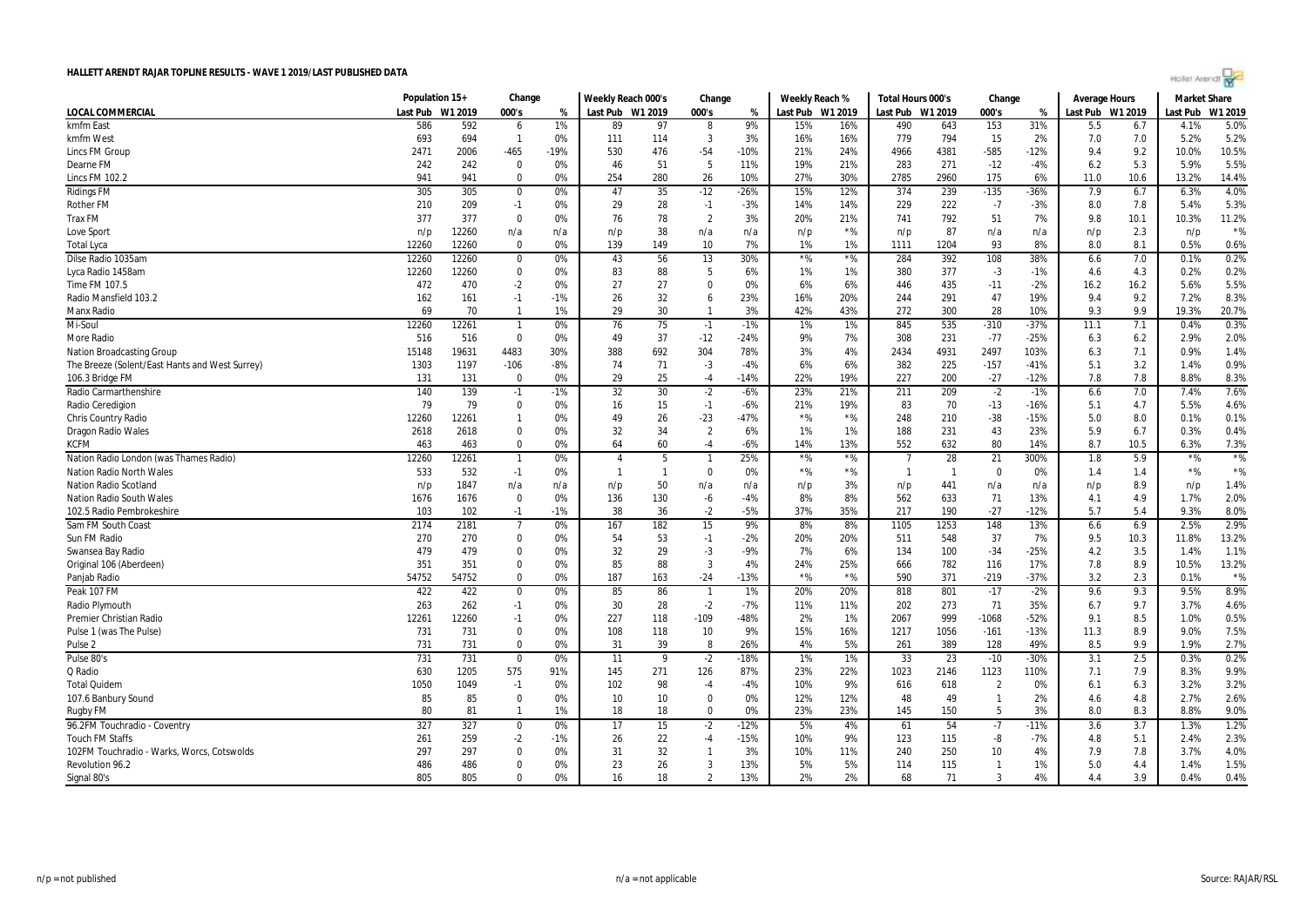

|                                                | Population 15+ |         | Change         |        | Weekly Reach 000's |              | Change         |        | Weekly Reach %   |       | Total Hours 000's |              | Change         |        | <b>Average Hours</b> |      | <b>Market Share</b> |           |
|------------------------------------------------|----------------|---------|----------------|--------|--------------------|--------------|----------------|--------|------------------|-------|-------------------|--------------|----------------|--------|----------------------|------|---------------------|-----------|
| LOCAL COMMERCIAL                               | Last Pub       | W1 2019 | 000's          | %      | Last Pub W1 2019   |              | 000's          | %      | Last Pub W1 2019 |       | Last Pub W1 2019  |              | 000's          | %      | Last Pub W1 2019     |      | Last Pub            | W1 2019   |
| kmfm East                                      | 586            | 592     | 6              | 1%     | 89                 | 97           | 8              | 9%     | 15%              | 16%   | 490               | 643          | 153            | 31%    | 5.5                  | 6.7  | 4.1%                | 5.0%      |
| kmfm West                                      | 693            | 694     | $\mathbf{1}$   | 0%     | 111                | 114          | 3              | 3%     | 16%              | 16%   | 779               | 794          | 15             | 2%     | 7.0                  | 7.0  | 5.2%                | 5.2%      |
| Lincs FM Group                                 | 2471           | 2006    | -465           | $-19%$ | 530                | 476          | $-54$          | $-10%$ | 21%              | 24%   | 4966              | 4381         | $-585$         | $-12%$ | 9.4                  | 9.2  | 10.0%               | 10.5%     |
| Dearne FM                                      | 242            | 242     | $\mathbf 0$    | 0%     | 46                 | 51           | 5              | 11%    | 19%              | 21%   | 283               | 271          | $-12$          | $-4%$  | 6.2                  | 5.3  | 5.9%                | 5.5%      |
| Lincs FM 102.2                                 | 941            | 941     | $\mathbf 0$    | 0%     | 254                | 280          | 26             | 10%    | 27%              | 30%   | 2785              | 2960         | 175            | 6%     | 11.0                 | 10.6 | 13.2%               | 14.4%     |
| <b>Ridings FM</b>                              | 305            | 305     | 0              | 0%     | 47                 | 35           | $-12$          | -26%   | 15%              | 12%   | 374               | 239          | $-135$         | -36%   | 7.9                  | 6.7  | 6.3%                | 4.0%      |
| <b>Rother FM</b>                               | 210            | 209     | $-1$           | 0%     | 29                 | 28           | $-1$           | $-3%$  | 14%              | 14%   | 229               | 222          | $-7$           | $-3%$  | 8.0                  | 7.8  | 5.4%                | 5.3%      |
| <b>Trax FM</b>                                 | 377            | 377     | $\mathbf 0$    | 0%     | 76                 | 78           | $\overline{2}$ | 3%     | 20%              | 21%   | 741               | 792          | 51             | 7%     | 9.8                  | 10.1 | 10.3%               | 11.2%     |
| Love Sport                                     | n/p            | 12260   | n/a            | n/a    | n/p                | 38           | n/a            | n/a    | n/p              | $*$ % | n/p               | 87           | n/a            | n/a    | n/p                  | 2.3  | n/p                 | $*$ %     |
| Total Lyca                                     | 12260          | 12260   | $\Omega$       | 0%     | 139                | 149          | 10             | 7%     | 1%               | 1%    | 1111              | 1204         | 93             | 8%     | 8.0                  | 8.1  | 0.5%                | 0.6%      |
| Dilse Radio 1035am                             | 12260          | 12260   | $\mathbf 0$    | 0%     | 43                 | 56           | 13             | 30%    | $*$ %            | $*$ % | 284               | 392          | 108            | 38%    | 6.6                  | 7.0  | 0.1%                | 0.2%      |
| Lyca Radio 1458am                              | 12260          | 12260   | 0              | 0%     | 83                 | 88           | -5             | 6%     | 1%               | 1%    | 380               | 377          | $-3$           | $-1%$  | 4.6                  | 4.3  | 0.2%                | 0.2%      |
| Time FM 107.5                                  | 472            | 470     | -2             | 0%     | 27                 | 27           | 0              | 0%     | 6%               | 6%    | 446               | 435          | $-11$          | $-2%$  | 16.2                 | 16.2 | 5.6%                | 5.5%      |
| Radio Mansfield 103.2                          | 162            | 161     | $-1$           | $-1%$  | 26                 | 32           | 6              | 23%    | 16%              | 20%   | 244               | 291          | 47             | 19%    | 9.4                  | 9.2  | 7.2%                | 8.3%      |
| <b>Manx Radio</b>                              | 69             | 70      | $\mathbf{1}$   | 1%     | 29                 | 30           | $\overline{1}$ | 3%     | 42%              | 43%   | 272               | 300          | 28             | 10%    | 9.3                  | 9.9  | 19.3%               | 20.7%     |
| Mi-Soul                                        | 12260          | 12261   | $\mathbf{1}$   | 0%     | 76                 | 75           | $-1$           | $-1%$  | 1%               | 1%    | 845               | 535          | $-310$         | $-37%$ | 11.1                 | 7.1  | 0.4%                | 0.3%      |
| More Radio                                     | 516            | 516     | 0              | 0%     | 49                 | 37           | $-12$          | $-24%$ | 9%               | 7%    | 308               | 231          | $-77$          | $-25%$ | 6.3                  | 6.2  | 2.9%                | 2.0%      |
| <b>Nation Broadcasting Group</b>               | 15148          | 19631   | 4483           | 30%    | 388                | 692          | 304            | 78%    | 3%               | 4%    | 2434              | 4931         | 2497           | 103%   | 6.3                  | 7.1  | 0.9%                | 1.4%      |
| The Breeze (Solent/East Hants and West Surrey) | 1303           | 1197    | $-106$         | $-8%$  | 74                 | 71           | $-3$           | $-4%$  | 6%               | 6%    | 382               | 225          | $-157$         | $-41%$ | 5.1                  | 3.2  | 1.4%                | 0.9%      |
| 106.3 Bridge FM                                | 131            | 131     | 0              | 0%     | 29                 | 25           | $-4$           | $-14%$ | 22%              | 19%   | 227               | 200          | $-27$          | $-12%$ | 7.8                  | 7.8  | 8.8%                | 8.3%      |
| <b>Radio Carmarthenshire</b>                   | 140            | 139     | $-1$           | -1%    | 32                 | 30           | $-2$           | $-6%$  | 23%              | 21%   | 211               | 209          | $-2$           | $-1%$  | 6.6                  | 7.0  | 7.4%                | 7.6%      |
| Radio Ceredigion                               | 79             | 79      | $\mathbf 0$    | 0%     | 16                 | 15           | $-1$           | $-6%$  | 21%              | 19%   | 83                | 70           | $-13$          | $-16%$ | 5.1                  | 4.7  | 5.5%                | 4.6%      |
| <b>Chris Country Radio</b>                     | 12260          | 12261   | $\mathbf{1}$   | 0%     | 49                 | 26           | $-23$          | $-47%$ | $*$ %            | $*$ % | 248               | 210          | $-38$          | $-15%$ | 5.0                  | 8.0  | 0.1%                | 0.1%      |
| Dragon Radio Wales                             | 2618           | 2618    | 0              | 0%     | 32                 | 34           | $\overline{2}$ | 6%     | 1%               | 1%    | 188               | 231          | 43             | 23%    | 5.9                  | 6.7  | 0.3%                | 0.4%      |
| <b>KCFM</b>                                    | 463            | 463     | 0              | 0%     | 64                 | 60           | $-4$           | -6%    | 14%              | 13%   | 552               | 632          | 80             | 14%    | 8.7                  | 10.5 | 6.3%                | 7.3%      |
| Nation Radio London (was Thames Radio)         | 12260          | 12261   | $\mathbf{1}$   | 0%     | $\overline{4}$     | 5            |                | 25%    | $*$ %            | $*$ % |                   | 28           | 21             | 300%   | 1.8                  | 5.9  | $*$ %               | $*$ %     |
| <b>Nation Radio North Wales</b>                | 533            | 532     | $-1$           | 0%     | -1                 | $\mathbf{1}$ | $\mathbf 0$    | 0%     | $*$ %            | $*$ % | $\mathbf{1}$      | $\mathbf{1}$ | $\Omega$       | 0%     | 1.4                  | 1.4  | $*$ %               | $\star\%$ |
| <b>Nation Radio Scotland</b>                   | n/p            | 1847    | n/a            | n/a    | n/p                | 50           | n/a            | n/a    | n/p              | 3%    | n/p               | 441          | n/a            | n/a    | n/p                  | 8.9  | n/p                 | 1.4%      |
| <b>Nation Radio South Wales</b>                | 1676           | 1676    | $\mathbf 0$    | 0%     | 136                | 130          | -6             | $-4%$  | 8%               | 8%    | 562               | 633          | 71             | 13%    | 4.1                  | 4.9  | 1.7%                | 2.0%      |
| 102.5 Radio Pembrokeshire                      | 103            | 102     | $-1$           | $-1%$  | 38                 | 36           | $-2$           | $-5%$  | 37%              | 35%   | 217               | 190          | $-27$          | $-12%$ | 5.7                  | 5.4  | 9.3%                | 8.0%      |
| Sam FM South Coast                             | 2174           | 2181    | $\overline{7}$ | 0%     | 167                | 182          | 15             | 9%     | 8%               | 8%    | 1105              | 1253         | 148            | 13%    | 6.6                  | 6.9  | 2.5%                | 2.9%      |
| Sun FM Radio                                   | 270            | 270     | 0              | 0%     | 54                 | 53           | $-1$           | -2%    | 20%              | 20%   | 511               | 548          | 37             | 7%     | 9.5                  | 10.3 | 11.8%               | 13.2%     |
| Swansea Bay Radio                              | 479            | 479     | 0              | 0%     | 32                 | 29           | $-3$           | $-9%$  | 7%               | 6%    | 134               | 100          | $-34$          | $-25%$ | 4.2                  | 3.5  | 1.4%                | 1.1%      |
| Original 106 (Aberdeen)                        | 351            | 351     | 0              | 0%     | 85                 | 88           | 3              | 4%     | 24%              | 25%   | 666               | 782          | 116            | 17%    | 7.8                  | 8.9  | 10.5%               | 13.2%     |
| Panjab Radio                                   | 54752          | 54752   | $\mathbf 0$    | 0%     | 187                | 163          | $-24$          | $-13%$ | $*$ %            | $*$ % | 590               | 371          | $-219$         | $-37%$ | 3.2                  | 2.3  | 0.1%                | $*$ %     |
| Peak 107 FM                                    | 422            | 422     | $\mathbf 0$    | 0%     | 85                 | 86           | $\overline{1}$ | 1%     | 20%              | 20%   | 818               | 801          | $-17$          | $-2%$  | 9.6                  | 9.3  | 9.5%                | 8.9%      |
| Radio Plymouth                                 | 263            | 262     | $-1$           | 0%     | 30                 | 28           | $-2$           | $-7%$  | 11%              | 11%   | 202               | 273          | 71             | 35%    | 6.7                  | 9.7  | 3.7%                | 4.6%      |
| Premier Christian Radio                        | 12261          | 12260   | $-1$           | 0%     | 227                | 118          | $-109$         | $-48%$ | 2%               | 1%    | 2067              | 999          | $-1068$        | $-52%$ | 9.1                  | 8.5  | 1.0%                | 0.5%      |
| Pulse 1 (was The Pulse)                        | 731            | 731     | $\mathbf 0$    | 0%     | 108                | 118          | 10             | 9%     | 15%              | 16%   | 1217              | 1056         | $-161$         | $-13%$ | 11.3                 | 8.9  | 9.0%                | 7.5%      |
| Pulse <sub>2</sub>                             | 731            | 731     | 0              | 0%     | 31                 | 39           | 8              | 26%    | 4%               | 5%    | 261               | 389          | 128            | 49%    | 8.5                  | 9.9  | 1.9%                | 2.7%      |
| Pulse 80's                                     | 731            | 731     | $\mathbf 0$    | 0%     | 11                 | 9            | $-2$           | $-18%$ | 1%               | 1%    | 33                | 23           | $-10$          | $-30%$ | 3.1                  | 2.5  | 0.3%                | 0.2%      |
| Q Radio                                        | 630            | 1205    | 575            | 91%    | 145                | 271          | 126            | 87%    | 23%              | 22%   | 1023              | 2146         | 1123           | 110%   | 7.1                  | 7.9  | 8.3%                | 9.9%      |
| <b>Total Quidem</b>                            | 1050           | 1049    | $-1$           | 0%     | 102                | 98           | -4             | -4%    | 10%              | 9%    | 616               | 618          | $\overline{2}$ | 0%     | 6.1                  | 6.3  | 3.2%                | 3.2%      |
| 107.6 Banbury Sound                            | 85             | 85      | $\mathbf 0$    | 0%     | 10                 | 10           | $\mathbf 0$    | 0%     | 12%              | 12%   | 48                | 49           | $\mathbf{1}$   | 2%     | 4.6                  | 4.8  | 2.7%                | 2.6%      |
| Rugby FM                                       | 80             | 81      | $\mathbf{1}$   | 1%     | 18                 | 18           | $\Omega$       | 0%     | 23%              | 23%   | 145               | 150          | -5             | 3%     | 8.0                  | 8.3  | 8.8%                | 9.0%      |
| 96.2FM Touchradio - Coventry                   | 327            | 327     | $\mathbf 0$    | 0%     | 17                 | 15           | $-2$           | $-12%$ | 5%               | 4%    | 61                | 54           | $-7$           | $-11%$ | 3.6                  | 3.7  | 1.3%                | 1.2%      |
| <b>Touch FM Staffs</b>                         | 261            | 259     | -2             | $-1%$  | 26                 | 22           | $-4$           | $-15%$ | 10%              | 9%    | 123               | 115          | -8             | $-7%$  | 4.8                  | 5.1  | 2.4%                | 2.3%      |
| 102FM Touchradio - Warks, Worcs, Cotswolds     | 297            | 297     | $\mathbf 0$    | 0%     | 31                 | 32           | $\mathbf{1}$   | 3%     | 10%              | 11%   | 240               | 250          | 10             | 4%     | 7.9                  | 7.8  | 3.7%                | 4.0%      |
| Revolution 96.2                                | 486            | 486     | $\Omega$       | 0%     | 23                 | 26           | 3              | 13%    | 5%               | 5%    | 114               | 115          | -1             | 1%     | 5.0                  | 4.4  | 1.4%                | 1.5%      |
| Signal 80's                                    | 805            | 805     | $\Omega$       | 0%     | 16                 | 18           | $\overline{2}$ | 13%    | 2%               | 2%    | 68                | 71           | 3              | 4%     | 4.4                  | 3.9  | 0.4%                | 0.4%      |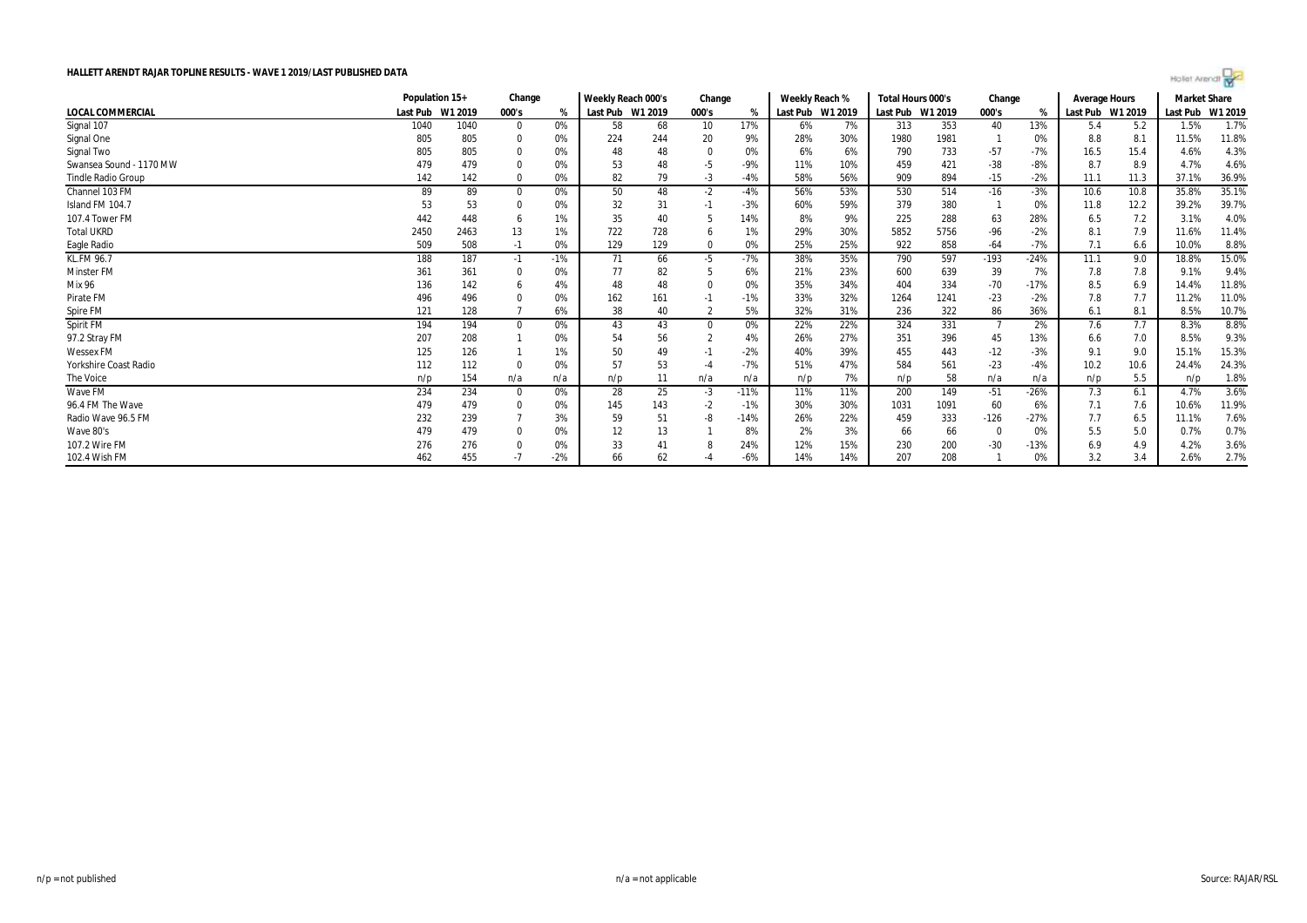

|                           | Population 15+   |      | Change       |       | Weekly Reach 000's |     | Change   |        |     | Weekly Reach %   | Total Hours 000's |                  | Change |        | Average Hours    |      | Market Share |         |
|---------------------------|------------------|------|--------------|-------|--------------------|-----|----------|--------|-----|------------------|-------------------|------------------|--------|--------|------------------|------|--------------|---------|
| <b>LOCAL COMMERCIAL</b>   | Last Pub W1 2019 |      | 000's        | %     | Last Pub W1 2019   |     | 000's    | %      |     | Last Pub W1 2019 |                   | Last Pub W1 2019 | 000's  | %      | Last Pub W1 2019 |      | Last Pub     | W1 2019 |
| Signal 107                | 1040             | 1040 | $\mathbf{0}$ | 0%    | 58                 | 68  | 10       | 17%    | 6%  | 7%               | 313               | 353              | 40     | 13%    | 5.4              | 5.2  | 1.5%         | 1.7%    |
| Signal One                | 805              | 805  | -0           | 0%    | 224                | 244 | 20       | 9%     | 28% | 30%              | 1980              | 1981             |        | 0%     | 8.8              | 8.1  | 11.5%        | 11.8%   |
| Signal Two                | 805              | 805  | $\Omega$     | 0%    | 48                 | 48  | $\Omega$ | 0%     | 6%  | 6%               | 790               | 733              | $-57$  | $-7%$  | 16.5             | 15.4 | 4.6%         | 4.3%    |
| Swansea Sound - 1170 MW   | 479              | 479  |              | 0%    | 53                 | 48  | -5       | -9%    | 11% | 10%              | 459               | 421              | $-38$  | $-8%$  | 8.7              | 8.9  | 4.7%         | 4.6%    |
| <b>Tindle Radio Group</b> | 142              | 142  | $\Omega$     | 0%    | 82                 | 79  | -3       | -4%    | 58% | 56%              | 909               | 894              | $-15$  | $-2%$  | 11.1             | 11.3 | 37.1%        | 36.9%   |
| Channel 103 FM            | 89               | 89   | $\Omega$     | 0%    | 50                 | 48  | $-2$     | -4%    | 56% | 53%              | 530               | 514              | $-16$  | $-3%$  | 10.6             | 10.8 | 35.8%        | 35.1%   |
| Island FM 104.7           |                  | 53   |              | 0%    | 32                 | 31  | -1       | $-3%$  | 60% | 59%              | 379               | 380              |        | 0%     | 11.8             | 12.2 | 39.2%        | 39.7%   |
| 107.4 Tower FM            | 442              | 448  | -6           | 1%    | 35                 | 40  |          | 14%    | 8%  | 9%               | 225               | 288              | 63     | 28%    | 6.5              | 7.2  | 3.1%         | 4.0%    |
| <b>Total UKRD</b>         | 2450             | 2463 | 13           | 1%    | 722                | 728 | b        | 1%     | 29% | 30%              | 5852              | 5756             | $-96$  | $-2%$  | 8.1              | 7.9  | 11.6%        | 11.4%   |
| Eagle Radio               | 509              | 508  | $-1$         | 0%    | 129                | 129 | 0        | 0%     | 25% | 25%              | 922               | 858              | $-64$  | -7%    | 7.1              | 6.6  | 10.0%        | 8.8%    |
| <b>KL.FM 96.7</b>         | 188              | 187  | $-1$         | $-1%$ | 71                 | 66  | -5       | -7%    | 38% | 35%              | 790               | 597              | $-193$ | $-24%$ | 11.1             | 9.0  | 18.8%        | 15.0%   |
| <b>Minster FM</b>         | 361              | 361  | $\Omega$     | 0%    | 77                 | 82  |          | 6%     | 21% | 23%              | 600               | 639              | 39     | 7%     | 7.8              | 7.8  | 9.1%         | 9.4%    |
| <b>Mix 96</b>             | 136              | 142  | -6           | 4%    | 48                 | 48  |          | 0%     | 35% | 34%              | 404               | 334              | $-70$  | $-17%$ | 8.5              | 6.9  | 14.4%        | 11.8%   |
| Pirate FM                 | 496              | 496  |              | 0%    | 162                | 161 | -1       | $-1%$  | 33% | 32%              | 1264              | 1241             | $-23$  | $-2%$  | 7.8              | 7.7  | 11.2%        | 11.0%   |
| Spire FM                  | 121              | 128  |              | 6%    | 38                 | 40  |          | 5%     | 32% | 31%              | 236               | 322              | 86     | 36%    | 6.1              | 8.1  | 8.5%         | 10.7%   |
| Spirit FM                 | 194              | 194  | $\Omega$     | 0%    | 43                 | 43  | $\Omega$ | 0%     | 22% | 22%              | 324               | 331              |        | 2%     | 7.6              | 7.7  | 8.3%         | 8.8%    |
| 97.2 Stray FM             | 207              | 208  |              | 0%    | 54                 | 56  |          | 4%     | 26% | 27%              | 351               | 396              | 45     | 13%    | 6.6              | 7.0  | 8.5%         | 9.3%    |
| <b>Wessex FM</b>          | 125              | 126  |              | 1%    | 50                 | 49  | -1       | $-2%$  | 40% | 39%              | 455               | 443              | $-12$  | $-3%$  | 9.1              | 9.0  | 15.1%        | 15.3%   |
| Yorkshire Coast Radio     | 112              | 112  | 0            | 0%    | 57                 | 53  | $-4$     | $-7%$  | 51% | 47%              | 584               | 561              | $-23$  | $-4%$  | 10.2             | 10.6 | 24.4%        | 24.3%   |
| The Voice                 | n/p              | 154  | n/a          | n/a   | n/p                | 11  | n/a      | n/a    | n/p | 7%               | n/p               | 58               | n/a    | n/a    | n/p              | 5.5  | n/p          | 1.8%    |
| Wave FM                   | 234              | 234  | - 0          | 0%    | 28                 | 25  | $-3$     | $-11%$ | 11% | 11%              | 200               | 149              | $-51$  | $-26%$ | 7.3              | 6.1  | 4.7%         | 3.6%    |
| 96.4 FM The Wave          | 479              | 479  | 0            | 0%    | 145                | 143 | $-2$     | -1%    | 30% | 30%              | 1031              | 1091             | 60     | 6%     | 7.1              | 7.6  | 10.6%        | 11.9%   |
| Radio Wave 96.5 FM        | 232              | 239  |              | 3%    | 59                 | 51  | -8       | $-14%$ | 26% | 22%              | 459               | 333              | $-126$ | $-27%$ | 7.7              | 6.5  | 11.1%        | 7.6%    |
| Wave 80's                 | 479              | 479  | 0            | 0%    | 12                 | 13  |          | 8%     | 2%  | 3%               | 66                | 66               |        | 0%     | 5.5              | 5.0  | 0.7%         | 0.7%    |
| 107.2 Wire FM             | 276              | 276  | -0           | 0%    | 33                 | 41  |          | 24%    | 12% | 15%              | 230               | 200              | -30    | $-13%$ | 6.9              | 4.9  | 4.2%         | 3.6%    |
| 102.4 Wish FM             | 462              | 455  | -7           | $-2%$ | 66                 | 62  |          | $-6%$  | 14% | 14%              | 207               | 208              |        | 0%     | 3.2              | 3.4  | 2.6%         | 2.7%    |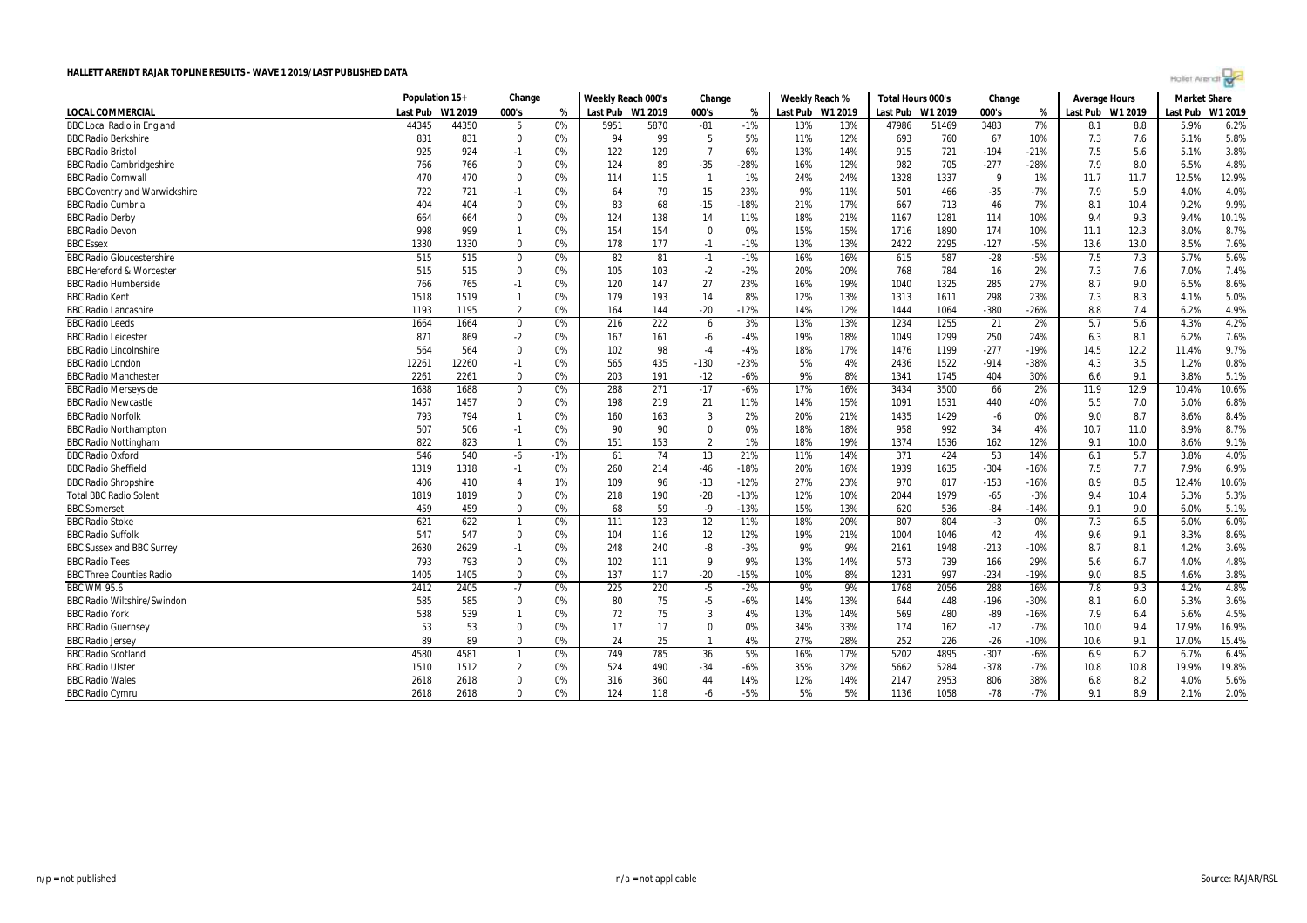| Hollet Arendt |  |  |  |
|---------------|--|--|--|
|               |  |  |  |

|                                      | Population 15+ |         | Change         |       | Weekly Reach 000's |      | Change         |        | Weekly Reach %   |     | Total Hours 000's |         | Change |        | <b>Average Hours</b> |      | <b>Market Share</b> |         |
|--------------------------------------|----------------|---------|----------------|-------|--------------------|------|----------------|--------|------------------|-----|-------------------|---------|--------|--------|----------------------|------|---------------------|---------|
| <b>LOCAL COMMERCIAL</b>              | Last Pub       | W1 2019 | 000's          | %     | Last Pub W1 2019   |      | 000's          | %      | Last Pub W1 2019 |     | Last Pub          | W1 2019 | 000's  | %      | Last Pub W1 2019     |      | Last Pub            | W1 2019 |
| <b>BBC Local Radio in England</b>    | 44345          | 44350   | 5              | 0%    | 5951               | 5870 | $-81$          | $-1%$  | 13%              | 13% | 47986             | 51469   | 3483   | 7%     | 8.1                  | 8.8  | 5.9%                | 6.2%    |
| <b>BBC Radio Berkshire</b>           | 831            | 831     | $\mathbf 0$    | 0%    | 94                 | 99   | 5              | 5%     | 11%              | 12% | 693               | 760     | 67     | 10%    | 7.3                  | 7.6  | 5.1%                | 5.8%    |
| <b>BBC Radio Bristol</b>             | 925            | 924     | $-1$           | 0%    | 122                | 129  | $\overline{7}$ | 6%     | 13%              | 14% | 915               | 721     | $-194$ | $-21%$ | 7.5                  | 5.6  | 5.1%                | 3.8%    |
| <b>BBC Radio Cambridgeshire</b>      | 766            | 766     | $\mathbf 0$    | 0%    | 124                | 89   | $-35$          | $-28%$ | 16%              | 12% | 982               | 705     | $-277$ | $-28%$ | 7.9                  | 8.0  | 6.5%                | 4.8%    |
| <b>BBC Radio Cornwal</b>             | 470            | 470     | $\mathbf 0$    | 0%    | 114                | 115  | $\overline{1}$ | 1%     | 24%              | 24% | 1328              | 1337    | 9      | 1%     | 11.7                 | 11.7 | 12.5%               | 12.9%   |
| <b>BBC Coventry and Warwickshire</b> | 722            | 721     | $-1$           | 0%    | 64                 | 79   | 15             | 23%    | 9%               | 11% | 501               | 466     | $-35$  | $-7%$  | 7.9                  | 5.9  | 4.0%                | 4.0%    |
| <b>BBC Radio Cumbria</b>             | 404            | 404     | $\mathbf 0$    | 0%    | 83                 | 68   | $-15$          | $-18%$ | 21%              | 17% | 667               | 713     | 46     | 7%     | 8.1                  | 10.4 | 9.2%                | 9.9%    |
| <b>BBC Radio Derby</b>               | 664            | 664     | $\mathbf 0$    | 0%    | 124                | 138  | 14             | 11%    | 18%              | 21% | 1167              | 1281    | 114    | 10%    | 9.4                  | 9.3  | 9.4%                | 10.1%   |
| <b>BBC Radio Devon</b>               | 998            | 999     | $\mathbf{1}$   | 0%    | 154                | 154  | $\Omega$       | 0%     | 15%              | 15% | 1716              | 1890    | 174    | 10%    | 11.1                 | 12.3 | 8.0%                | 8.7%    |
| <b>BBC Essex</b>                     | 1330           | 1330    | $\Omega$       | 0%    | 178                | 177  | $-1$           | $-1%$  | 13%              | 13% | 2422              | 2295    | $-127$ | $-5%$  | 13.6                 | 13.0 | 8.5%                | 7.6%    |
| <b>BBC Radio Gloucestershire</b>     | 515            | 515     | $\mathbf 0$    | 0%    | 82                 | 81   | $-1$           | $-1%$  | 16%              | 16% | 615               | 587     | $-28$  | $-5%$  | 7.5                  | 7.3  | 5.7%                | 5.6%    |
| <b>BBC Hereford &amp; Worcester</b>  | 515            | 515     | $\mathbf 0$    | 0%    | 105                | 103  | $-2$           | $-2%$  | 20%              | 20% | 768               | 784     | 16     | 2%     | 7.3                  | 7.6  | 7.0%                | 7.4%    |
| <b>BBC Radio Humberside</b>          | 766            | 765     | $-1$           | 0%    | 120                | 147  | 27             | 23%    | 16%              | 19% | 1040              | 1325    | 285    | 27%    | 8.7                  | 9.0  | 6.5%                | 8.6%    |
| <b>BBC Radio Kent</b>                | 1518           | 1519    | $\mathbf{1}$   | 0%    | 179                | 193  | 14             | 8%     | 12%              | 13% | 1313              | 1611    | 298    | 23%    | 7.3                  | 8.3  | 4.1%                | 5.0%    |
| <b>BBC Radio Lancashire</b>          | 1193           | 1195    | $\overline{2}$ | 0%    | 164                | 144  | $-20$          | $-12%$ | 14%              | 12% | 1444              | 1064    | $-380$ | $-26%$ | 8.8                  | 7.4  | 6.2%                | 4.9%    |
| <b>BBC Radio Leeds</b>               | 1664           | 1664    | $\mathbf 0$    | 0%    | 216                | 222  | 6              | 3%     | 13%              | 13% | 1234              | 1255    | 21     | 2%     | 5.7                  | 5.6  | 4.3%                | 4.2%    |
| <b>BBC Radio Leicester</b>           | 871            | 869     | $-2$           | 0%    | 167                | 161  | $-6$           | $-4%$  | 19%              | 18% | 1049              | 1299    | 250    | 24%    | 6.3                  | 8.1  | 6.2%                | 7.6%    |
| <b>BBC Radio Lincolnshire</b>        | 564            | 564     | $\mathbf 0$    | 0%    | 102                | 98   | $-4$           | $-4%$  | 18%              | 17% | 1476              | 1199    | $-277$ | $-19%$ | 14.5                 | 12.2 | 11.4%               | 9.7%    |
| <b>BBC Radio London</b>              | 12261          | 12260   | $-1$           | 0%    | 565                | 435  | $-130$         | $-23%$ | 5%               | 4%  | 2436              | 1522    | $-914$ | $-38%$ | 4.3                  | 3.5  | 1.2%                | 0.8%    |
| <b>BBC Radio Manchester</b>          | 2261           | 2261    | $\mathbf 0$    | 0%    | 203                | 191  | $-12$          | $-6%$  | 9%               | 8%  | 1341              | 1745    | 404    | 30%    | 6.6                  | 9.1  | 3.8%                | 5.1%    |
| <b>BBC Radio Merseyside</b>          | 1688           | 1688    | $\Omega$       | 0%    | 288                | 271  | $-17$          | $-6%$  | 17%              | 16% | 3434              | 3500    | 66     | 2%     | 11.9                 | 12.9 | 10.4%               | 10.6%   |
| <b>BBC Radio Newcastle</b>           | 1457           | 1457    | $\Omega$       | 0%    | 198                | 219  | 21             | 11%    | 14%              | 15% | 1091              | 1531    | 440    | 40%    | 5.5                  | 7.0  | 5.0%                | 6.8%    |
| <b>BBC Radio Norfolk</b>             | 793            | 794     | $\mathbf{1}$   | 0%    | 160                | 163  | 3              | 2%     | 20%              | 21% | 1435              | 1429    | -6     | 0%     | 9.0                  | 8.7  | 8.6%                | 8.4%    |
| <b>BBC Radio Northampton</b>         | 507            | 506     | $-1$           | 0%    | 90                 | 90   | $\mathbf 0$    | 0%     | 18%              | 18% | 958               | 992     | 34     | 4%     | 10.7                 | 11.0 | 8.9%                | 8.7%    |
| <b>BBC Radio Nottingham</b>          | 822            | 823     | $\mathbf{1}$   | 0%    | 151                | 153  | $\overline{2}$ | 1%     | 18%              | 19% | 1374              | 1536    | 162    | 12%    | 9.1                  | 10.0 | 8.6%                | 9.1%    |
| <b>BBC Radio Oxford</b>              | 546            | 540     | $-6$           | $-1%$ | 61                 | 74   | 13             | 21%    | 11%              | 14% | 371               | 424     | 53     | 14%    | 6.1                  | 5.7  | 3.8%                | 4.0%    |
| <b>BBC Radio Sheffield</b>           | 1319           | 1318    | $-1$           | 0%    | 260                | 214  | $-46$          | $-18%$ | 20%              | 16% | 1939              | 1635    | $-304$ | $-16%$ | 7.5                  | 7.7  | 7.9%                | 6.9%    |
| <b>BBC Radio Shropshire</b>          | 406            | 410     | $\overline{4}$ | 1%    | 109                | 96   | $-13$          | $-12%$ | 27%              | 23% | 970               | 817     | $-153$ | $-16%$ | 8.9                  | 8.5  | 12.4%               | 10.6%   |
| <b>Total BBC Radio Solent</b>        | 1819           | 1819    | $\Omega$       | 0%    | 218                | 190  | $-28$          | $-13%$ | 12%              | 10% | 2044              | 1979    | $-65$  | $-3%$  | 9.4                  | 10.4 | 5.3%                | 5.3%    |
| <b>BBC</b> Somerset                  | 459            | 459     | $\Omega$       | 0%    | 68                 | 59   | $-9$           | $-13%$ | 15%              | 13% | 620               | 536     | $-84$  | $-14%$ | 9.1                  | 9.0  | 6.0%                | 5.1%    |
| <b>BBC Radio Stoke</b>               | 621            | 622     | $\mathbf{1}$   | 0%    | 111                | 123  | 12             | 11%    | 18%              | 20% | 807               | 804     | $-3$   | 0%     | 7.3                  | 6.5  | 6.0%                | 6.0%    |
| <b>BBC Radio Suffolk</b>             | 547            | 547     | $\Omega$       | 0%    | 104                | 116  | 12             | 12%    | 19%              | 21% | 1004              | 1046    | 42     | 4%     | 9.6                  | 9.1  | 8.3%                | 8.6%    |
| <b>BBC Sussex and BBC Surrey</b>     | 2630           | 2629    | $-1$           | 0%    | 248                | 240  | -8             | $-3%$  | 9%               | 9%  | 2161              | 1948    | $-213$ | $-10%$ | 8.7                  | 8.1  | 4.2%                | 3.6%    |
| <b>BBC Radio Tees</b>                | 793            | 793     | $\Omega$       | 0%    | 102                | 111  | $\mathbf{q}$   | 9%     | 13%              | 14% | 573               | 739     | 166    | 29%    | 5.6                  | 6.7  | 4.0%                | 4.8%    |
| <b>BBC Three Counties Radio</b>      | 1405           | 1405    | $\Omega$       | 0%    | 137                | 117  | $-20$          | $-15%$ | 10%              | 8%  | 1231              | 997     | $-234$ | $-19%$ | 9.0                  | 8.5  | 4.6%                | 3.8%    |
| <b>BBC WM 95.6</b>                   | 2412           | 2405    | $-7$           | 0%    | 225                | 220  | $-5$           | $-2%$  | 9%               | 9%  | 1768              | 2056    | 288    | 16%    | 7.8                  | 9.3  | 4.2%                | 4.8%    |
| <b>BBC Radio Wiltshire/Swindon</b>   | 585            | 585     | $\Omega$       | 0%    | 80                 | 75   | $-5$           | $-6%$  | 14%              | 13% | 644               | 448     | $-196$ | $-30%$ | 8.1                  | 6.0  | 5.3%                | 3.6%    |
| <b>BBC Radio York</b>                | 538            | 539     | $\mathbf{1}$   | 0%    | 72                 | 75   | $\overline{3}$ | 4%     | 13%              | 14% | 569               | 480     | $-89$  | $-16%$ | 7.9                  | 6.4  | 5.6%                | 4.5%    |
| <b>BBC Radio Guernsey</b>            | 53             | 53      | $\Omega$       | 0%    | 17                 | 17   | $\Omega$       | 0%     | 34%              | 33% | 174               | 162     | $-12$  | $-7%$  | 10.0                 | 9.4  | 17.9%               | 16.9%   |
| <b>BBC Radio Jersey</b>              | 89             | 89      | $\mathbf 0$    | 0%    | 24                 | 25   |                | 4%     | 27%              | 28% | 252               | 226     | $-26$  | $-10%$ | 10.6                 | 9.1  | 17.0%               | 15.4%   |
| <b>BBC Radio Scotland</b>            | 4580           | 4581    | $\mathbf{1}$   | 0%    | 749                | 785  | 36             | 5%     | 16%              | 17% | 5202              | 4895    | $-307$ | $-6%$  | 6.9                  | 6.2  | 6.7%                | 6.4%    |
| <b>BBC Radio Ulster</b>              | 1510           | 1512    | $\overline{2}$ | 0%    | 524                | 490  | $-34$          | $-6%$  | 35%              | 32% | 5662              | 5284    | $-378$ | $-7%$  | 10.8                 | 10.8 | 19.9%               | 19.8%   |
| <b>BBC Radio Wales</b>               | 2618           | 2618    | $\Omega$       | 0%    | 316                | 360  | 44             | 14%    | 12%              | 14% | 2147              | 2953    | 806    | 38%    | 6.8                  | 8.2  | 4.0%                | 5.6%    |
| <b>BBC Radio Cymru</b>               | 2618           | 2618    | $\Omega$       | 0%    | 124                | 118  | $-6$           | $-5%$  | 5%               | 5%  | 1136              | 1058    | $-78$  | $-7%$  | 9.1                  | 8.9  | 2.1%                | 2.0%    |
|                                      |                |         |                |       |                    |      |                |        |                  |     |                   |         |        |        |                      |      |                     |         |